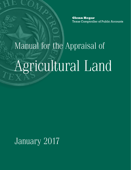**Glenn Hegar** Texas Comptroller of Public Accounts

# Manual for the Appraisal of Agricultural Land

January 2017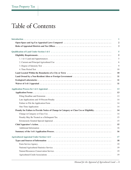# Table of Contents

|                                                                                         | 1                |
|-----------------------------------------------------------------------------------------|------------------|
|                                                                                         | $\boldsymbol{2}$ |
|                                                                                         | 3                |
|                                                                                         | 5                |
|                                                                                         | 5                |
|                                                                                         | 5                |
|                                                                                         | 6                |
|                                                                                         | 9                |
|                                                                                         | 10               |
|                                                                                         | 10               |
|                                                                                         | 11               |
|                                                                                         | 11               |
|                                                                                         | 11               |
|                                                                                         | 13               |
|                                                                                         | 13               |
|                                                                                         | 13               |
|                                                                                         | 14               |
|                                                                                         | 14               |
|                                                                                         | 14               |
| Penalty for Failure to Provide Notice of Change in Category or Class Use or Eligibility | 14               |
|                                                                                         | 14               |
|                                                                                         | 15               |
|                                                                                         | 15               |
|                                                                                         | 15               |
|                                                                                         | 16               |
|                                                                                         | 16               |
|                                                                                         | 17               |
|                                                                                         | 18               |
|                                                                                         | 19               |
|                                                                                         | 19               |
|                                                                                         | 19               |
|                                                                                         | 19               |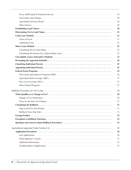|                                                                                                                                     | 19 |
|-------------------------------------------------------------------------------------------------------------------------------------|----|
|                                                                                                                                     | 20 |
|                                                                                                                                     | 20 |
|                                                                                                                                     | 20 |
|                                                                                                                                     | 20 |
|                                                                                                                                     | 21 |
|                                                                                                                                     | 21 |
|                                                                                                                                     | 21 |
|                                                                                                                                     | 21 |
|                                                                                                                                     | 22 |
|                                                                                                                                     | 22 |
|                                                                                                                                     | 23 |
|                                                                                                                                     | 23 |
|                                                                                                                                     | 24 |
|                                                                                                                                     | 25 |
|                                                                                                                                     | 25 |
|                                                                                                                                     | 25 |
| The Conservation Reserve Program (CRP). $\dots \dots \dots \dots \dots \dots \dots \dots \dots \dots \dots \dots \dots \dots \dots$ | 26 |
|                                                                                                                                     | 27 |
|                                                                                                                                     | 27 |
|                                                                                                                                     | 27 |
|                                                                                                                                     | 29 |
|                                                                                                                                     | 29 |
|                                                                                                                                     | 30 |
|                                                                                                                                     | 31 |
|                                                                                                                                     | 31 |
|                                                                                                                                     | 31 |
|                                                                                                                                     | 31 |
|                                                                                                                                     | 32 |
|                                                                                                                                     | 32 |
| Questions and Answers about Rollback Procedures                                                                                     | 33 |
|                                                                                                                                     | 35 |
|                                                                                                                                     | 36 |
|                                                                                                                                     | 36 |
|                                                                                                                                     | 37 |
|                                                                                                                                     | 37 |
|                                                                                                                                     | 37 |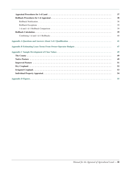| 37 |
|----|
| 38 |
| 38 |
| 39 |
| 39 |
| 39 |
| 40 |
| 41 |
| 47 |
| 49 |
| 49 |
| 49 |
| 51 |
| 52 |
| 53 |
| 54 |
| 55 |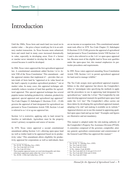# <span id="page-6-0"></span>Introduction

Until the 1960s, Texas farm and ranch land was taxed on its market value — the price a buyer would pay for it in an ordinary market transaction. As Texas became more urbanized, farm and ranch land in many cases increased dramatically in value, especially in developing areas. Even if a farmer or rancher never intended to develop the land, its value in creased because it could be developed.

In 1966, Texas voters approved the first agricultural appraisal law. A constitutional amendment added Section 1-d to Ar ticle VIII of the Texas Constitution.<sup>1</sup> This amendment – and the appraisal statutes that implement  $it^2$  – provides that certain kinds of farm land be "appraised at its value based on the land's capacity to produce agricultural products,"3 not at market value. In many cases, this appraisal technique sub stantially reduces taxation of land that qualifies for agricul tural appraisal. This special appraisal technique has several popular names including productivity valuation, productivity appraisal, special appraisal and agricultural (ag) appraisal.4 Tax Code Chapter 23, Subchapter C (Sections 23.41 – 23.48) governs the appraisal of land designated for agricultural use pursuant to Texas Constitution Article VIII, Section 1-d and is referred to as 1-d or ag-use appraisal law.

Section 1-d is restrictive, applying only to land owned by families or individuals. Agriculture must be the property owner's primary occupation and source of income.

In 1978, Texas voters approved a second constitutional amendment adding Section 1-d-1, allowing open-space land (as well as timber land) to be appraised based on its produc tivity value.<sup>5</sup> This amendment allows eligibility for productivity appraisal for corporations as well as individuals; there

are no income or occupation tests. This constitutional amend ment took effect in 1979. Tax Code Chapter 23, Subchapter D (Sections 23.51-23.60) governs the appraisal of agricultural land pursuant to Texas Constitution Article VIII Section 1-d-1 and is also referred to as the 1-d-1 or open-space appraisal law. Because most of the eligible land in Texas now qualifies under the open-space law, this manual emphasizes its par ticular procedures and requirements.

In 1995, Texas voters approved amending Texas Constitution Article VIII, Section 1-d-1 to permit agricultural appraisal for land used to manage wildlife.<sup>6</sup>

The Tax Code assigns most agricultural appraisal responsibilities to the chief appraiser but directs the Comptroller's office to "promulgate rules specifying the methods to apply and the procedures to use in appraising land designated for agricultural use," under the 1-d law.<sup>7</sup> The Comptroller by rule must develop appraisal manuals for qualified open-space land under the 1-d-1 law.<sup>8</sup> The Comptroller's office carries out these duties by developing this agricultural appraisal manual, adopting it by rule<sup>9</sup> and making it available on its website.<sup>10</sup> Appraisal districts are to use this manual in appraising quali fied open-space land and ag-use land.<sup>11</sup> Examples and figures are illustrative and not mandatory.

- A committee composed of the governor, comptroller, attor This manual is adopted under the rule-making authority of the Comptroller's Property Tax Assistance Division (PTAD). ney general, agriculture commissioner and commissioner of the General Land Office has approved this manual.<sup>12</sup>

- 
- <sup>9</sup> 34 Tex. Admin. Code §9.4001<br><sup>10</sup> Tex. Tax Code §§23.41-23.46 and 23.51-23.57

Tex. H.J.R. 79, 59th Reg. Sess. (1965)

<sup>2</sup> Tex. Tax Code §§23.41-23.48

Tex. Tax Code §23.41(a)

These popular appraisal names are used interchangeably and when referring to appraisals under either the 1-d or 1-d-1 laws.

<sup>5</sup> Tex. H.J.R. 1, 65th 2nd Called Sess. (1978)

<sup>6</sup> Tex. H.J.R. 72, 74th Reg. Sess. (1995)

Tex. Tax Code §23.41(b)

<sup>&</sup>lt;sup>8</sup> Tex. Tax Code  $$23.52(d)$ 

 $11$  Tex. Tax Code §§23.52(d) and 23.41(b)

<sup>12</sup> Tex. Tax Code §23.52(d)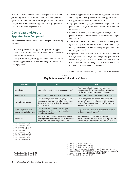<span id="page-7-0"></span>In addition to this manual, PTAD also publishes a *[Manual](http://comptroller.texas.gov/taxinfo/proptax/pdf/96-357.pdf) [for the Appraisal of Timber Land](http://comptroller.texas.gov/taxinfo/proptax/pdf/96-357.pdf)* that describes application, qualification, appraisal and rollback procedures for timber land, as well as *Guidelines for Qualification of Agricultural Land in Wildlife Management Use*.

# **Open-Space and Ag-Use Appraisal Laws Compared**

Several elements are common to both the open-space and aguse laws:

- A property owner must apply for agricultural appraisal. The owner must file a special form with the appraisal district before the deadline.<sup>13</sup>
- The agricultural appraisal applies only to land, fences and certain appurtenances. It does not apply to improvements or equipment.<sup>14</sup>
- The chief appraiser must act on each application received and notify the property owner if the chief appraiser denies the application or needs more information.<sup>15</sup>
- A property owner may appeal the denial of agricultural ap praisal and a change of use determination to the appraisal review board.16
- penalty (rollback tax) and interest when taken out of agri • Land that receives agricultural appraisal is subject to a tax cultural use.17
- • The Texas Constitution prohibits homestead property des ignated for agricultural use under either Tax Code Chapter 23, Subchapter C or D from being pledged to secure a home equity loan.<sup>18</sup>
- Property qualified as 1-d or 1-d-1 land (other than wildlife management) that is subject to a temporary quarantine of at least 90 days for ticks may be reappraised. The effect on the value of the land caused by the tick infestation is an ad ditional factor to be taken into account.<sup>19</sup>

**Exhibit 1** contrasts some of the key differences in the two laws.

| <b>Element</b>                                                                                                                                                                                | $1-d$                                                                                                                                                                                             | $1-d-1$                                                                                                                                                                                                          |
|-----------------------------------------------------------------------------------------------------------------------------------------------------------------------------------------------|---------------------------------------------------------------------------------------------------------------------------------------------------------------------------------------------------|------------------------------------------------------------------------------------------------------------------------------------------------------------------------------------------------------------------|
| Reapplication                                                                                                                                                                                 | Requires the property owner to reapply every year <sup>1</sup>                                                                                                                                    | Requires reapplication only when the property<br>changes ownership or agricultural use class or when<br>the chief appraiser requires a new application. <sup>2</sup>                                             |
| Property owner                                                                                                                                                                                | Requires the property owner to be an individual <sup>3</sup>                                                                                                                                      | Allows both individuals and corporations to qualify. <sup>4</sup>                                                                                                                                                |
| Occupation and income                                                                                                                                                                         | Requires that agriculture be the property owner's<br>primary occupation and principal source of income.<br>The property owner must show that agriculture is<br>conducted for profit. <sup>5</sup> | Has no occupation, income or profit requirements.<br>Instead, it focuses on whether the land is used to the<br>degree of intensity typical in the area for a particular<br>agricultural enterprise. <sup>6</sup> |
| Number of years devoted<br>principally to agricultural use                                                                                                                                    | Requires that land be devoted principally to<br>agricultural use for the three years immediately<br>preceding qualification. <sup>7</sup>                                                         | Requires devotion principally to agricultural use for five<br>of the seven preceding years. <sup>8</sup>                                                                                                         |
| Rollback tax                                                                                                                                                                                  | Requires a rollback tax when the property is taken<br>out of agricultural use or when it is sold. The rollback<br>recaptures taxes for the three preceding years. <sup>9</sup>                    | Requires a rollback tax and interest only when<br>agricultural operations cease or the use changes and the<br>rollback recaptures taxes for the five preceding years. <sup>10</sup>                              |
| Tex. Tax Code $\S$ 23.43(a)<br>Tex. Tax Code $§23.54(e)$<br>Tex. Const. art. VIII §1-d(a)<br>Tex. Const. art. VIII §1-d-1<br>$5.$ T <sub>ov</sub> , T <sub>ov</sub> , C <sub>ada</sub> 892.49 |                                                                                                                                                                                                   |                                                                                                                                                                                                                  |

#### EXHIBIT 1 **Key Differences in 1-d and 1-d-1 Laws**

- <sup>5</sup> Tex. Tax Code §23.42 <sup>6</sup> Tex. Tax Code §23.51(1)
- <sup>7</sup> Tex. Tax Code §23.42(a)(1)
- <sup>8</sup> Tex. Tax Code §23.51(1)
- <sup>9</sup> Tex. Tax Code §23.46(c)
- <sup>10</sup> Tex. Tax Code §23.55(a)

<sup>15</sup> Tex. Tax Code §§23.44 and 23.57

<sup>16</sup> Tex. Tax Code §41.41(a)(5) and (8)

<sup>17</sup> Tex. Tax Code §§23.46 and 23.55

<sup>18</sup> Tex. Const. art. XVI, Sec. 50(a)(6)(I); *LaSalle Bank Nat'l Ass'n v. White*, 217 S.W. 3d 573, 575-577 (Tex. App.-San Antonio, 2006), *aff'd in part and rev'd in part*, 246 S.W.3d 616 (Tex. 2007)

<sup>19</sup> Tex. Tax Code §§23.48 and 23.60

<sup>13</sup> Tex. Tax Code §§23.43 and 23.54

<sup>14</sup> Tex. Tax Code §§23.41 and 23.51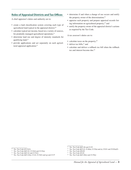# <span id="page-8-0"></span>**Roles of Appraisal Districts and Tax Offices**

A chief appraiser's duties and authority are to:

- create a land classification system covering each type of agricultural land typical in the appraisal district;<sup>20</sup>
- calculate typical net income, based on a variety of sources, for prudently managed agricultural operations; $^{21}$
- determine land use and degree of intensity standards for qualifying land;<sup>22</sup>
- provide applications and act separately on each agricul tural appraisal application;<sup>23</sup>
- determine if and when a change of use occurs and notify the property owner of the determination; $^{24}$
- appraise each property and prepare appraisal records list ing information on agricultural property;<sup>25</sup> and
- notify the property owner of the appraisal district's actions as required by the Tax Code.

A tax assessor's duties are to:

- calculate taxes on the property;<sup>26</sup>
- deliver tax bills: $27$  and
- calculate and deliver a rollback tax bill when the rollback tax and interest become due.<sup>28</sup>

 $\overline{20}$  Tex. Tax Code §23.51(3)

<sup>21</sup> Tex. Tax Code §§23.41, 23.51(4) and 23.52(a)

<sup>22</sup> Tex. Tax Code §§23.41 and 23.51(1)

<sup>23</sup> Tex. Tax Code §§23.43(e), 23.44, 23.54(f) and (g) and 23.57

<sup>&</sup>lt;sup>24</sup> Tex. Tax Code §§23.46 and 23.55

<sup>25</sup> Tex. Tax Code §§23.41, 23.46(a), 23.52(a) and (e), 25.011 and 25.02(a)(5)

<sup>26</sup> Tex. Tax Code §26.09

<sup>27</sup> Tex. Tax Code §31.01

<sup>28</sup> Tex. Tax Code §§23.46(c) and 23.55(e)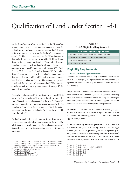# <span id="page-10-0"></span>Qualification of Land Under Section 1-d-1

As the Texas Supreme Court noted in 1993, the "Texas Con stitution promotes the preservation of open-space land by authorizing the legislature to tax open-space land devoted to farm or ranch purposes on the basis of its productive capacity."29 The court also stated that the "Constitution fur ther authorizes the legislature to provide eligibility limita tions for the open-space designation."30 Special agricultural appraisal under the 1-d-1 law is only allowed if the property owner proves the specific statutory requirements of Tax Code Chapter  $23$ , Subchapter D. $31$  Land will not qualify for productivity valuation simply because it is rural or has some connec tion with agriculture. Neither will it qualify because it is open land that has no other possible use. The law does not provide a tax break for every use of open-space land.<sup>32</sup> For example, casual uses such as home vegetable gardens do not qualify for productivity appraisal.

Generally, land may qualify for agricultural appraisal if it is "currently devoted principally to agricultural use to the de gree of intensity generally accepted in the area."33 To qualify for special appraisal, the property owner must apply for the appraisal and provide to the chief appraiser "the information necessary" for the appraisal district "to determine the valid ity of the claim."34

For land to qualify for 1-d-1 appraisal for agricultural use, it must meet four eligibility requirements as shown in **Ex** hibit 2 and successfully complete the application process.<sup>35</sup> **Appendix A** shows how these requirements apply to sample properties.

#### EXHIBIT 2 **1-d-1 Eligibility Requirements**

#### **Four 1-d-1 Eligibility Requirements**

- 1. Applied to land and all appurtenances (not improvements)
- 2. Devoted currently and principally to agricultural use
- 3. Passed degree of intensity test
- 4. Passed time period test

#### **Eligibility Requirements**

#### *1. 1-d-1 Land and Appurtenances*

Agricultural appraisal applies only to land and appurtenanc es.36 It does not apply to improvements on land, minerals or agricultural products that may be connected with the land.<sup>37</sup> For example:

at market value.<sup>38</sup> Land beneath farm buildings and other agri-**Improvements** — Buildings and structures such as barns, sheds, silos and other farm outbuildings must be appraised separately cultural improvements qualifies for special appraisal because it is used in connection with the agricultural operation.<sup>39</sup>

**Minerals** — The appraisal of minerals (including oil, gas or any hard mineral) or subsurface rights to minerals is not included in the special appraisal of  $1-d-1$  land<sup>40</sup> and must be appraised separately.

**Products of the agricultural operation** — Farm products in the hands of the producer including livestock, poultry, eggs, timber, peaches, cotton, peanuts, grain, etc. are generally ex empt from taxation because of other provisions of Texas law<sup>41</sup> and are not included in the special appraisal of 1-d-1 land. Machinery and equipment that are used in the production of

<sup>37</sup> Tex. Tax Code §§11.16, 11.161, 23.51 and 23.52

Tex. Tax Code §23.51(1)

<sup>41</sup> Tex. Tax Code §11.16

<sup>&</sup>lt;sup>29</sup> *Tarrant Appraisal District v. Moore*, 845 S.W.2d 820, 821 (Tex. 1993)<br><sup>30</sup> *Tarrant Appraisal District v. Moore*, 845 S.W.2d 820, 821 (Tex. 1993)

<sup>30</sup> *Tarrant Appraisal District v. Moore*, 845 S.W.2d 820, 821 (Tex. 1993) <sup>31</sup> *Cordillera Ranch, Ltd. v. Kendall County Appraisal District*, 136

S.W.3d 249, 254 (Tex. App.—San Antonio, 2004) <sup>32</sup> Tex. Tax Code §§23.51, 23.52 and 23.521

<sup>33</sup> Tex. Tax Code §23.51(1)

Tex. Tax Code  $\S 23.54$ (a) and (b)

<sup>35</sup> Tex. Tax Code §§23.51(1) and 23.54

Tex. Tax Code §23.51(1)

<sup>38</sup> Tex. Tax Code §§23.01(a) and 23.51(1)

<sup>40</sup> Tex. Tax Code §23.52(f)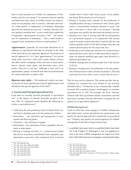<span id="page-11-0"></span>farm or ranch products or of timber are implements of husbandry and also are exempt.<sup>42</sup> An Attorney General opinion concluded that items which are neither fixtures nor improve ments to real property, such as tractors, cultivators and trail ers, could qualify as implements of husbandry depending upon the fact situation in each case.<sup>43</sup> Another Attorney General opinion concluded that "a court would likely uphold the Comptroller's interpretation of section 11.161" – the exemp tion for implements of husbandry – "that a cattle feedlot is engaged in the 'production of farm or ranch products'."44

**Appurtenances**, generally, are man-made alterations of, or additions to, agricultural land that are included in the value of the land and are not separately appraised. For purposes of special appraisal of 1-d-1 land, appurtenances $45$  are private roads, dams, reservoirs, water wells, canals, ditches, terraces and other similar reshapings of the soil (such as stock tanks); fences; riparian water rights; and decorative trees, wind breaks, fruit trees or nut trees. Although a water well is an appurtenance, pumps, windmills and other fixed attachments are valued separately at market value.

- **Riparian water rights** — The landowner's right to use natu ral streams of water adjoining the land are appurtenances and included in the special appraisal of the land.<sup>46</sup>

#### *2. Current and Principal Agricultural Use*

- area. The 1-d-1 appraisal statute identifies the following ac Land must be currently devoted principally to agricultural use, $47$  to the degree of intensity generally accepted in the tivities as agricultural uses: 48

- Cultivating the soil, producing crops for human food, animal feed or planting seed or for the production of fibers.
- Floriculture the cultivation and management of ornamental and flowering plants.
- Viticulture the cultivation of grapes.
- Horticulture the cultivation of fruits, vegetables, flowers, herbs or other plants.
- that derives its primary nourishment from vegetation, sup • Raising or keeping livestock, i.e., a domesticated animal plemented as necessary with commercial feed. Livestock

Tex. Tax Code §23.51(1)

includes beef or dairy cattle, horses, goats, swine, poultry and sheep. Wild animals are not livestock.

- Raising or keeping exotic animals for the production of tangible products having a commercial value. Exotic game means a cloven-hoofed ruminant mammal or exotic fowl that is not native to Texas and is not livestock.<sup>49</sup> Raising such game may qualify but must meet the primary use test.
- Planting cover crops or leaving land idle for participation in a government program or in conjunction with normal crop or livestock rotation procedure. Land left idle for crop rotation qualifies until it is left idle for longer than the crop rotation period typical for the crop in the area.
- Producing or harvesting logs and posts for constructing or repairing fences, pens, barns or other agricultural improve ments on adjacent qualified open-space land devoted to a different agricultural use.
- Wildlife management (as defined under Tax Code Section  $23.51(7)$ ).
- Raising or keeping bees for pollination or for the produc tion of human food or other commercial products. The land used must not be less than 5 acres or more than 20 acres.<sup>50</sup>

This list may not be exhaustive. The statute provides that agricultural use "includes but is not limited to" the activities identified above.<sup>51</sup> Production of any commercially valuable livestock, fish or poultry product would appear to constitute agricultural use as well. For example, the Texas Attorney General ruled that agriculture includes mariculture and that land used to produce fish and other forms of aquatic life can qualify for an agricultural appraisal.<sup>52</sup>

#### **Wildlife Management**

Land on which the owner engages in wildlife management and which meets certain agricultural use requirements may qualify for special appraisal and is technically in agricultural use.<sup>53</sup> Property may qualify for special appraisal for wildlife management if the land is being actively used:

• as qualified open-space land or as qualified timber land under Tax Code Chapter 23, Subchapter E, and was appraised as such at the time wildlife-management use began in at least three of the following ways to propagate a sustaining breeding,

 $42$  Tex. Tax Code §11.161

<sup>43</sup> Tex. Op. Att'y Gen. MW-451 (1982)

<sup>44</sup> Tex. Op. Att'y Gen. GA-1015 (2013)

<sup>45</sup> Tex. Tax Code §23.51(1)

<sup>47</sup> Tex. Tax Code §23.51(1)

<sup>48</sup> Tex. Tax Code §23.51(2)

<sup>49</sup> Tex. Tax Code §23.51(6)

<sup>50</sup> Tex. Tax Code §23.51(2)

<sup>51</sup> Tex. Tax Code §23.51(2)

<sup>52</sup> Op. Tex. Att'y Gen. No. JM-87 (1983)

<sup>53</sup> Tex. Tax Code §§23.51(1), (2) and (7), 23.521 and 34 Tex. Admin. Code 9.2001-9.2005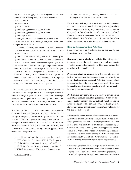migrating or wintering population of indigenous wild animals for human use including food, medicine or recreation:

- » habitat control
- » erosion control
- » predator control
- » providing supplemental supplies of water
- » providing supplemental supplies of food
- » providing shelters
- » making of census counts to determine population
- to protect federally listed endangered species under a fed eral permit if the land is:
	- » included in a habitat preserve and is subject to a conservation easement created under Natural Resources Code Chapter 183; or
	- » part of a conservation development under a federally approved habitat conservation plan that restricts the use of the land to protect federally listed endangered species; or
- for a conservation or restoration project to provide compen sation for natural resource damages subject to the Compre hensive Environmental Response, Compensation, and Li ability Act of 1980 (42 U.S.C. Section 9601 et seq.), the Oil Pollution Act of 1990 (33 U.S.C. Section 2701 et seq.), the Federal Water Pollution Control Act (33 U.S.C. Section 1251 et seq.) or Natural Resources Code Chapter 40.

The Texas Parks and Wildlife Department (TPWD), with the assistance of the Comptroller's office, developed standards for determining the qualification of land for wildlife manage ment use and adopted those standards by rule.<sup>54</sup> The wildlife management qualification rules are published in Title 34, Texas Administrative Code, Sections 9.2001-9.2005.

In addition to this manual, the Comptroller's office publish es the *Guidelines for Qualification of Agricultural Land in Wildlife Management Use* and TPWD publishes the *Compre hensive Wildlife Management Planning Guidelines* for each ecoregion in Texas. Pursuant to Title 34, Texas Administra tive Code, Section 9.2004(a), the chief appraiser is required to determine if land qualifies for agricultural appraisal based on wildlife management use:

- §9.2005 of this title (relating to Wildlife Use Require in compliance with, and in a manner consistent with, ment), the *Manual for the Appraisal of Agricultural Land*, the *Guidelines for Qualification of [Agricultural] Land in Wildlife Management Use*, and the *Comprehensive* 

*Wildlife [Management] Planning Guidelines* for the ecoregion in which the tract of land is located.

For assistance with a specific issue involving wildlife manage ment use as it pertains to qualifying for special appraisal (in cluding degree of intensity requirements), please consult the Comptroller's *Guidelines for Qualification of [Agricultural] Land in Wildlife Management Use* as well as the TPWD's *Comprehensive Wildlife [Management] Planning Guidelines*. More information can also be found on TPWD's website.

#### **Nonqualifying Agricultural Activities**

Some agriculture-related activities that do not qualify land for agricultural appraisal are:

**Harvesting native plants or wildlife.** Harvesting shrubs that grow wild on the land — mountain laurel, yaupon, etc. — or harvesting or hunting native wild animals such as deer or turkey, will not qualify land.

Processing plants or animals. Activities that take place after the crop or animal has been raised and harvested do not qualify land for special appraisal. Activities such as pasteur izing and bottling milk; fermenting grapes and bottling wine; or slaughtering, dressing and packing meat will not qualify land for agricultural appraisal.

By definition, any activities a non-producer carries out on agricultural products constitute processing. A non-producer cannot qualify property for agricultural valuation. For ex ample, the operator of a grain silo who purchases grain for storage and resale cannot receive agricultural valuation for the land the silo occupies.

Under certain circumstances, primary producers may process agricultural products. In these cases, the land devoted to pro cessing activities does not qualify for agricultural valuation. In such cases, the line between production and processing ac tivities can become extremely fine. Chief appraisers must be certain to gather all facts necessary for making an accurate distinction. No rules clearly distinguish between production and processing. In general, an activity must meet at least one of the following standards before it counts as processing:

• Processing begins with those steps typically carried out at the first level of trade beyond production. Storage or pack aging for wholesale trade would constitute processing, as would slaughtering livestock while the producer's interim

 $\overline{54}$  Tex. Tax Code §23.521(a)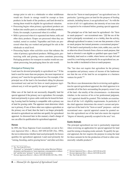storage prior to sale to a wholesaler or other middleman would not. Goods in storage would be exempt as farm products in the hands of the producer, and land devoted to storing them would be eligible for agricultural valuation.

- Processing begins when primary agricultural products are broken into smaller parts or combined with other products. Grain, for example, is processed when it is milled.
- Milk is processed when it is separated into butter, milk and other dairy products. Grapes are processed when they are washed, sorted or crushed. Vegetables and fruits are pro cessed when they are washed and packaged for sale at the wholesale or retail level.
- Processing begins when activities occur that enhance the value of primary agricultural products. Milling grain, pas teurizing milk and ginning cotton constitute processing. Packaging products for transport to market would not con stitute processing, but packaging them for sale would.

#### **Principal or Primary Use**

(recreational use) and not for farm or ranch purposes (agri-Land must be devoted principally to agricultural use.<sup>55</sup> If the land is used for more than one purpose, the most important or primary use<sup>56</sup> must be for agricultural use. For example, if the principal use of the land is for horseback riding for pleasure cultural use), it will not qualify for special appraisal.<sup>57</sup>

- land used primarily to graze cattle could also be leased for hunt Other uses of the land do not necessarily disqualify land for special appraisal if the primary use is agriculture. For example, ing. Leasing land for hunting is compatible with a primary use of land for grazing cattle. The appraiser must determine which use is primary. If one of these other uses replaces agriculture as the primary use of land, then the land is no longer principally devoted to agricultural use and does not qualify for agricultural appraisal. As discussed later in this manual, a land's change of use can affect its qualification for agricultural appraisal.

#### **Horses**

In 1993, the Texas Supreme Court essentially set out in *Tar rant Appraisal Dist. v. Moore*, 845 S.W.2d 820 (Tex. 1993), the test to determine whether land used principally for horses qualifies for agricultural appraisal. Land used primarily for "raising, breeding, and/or grazing horses" and other activities that are for "farm or ranch purposes" are agricultural uses. In particular, "growing grass on land for the purpose of feeding animals, including horses, is an agricultural use." As with the review of all 1-d-1 applications, the intensity of use issue also is required to be evaluated before granting special appraisal.

The principal use of the land must be agricultural—for "farm or ranch purposes"—not recreational ones. "[I]f the use of the land is principally recreational, or as a hobby, then the activity, although agricultural in nature, is not one that promotes a farm or ranch purpose but instead promotes a recreational purpose." If "the land is used primarily to show, train, stable, race, care for or otherwise divert livestock from a farm or ranch purpose, that land so diverted is not eligible as qualified open space land."<sup>58</sup> Similarly, land used as a stable, where horses are kept, fed and cared for, is not being used primarily for an agricultural use, un less the stable is incidental to farm or ranch purposes.

The "law does not require that agriculture be the primary occupation and primary source of income of the landowner nor that the use of the land be an occupation or a business venture for profit."59

The *Moore* case demonstrates that in reviewing each applica tion for special agricultural appraisal, the chief appraiser is to consider all of the facts surrounding the property owner's use of the land—the totality of the circumstances—to determine whether, in the exercise of his or her professional judgment, 1-d-1 appraisal should be granted. This includes an examina tion of all the 1-d-1 eligibility requirements. In particular, if the chief appraiser determines the owner's current and prin cipal use of the land is for "farm or ranch" purposes—and not recreational ones—special appraisal cannot be granted un less this agricultural use of the land also meets the required "degree of intensity generally accepted in the area" test.

#### **Exotic Animals**

- used for raising or keeping exotic animals. To qualify for spe for these animals be for the production of food or other com-The principal agricultural use test is particularly important when reviewing an application for special appraisal for land cial appraisal, the law requires the purpose in using the land mercially valuable products.<sup>60</sup>

<sup>55</sup> Tex. Tax Code §23.51(1)

<sup>&</sup>lt;sup>56</sup> "Principal" or "principally" is defined in the online Merriam-Webster dictionary and thesaurus as "most important, consequential or influen tial" and the term "primary" is one of several synonyms.

<sup>57</sup> *Tarrant Appraisal District v. Moore*, 845 S.W.2d 820, 823 (Tex. 1993)

<sup>58</sup> *Tarrant Appraisal Dist. v. Moore*, 845 S.W.2d at 821

<sup>59</sup> *Tarrant Appraisal Dist. v. Moore*, 845 S.W.2d at 821

<sup>60</sup> Tex. Tax Code §23.51(1)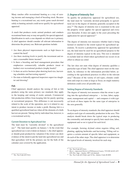<span id="page-14-0"></span>Many ranches offer recreational hunting as a way of earn ing income and managing a herd of breeding stock. Because hunting is a recreational use, any exotic game ranch devoted solely to hunting animals could never qualify for agricultural appraisal.

A ranch that produces exotic animal products and conducts recreational hunts may or may not qualify for special appraisal. Qualification in such a case depends on which use is primary. A chief appraiser should consider all relevant information to determine the primary use. Relevant questions include:

- Are there physical improvements such as high fences to control the herd?
- Are there stocking levels to justify the investment and en sure a reasonable future income?
- Is there a breeding and herd management procedure that emphasizes commercially valuable products (meat or leather) over recreational products (trophy heads)?
- Is there an active business plan showing herd size, harvesting schedules and harvesting reports?
- Do state or federally approved inspectors supervise slaughter and dressing?

#### **Fish**

Chief appraisers should analyze the raising of fish or fish products using the same primary use standards they apply to the keeping and raising of exotic animals. Commercial fish production differs from keeping fish for purely sporting or recreational purposes. This difference is not necessarily related to the scale of the operation, nor is it related to any intent to produce income or make a profit. Raising fish is a qualified agricultural land use when all the elements of a bulk harvest are present. Taking fish by individual line, however, is a recreational activity.

#### **Current Devotion to Agricultural Use**

- agricultural use is not evident on January 1, the chief apprais The land must be "currently devoted" to the agricultural use.<sup>61</sup> The land must qualify on January 1. In the event that er should grant productivity valuation if the owner can show evidence of the intent to put the land into agricultural use and that agriculture will be the primary use for the bulk of the calendar year covered by the application.

#### *3. Degree of Intensity Test*

To qualify for productivity appraisal for agricultural use, the land must be "currently devoted principally to agricul tural use to the degree of intensity generally accepted in the area."62 The degree of intensity test is examined in the year the property owner applies for special appraisal and every year thereafter. It does not apply to the years preceding the application for special appraisal.<sup>63</sup>

farmed or ranched to the extent typical for agricultural op-The degree of intensity test measures whether land is being erations. To receive a productivity appraisal for agricultural use, the land must be used for an agricultural purpose to the degree of intensity typical in the area. This test is intended to exclude land on which token agricultural use occurs in an effort to obtain tax relief.

The law does not state what degree of intensity qualifies a particular type of land. The chief appraiser must set the stan dards, by reference to the information provided below, according to the agricultural practices in effect in the relevant area.<sup>64</sup> Because of the variety of soil types, climatic conditions and crops in a state as large as Texas, no single statutory definition could cover all possible uses.

#### **Setting Degree of Intensity Standards**

The degree of intensity test measures what the owner is putting into the agricultural enterprise — in time, labor, equip ment, management and capital — and compares it with typi cal levels of these inputs for the same type of enterprise in the area generally.

To set degree of intensity standards, the chief appraiser should analyze each type of commodity production in the area. This analysis should break down the typical steps in producing the commodity and attempt to specify how much time, labor, equipment and so on is typical for each level.

- planting, applying herbicides and harvesting. Tilling soil re For example, farming dryland cotton requires tilling soil, quires a certain amount of specific labor and equipment, as do each of the other steps. The chief appraiser is to determine the typical levels of intensity involved for each step.

<sup>63</sup> *Riess v. Appraisal District of Williamson County*, 735 S.W.2d 633, 637- 638 (Tex. App.—Austin, 1987 writ denied)

<sup>62</sup> Tex. Tax Code §23.51(1)

<sup>64</sup> Tex. Tax Code §23.52(d); and 34 Tex. Admin. Code §9.4001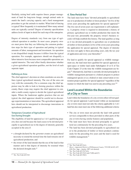<span id="page-15-0"></span>Similarly, raising beef cattle requires fences, proper manage ment of land for long-term forage, enough animal units to match the land's carrying capacity and a herd management procedure to get the animals to market. What kind of fencing is typical? How frequently is it maintained? How many animal units are typically carried? Degree of intensity specifications address levels of input in detail for each step of the enterprise.

Degree of intensity standards vary from one type of agri cultural operation to another. In most cases, property own ers must prove that they are following the common production steps for their type of operation and putting in typical amounts of labor, management and investment. An operation is not disqualified simply because it differs from the typical operation. For example, appraisers should not disqualify a labor-intensive farm because most comparable operations are capital-intensive. The total effort finally determines whether a given agricultural operation qualifies, not the level of each separate input.

#### **Defining an Area**

The chief appraiser's decision on what constitutes an area de fines typical agricultural intensity. The size of the area can vary with the commodity. For a common crop, the chief ap praiser may be able to look to farming practices within the county. Rarer crops may require the chief appraiser to con sider a multi-county region to decide the typical agricultural inputs. Where the landowner applies practices that are not typical, the chief appraiser should be careful not to discour age experimentation or innovation. The agricultural appraisal laws should not be interpreted to discourage innovations in agricultural production.

#### **Temporary Cessation of Agricultural Use During Drought**

- The eligibility of land for appraisal as 1-d-1 qualifying prop erty does not end because the land ceases to be devoted principally to agricultural use to the degree of intensity generally accepted in the area if:

- a drought declared by the governor creates an agricultural necessity to extend the normal time the land remains out of agricultural production; and
- the owner of the land intends that the use of the land in that manner and to that degree of intensity be resumed when the declared drought ends.<sup>65</sup>

#### *4. Time Period Test*

The land must have been "devoted principally to agricultural use or to production of timber or forest products" for five of the seven years preceding the application for special appraisal.<sup>66</sup> The five-out-of-seven-years use requirement is self-explanato ry. A property owner is required to demonstrate a history of primary agricultural use or timber production that meets the five-year test; presumably the property owner's business re cords will help establish this history. The land qualifies as long as it was devoted principally to agriculture use or production of timber or forest products in five of the seven years preceding the application for special appraisal. The degree of intensity test does not apply to these preceding years, only the tax year of application and every year thereafter.67

For land to qualify for special appraisal as wildlife manage ment use, the land must have qualified for special appraisal as open-space or timber land under Subchapters D or E of Tax Code Chapter 23 at the time the wildlife management use be gan.68 Alternatively, land that is currently devoted principally to wildlife management pursuant to a federal program to protect endangered species or as a federal or state conservation or res toration project qualifies for special appraisal "regardless of the manner in which the land was used in any preceding year."<sup>69</sup>

# **Land Located Within the Boundaries of a City or Town**

- Land within the boundaries of a city or town often will not qual ify for special appraisal. Land located within an incorporated city or town must meet not only the criteria applicable to 1-d-1 land but also must meet one of the following additional criteria:

- The city or town must not provide the land with general services comparable to those provided in other parts of the city or town having similar features and population.
- The land must have been devoted principally to agricul tural use continuously for the preceding five years.
- or to the production of timber or forest products continu-• The land has been devoted principally to agricultural use ously for the preceding five years and the land is used for wildlife management.<sup>70</sup>

<sup>67</sup> *Riess v. Appraisal District of Williamson County*, 735 S.W.2d 633, 637- 638 (Tex. App.—Austin, 1987 writ denied)

- <sup>69</sup> Tex. Tax Code §23.51(1) and  $(7)(B)$  and  $(C)$
- <sup>70</sup> Tex. Tax Code §23.56(1)

 $66$  Tex. Tax Code §23.51(1)

Tex. Tax Code §23.51(7)(A)

<sup>&</sup>lt;sup>65</sup> Tex. Tax Code §23.522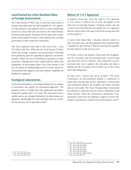# <span id="page-16-0"></span>**Land Owned by a Non-Resident Alien or Foreign Government**

Tax Code Section 23.56(2) and (3) state that some kinds of foreign ownership make the land ineligible for 1-d-1 apprais al. Under the law, if the property owner is a non-resident alien (a non-U.S. citizen who does not reside in the United States), the land cannot qualify. Similarly, the law states that a corpo ration cannot qualify its land if a non-resident alien, a foreign government or both control the corporation.

The Texas Supreme Court held in *HL Farm Corp. v. Self,* 877 S.W.2d 288 (Tex. 1994), that Tax Code Section 23.56(3), which bars foreign corporate and governmental ownership from qualifying land for agricultural appraisal, unconstitu tionally violates the Texas Constitution's guarantee of equal protection. Although the Court's opinion did not address the ineligibility of non-resident aliens (Tax Code Section 23.56 (2)), its reasons for holding Subsection (3) of that statute un constitutional also applies to the non-resident's eligibility for productivity appraisal.

# **Ecological Laboratories**

Land used principally as an ecological laboratory by colleges or universities may qualify for agricultural appraisal.<sup>71</sup> The property owner is to follow the same application procedures required to qualify other 1-d-1 land. The land must be prin cipally used as an ecological laboratory. In determining use, appraisers should apply the same principles they use to iden tify the primary use of agricultural land.72

# **Waiver of 1-d-1 Appraisal**

A property owner may waive the right to 1-d-1 appraisal. A 1-d-1 waiver is effective for 25 years and applies to the land even if ownership changes.73 Property owners may file a waiver even if the land does not qualify for 1-d-1 appraisal. Waivers may be filed with some or all of the taxing units that tax the property.74

A waiver filed before May 1 becomes effective when it is filed. For good cause, the chief appraiser may extend the May 1 deadline for up to 60 days.75 Waivers filed after the deadline become effective in the next tax year.<sup>76</sup>

To revoke a waiver, the property owner must file an applica tion for revocation with the governing body of each taxing unit where the waiver is effective. The taxing unit's govern ing body must vote to approve the revocation and make a finding that the revocation will not affect any of the taxing unit's debt obligations.<sup>77</sup>

- utility districts within the commission's jurisdiction. Com missioners courts have the authority to approve waivers sub-In some cases, a waiver may not be revoked.<sup>78</sup> The Texas Commission on Environmental Quality is authorized to make rules ensuring that waivers submitted to conservation and reclamation districts are properly and timely executed and are irrevocable. The Texas Transportation Commission has authority to make the rules for waivers submitted to road mitted to road districts created by the commissioner's court.79

Tex. Tax Code  $\S 23.20(d)$  and (e)

 $\overline{73}$  Tex. Tax Code §23.20(c) and (d)

Tex. Tax Code  $§23.20(b)$ 

Tex. Tax Code  $§23.20(c)$ 

 $76$  Tex. Tax Code §23.20(c)

Tex. Tax Code §23.20(d)

<sup>79</sup> Tex. Tax Code §23.20

 $71$  Tex. Tax Code §23.51(1)

 $72$  Tex. Tax Code §23.51(1)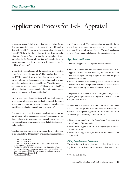# <span id="page-18-0"></span>Application Process for 1-d-1 Appraisal

A property owner claiming his or her land is eligible for ag ricultural appraisal must complete and file a valid applica tion with the chief appraiser of the county where the land is located.<sup>80</sup> To be valid, the application for agricultural valuation must be on a form provided by the appraisal district, prescribed by the Comptroller's office and contain the infor mation necessary for the appraisal district to determine the validity of the claim.<sup>81</sup>

In applying for special appraisal, the property owner is required to use the appraisal district's form.82 The appraisal district is to use PTAD's model form or a form that varies somewhat in format and wording, but contains information which is in sub stantial compliance with the model form.<sup>83</sup> The chief appraiser can require an applicant to supply additional information if the initial application does not contain all the information neces sary to rule on that particular application.<sup>84</sup>

Landowners must file applications with the chief appraiser in the appraisal district where the land is located. Taxpayers whose land is appraised by more than one appraisal district must file an application in each appraisal district.<sup>85</sup>

A property owner may file a single application form cover ing all tracts within an appraisal district. The property owner does not have to file a separate form for each tract if he or she provides sufficient information to show that all tracts qualify under the law.

The chief appraiser may want to encourage the property owner to file a single form if the property owner is farming or ranching

 $85$  Tex. Tax Code  $\S$ 23.54(a)

several tracts as a unit. The chief appraiser is to consider the entire agricultural operation as a unit, not separately, with respect to the activities on each individual parcel. The single application form notifies the appraisal district of the unity of operation.

## **Application Forms**

The form to apply for 1-d-1 special appraisal must:

- has not changed and only supply information not previ-• allow a claimant who has previously been allowed 1-d-1 appraisal to indicate that previously reported information ously reported; and
- include a space for the property owner to state his or her date of birth. Failure to provide date of birth, however, does not affect eligibility for appraisal under 1-d-1.86

The general PTAD model Form 50-129 *[Application for 1-d-1](http://comptroller.texas.gov/taxinfo/taxforms/50-129.pdf) [\(Open-Space\) Agricultural Use Appraisal](http://comptroller.texas.gov/taxinfo/taxforms/50-129.pdf)* is available on the Comptroller's website.

In addition to the general form, PTAD has three other model forms on the Comptroller's website that may be used for re quests for 1-d-1 special appraisal, for timber land use or use as an ecological laboratory. These forms are:

- Form 50-166 *[Application for Open-Space Land Appraisal](http://comptroller.texas.gov/taxinfo/taxforms/50-166.pdf) [for Ecological Laboratories](http://comptroller.texas.gov/taxinfo/taxforms/50-166.pdf)*
- Form 50-167 *[Application for 1-d-1 \(Open-Space\) Timber](http://comptroller.texas.gov/taxinfo/taxforms/50-167.pdf)  [Land Appraisal](http://comptroller.texas.gov/taxinfo/taxforms/50-167.pdf)*
- Form 50-281 *[Application for Restricted-Use Timber Land](http://comptroller.texas.gov/taxinfo/taxforms/50-281.pdf) [Appraisal](http://comptroller.texas.gov/taxinfo/taxforms/50-281.pdf)*

#### *Filing Deadline and Extension*

The deadline for filing applications is before May 1, mean ing the application form must be postmarked or filed no later

<sup>80</sup> Tex. Tax Code §23.54(a)

<sup>&</sup>lt;sup>81</sup> Tex. Tax Code  $$23.54(b)$ <br><sup>82</sup> Tax Tax Code  $$23.54(b)$ 

Tex. Tax Code §23.54(b)(1) and 34 Tex. Admin. Code §9.402(a)

<sup>83</sup> 34 Tex. Admin. Code §9.402(a)

<sup>84</sup> Tex. Tax Code §23.54(b)(2); 23.57(a) and (b); and *Cordillera Ranch, Ltd. v. Kendall County Appraisal District*, 136 S.W.3d 249, 254 (Tex. App.—San Antonio, 2004) (burden of proof on applicant to clearly show entitled to special appraisal)

 $86$  Tex. Tax Code §23.54(c)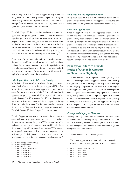<span id="page-19-0"></span>than midnight April 30.87 The chief appraiser may extend the filing deadline at the property owner's request in writing be fore the May 1 deadline, for good cause, but not for more than 60 days.88 If the timely request for extension is granted, a late application penalty should not be imposed.

Tax Code Chapter 23 does not define good cause to excuse late applications for special appraisal. Under Tax Code Section 41.45 regarding protest hearings, however, good cause to excuse a property owner's failure to appear at an appraisal review board hearing "means a reason that includes an error or mistake that: (1) was not intentional or the result of conscious indifference; and (2) will not cause undue delay or other injury to the person authorized to extend the deadline or grant a rescheduling."89

Good cause also is commonly understood as circumstances the applicant could not control, such as being sick or injured and not able to transact normal business for a period that ef fectively prevents filing on time. Being out of town on busi ness or vacation or simply forgetting about the filing deadline typically is not sufficient to show good cause.

#### *Late Applications and 10 Percent Penalty*

- before the appraisal review board approves the appraisal re tax if imposed at market value and the tax imposed at the ag-If the before-May-1 deadline is missed, the property owner may submit a late application for special appraisal if it is filed cords for that year (usually in July).<sup>90</sup> If special appraisal is approved, the property owner is liable for a penalty for this late application equal to 10 percent of the difference between the ricultural productivity value.<sup>91</sup> If the chief appraiser extended the application filing deadline for the property owner under Tax Code Section 23.54(d), this penalty does not apply.

The chief appraiser must note the penalty in the appraisal records and send the property owner written notice explaining the reasons for imposing the penalty.<sup>92</sup> The tax assessor of the taxing unit adds the penalty amount to the tax bill and collects the penalty along with the annual tax payment. $93$  The amount of the penalty constitutes a lien against the property against which the penalty is imposed, as if it were a tax, and accrues penalty and interest in the same manner as a delinquent tax.<sup>94</sup>

- <sup>90</sup> Tex. Tax Code §§23.541(a) and 41.12
- <sup>91</sup> Tex. Tax Code §23.541(b)
- <sup>92</sup> Tex. Tax Code §23.541(c)

#### *Failure to File the Application Form*

If a person does not file a valid application before the ap praisal review board approves the appraisal record, the land is ineligible for an agricultural appraisal in that tax year.<sup>95</sup>

#### *One-Time Application*

- Once the application is filed and approved under 1-d-1 re - quirements, the land continues to receive agricultural ap praisal every year without a new application unless the ownership changes, the land's eligibility ends or the chief ap praiser requires a new application.<sup>96</sup> If the chief appraiser has good cause to believe that land no longer is eligible for spe cial appraisal, the chief appraiser may require a new applica tion to confirm that the land currently is eligible by delivering to the property owner written notice that a new application is required along with the application form itself.<sup>97</sup>

# **Penalty for Failure to Provide Notice of Change in Category or Class Use or Eligibility**

Tax Code Section 23.54(h) imposes a duty on property own-- in the category of agricultural use" occurs or "after eligibil ers who receive productivity appraisal on their land to notify the appraisal district in writing before May 1 "after a change ity for appraisal under [Tax Code Chapter 23, Subchapter D] ends." A "penalty is imposed on the property" for failure to notify the appraisal district as required "equal to 10 percent of the difference between the taxes imposed on the property in each year it is erroneously allowed appraisal under [Tax Code Chapter 23, Subchapter D] and the taxes that would otherwise have been imposed."98

#### *Change in Category or Class Use*

- A category of agricultural use is defined as "the value classi fication of land considering the agricultural use to which the land is principally devoted."99 Although the Tax Code refers to land categories, this manual follows common usage and designates them land classes.

Tax Code Section 23.51(3) further provides:

The chief appraiser shall determine the categories into which land in the appraisal district is classified.

- Tex. Tax Code §23.54(e)
- <sup>97</sup> Tex. Tax Code §23.54(e)
- Tex. Tax Code §23.54(h)

<sup>87</sup> Tex. Tax Code §§1.08 and 23.54(d)

<sup>88</sup> Tex. Tax Code §23.54(d)

<sup>89</sup> Tex. Tax code §41.45(e-2)

<sup>93</sup> Tex. Tax Code §23.541(d)

<sup>94</sup> Tex. Tax Code §23.541(d)

<sup>95</sup> Tex. Tax Code §§23.54(e) and 23.541

<sup>99</sup> Tex. Tax Code §23.51(3)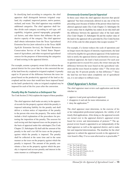<span id="page-20-0"></span>In classifying land according to categories, the chief appraiser shall distinguish between irrigated crop land, dry cropland, improved pasture, native pasture, orchard, and waste. The chief appraiser may establish additional categories. The chief appraiser shall fur ther divide each category according to soil type, soil capability, irrigation, general topography, geographi cal factors, and other factors that influence the pro ductive capacity of the category. The chief appraiser shall obtain information from the Texas Agricultural Extension Service [now referred to as the Texas A&M AgriLife Extension Service], the Natural Resources Conservation Service of the United States Depart ment of Agriculture, and other recognized agricultural sources for the purposes of determining the categories of land existing in the appraisal district.

For example, assume a property owner fails to inform the apequal to 10 percent of the difference between the taxes impraisal district for five years that he or she converted the use of the land from dry cropland to irrigated cropland. A penalty posed based on the productivity appraisal of the land as dry cropland and the taxes that would have been imposed based on the land's productivity value as irrigated cropland may be imposed for each of the five years after the conversion.

#### *Penalty May Be Treated as a Delinquent Tax*

Tax Code Section 23.54(i) explains the impact of these penalties:

The chief appraiser shall make an entry in the appraisinclude a brief explanation of the procedures for proal records for the property against which the penalty is imposed indicating liability for the penalty and shall deliver a written notice of imposition of the penalty to the person who owns the property. The notice shall testing the imposition of the penalty. The assessor for each taxing unit that imposed taxes on the property on the basis of appraisal under this subchapter [Tax Code Chapter 23, Subchapter D] shall add the amount of the penalty to the unit's tax bill for taxes on the property against which the penalty is imposed. The penalty shall be collected at the same time and in the same manner as the taxes on the property against which the penalty is imposed. The amount of the penalty con stitutes a lien on the property against which the pen alty is imposed and accrues penalty and interest in the same manner as a delinquent tax.

#### *Erroneously Granted Special Appraisal*

In those cases where the chief appraiser discovers that special appraisal "has been erroneously allowed in any one of the five preceding years because of failure of the person whose land was allowed appraisal under [Tax Code Chapter 23, Subchapter D] to give notice that its eligibility has ended, he [or she] shall add the difference between the appraised value of the land under [Tax Code Chapter 23, Subchapter D] and the market value of the land to the appraisal roll as provided by [Tax Code] Section 25.21 of this code for other property that escapes taxation."100

For example, if a farmer reduces the scale of operations and no longer meets the degree of intensity requirements, the land will not be eligible for agricultural appraisal. If the landowner fails to notify the appraisal district and therefore receives ag ricultural appraisal, the land is back-assessed. For each year in question (not to exceed five years), the owner must pay the difference between the taxes based on the agricultural valu ation and the taxes based on market value.101 The owner also must pay the 10 percent penalty on that difference.<sup>102</sup> Since the land has not been taken completely out of agricultural use, it is not subject to rollback taxes.

## **Chief Appraiser's Action**

The chief appraiser must review each application and decide whether to:

- approve it and grant agricultural appraisal;
- disapprove it and ask for more information; or
- deny the application. $103$

The chief appraiser must determine, in the exercise of his or her independent professional judgment, the validity of all timely filed applications. After doing so, the appraisal records are turned over to the appraisal district's appraisal review board for review and determination of protests.<sup>104</sup> The appraisal review board is appointed to act independently of the chief appraiser as well as the appraisal district, and to make fair and impartial determinations. The deadline for the chief appraiser to submit the appraisal records to the appraisal re view board is May 15 or as soon afterward as is practicable.105

- <sup>102</sup> Tex. Tax Code §23.54(h)
- <sup>103</sup> Tex. Tax Code §23.57(a)(1), (2), (3)

<sup>105</sup> Tex. Tax Code §25.22(a)

<sup>100</sup> Tex. Tax Code §23.54(j)

<sup>101</sup> Tex. Tax Code §23.54(j)

<sup>104</sup> Tex. Tax Code §23.57(c)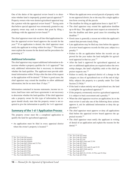<span id="page-21-0"></span>One of the duties of the appraisal review board is to deter mine whether land is improperly granted special appraisal.<sup>106</sup> Property owners who were denied agricultural appraisal may file a protest with the appraisal review board.<sup>107</sup> Taxing units that believe special appraisal was erroneously granted to any property owner may seek to remove that grant by filing a challenge with the appraisal review board.<sup>108</sup>

The chief appraiser must rule on all late-filed applications before the appraisal review board approves the records for the year.109 If an application is denied, the chief appraiser must notify the applicant in writing within five days.110 This notice must explain the reasons for the denial and the procedures for protesting it.<sup>111</sup>

#### *Additional Information*

The chief appraiser may request additional information to de termine whether a property qualifies for 1-d-1 appraisal<sup>112</sup> but only additional information that is necessary to determine whether the land qualifies. The applicant must provide additional information within 30 days after the date of the request or the application will be denied.113 If there is good cause, the chief appraiser may extend the deadline to allow additional information, but for no more than 15 days.<sup>114</sup>

- Information contained in income statements, income tax re asks a property owner for this type of information, the request should clearly state that the property owner is not returns, land lease rates and lease agreements is not necessary to determine whether the land qualifies. If the chief appraiser quired to give the information to qualify for 1-d-1 appraisal.

## **Summary of the 1-d-1 Application Process**

The property owner must file a completed application to qualify the land for agricultural appraisal.

- An application must be filed in every appraisal district where the owner's property is located.<sup>115</sup>
- <sup>106</sup> Tex. Tax Code §41.01(a)(5)

- <sup>108</sup> Tex. Tax Code §41.03(a)(4)
- <sup>109</sup> Tex. Tax Code §§23.541(a) and 23.57(c)
- <sup>110</sup> Tex. Tax Code §23.57(d)
- <sup>111</sup> Tex. Tax Code §23.57(d) <sup>112</sup> Tex. Tax Code §23.57(b)
- <sup>113</sup> Tex. Tax Code §23.57(b)
- <sup>114</sup> Tex. Tax Code §23.57(b)
- <sup>115</sup> Tex. Tax Code §§6.01(b) and 23.54(a)
- Where the applicant owns several parcels of property with in one appraisal district, he or she may file a single applica tion form covering all the parcels.
- The deadline for filing an application form is April 30.<sup>116</sup>
- up to 60 days. The applicant must request an extension be • The chief appraiser may extend the application deadline fore the deadline and show good cause for extending the deadline.<sup>117</sup>
- Good cause is generally a reason not within the applicant's control that prevents timely filing.
- Late applications may be filed any time before the appraisal review board approves records for that year, subject to a penalty.118
- Failure to file an application before the records are ap proved for the year makes the land ineligible for agricul tural appraisal in that tax year.<sup>119</sup>
- new or additional applications are required unless the ownership changes, the land's eligibility ends or the chief ap-• After the land is approved for agricultural appraisal, no praiser requests one.<sup>120</sup>
- category or class of agricultural use or of the end of eligi • Failure to notify the appraisal district of a change in the bility subjects the property to a penalty under Tax Code Section 23.54(h).<sup>121</sup>
- If the land is taken entirely out of agricultural use, the land is ineligible for agricultural appraisal.<sup>122</sup>
- If the property erroneously receives agricultural appraisal, it is subject to back assessment and a penalty.<sup>123</sup>
- approve it, ask for additional information or deny the ap-• When the chief appraiser receives an application, he or she must review it and take one of the following three actions: plication.124
- filed before the appraisal review board approves the ap-• The chief appraiser must approve or deny all applications praisal records.125
- The chief appraiser must notify the applicant in writing of denial of an application and explain the reasons for the denial.126

- <sup>117</sup> Tex. Tax Code §23.54(d)
- <sup>118</sup> Tex. Tax Code §23.541
- <sup>119</sup> Tex. Tax Code §§23.54(e) and 23.541
- <sup>120</sup> Tex. Tax Code §23.54(e)
- <sup>121</sup> Tex. Tax Code §23.54(h)
- <sup>122</sup> Tex. Tax Code §§23.51(1) and (2) and 23.52
- $123$  Tex. Tax Code  $\S$ §23.54(h) and (j)
- <sup>124</sup> Tex. Tax Code §23.57
- <sup>125</sup> Tex. Tax Code §§23.54, 23.541, 23.57(c) and 25.22(a)
- <sup>126</sup> Tex. Tax Code §23.57(d)

<sup>107</sup> Tex. Tax Code §41.41(a)(5)

<sup>&</sup>lt;sup>116</sup> Tex. Tax Code §23.54(d)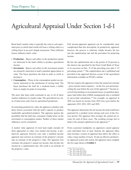# <span id="page-22-0"></span>Agricultural Appraisal Under Section 1-d-1

Rural land's market value is typically the cash or cash equiv alent price at which land would sell from a willing seller to a willing buyer in an arm's-length transaction. Three different factors influence land's value:

- **Production** Buyers and sellers in the production market are interested in the land's ability to produce agricultural income.
- **Investment** Buyers and sellers in the investment market are primarily interested in land's potential appreciation in value. The buyer purchases the land in order to resell or develop it.
- • **Consumption** Those in the consumption market are pri marily interested in the satisfaction of owning land. The buyer purchases the land for a weekend home, a hobby farm or simply for pride of ownership.

markets influences its market value. The agricultural use val-The price that land could command in any or all of these ue of land arises only from its agricultural production.

In estimating productivity value, the appraiser considers only those factors associated with the land's capacity to produce marketable agricultural products. The appraiser ignores the possibility that the land may command a higher price on the investment or consumption market. Neither of these market influences can be considered.

three approaches to value: cost, market and income. A pro-A market value appraisal of rural land might consider all ductivity appraisal, however, uses only a modified income approach and converts an estimate of the property's income into an estimate of the property's value. The appraiser first estimates the property's annual net income, then divides the income by a capitalization rate. The result is an estimate of the property's value.

Full income-approach appraisal can be considerably more complicated than this description. In productivity appraisal, however, the process is relatively simple because the law sets the capitalization rate and the procedure for projecting income.

By law, the capitalization rate is the greater of 10 percent or the interest rate specified by the Farm Credit Bank of Texas or its successor on Dec. 31 of the preceding year, plus 2 1/2 percentage points.127 The capitalization rate is published and provided to the appraisal districts as part of the agricultural information available on PTAD's website.

- – gross income minus expenses – on the five-year period pre ceding the year before the year of the appraisal.<sup>128</sup> Income re-The law requires the appraiser to base the annual net estimate ceived from hunting or recreational leases on qualified openspace land (other than wildlife management) also is included in net-to-land calculations.<sup>129</sup> For example, an appraisal in 2016 was based on income from 2014 (two years before the appraisal), 2013, 2012, 2011 and 2010.

year period. The appraiser then averages the annual net in-The appraiser determines the net income the land would have generated by a prudent owner during each year of the fivecome for each of these years. The resulting average (net to land) is the amount capitalized in the appraisal.<sup>130</sup>

value a large number of tracts. To put an effective productiv-From a practical standpoint, tax appraisers cannot appraise each individual tract of land. Instead, the appraisal office must develop a system of appraisal that allows the office to ity appraisal system into action, the appraiser must complete the five steps shown in **Exhibit 3**.

<sup>&</sup>lt;sup>127</sup> Tex. Tax Code §23.53

<sup>128</sup> Tex. Tax Code §23.51(4)

<sup>129</sup> Tex. Tax Code §23.51(4)

<sup>130</sup> Tex. Tax Code §23.51(4) and (5)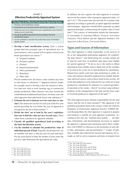#### <span id="page-23-0"></span>EXHIBIT 3 **Effective Productivity Appraisal System**

#### **Five Steps to an Effective Productivity Appraisal System**

- 1. Develop a land classification system.
- 2. Estimate the net to land per acre for each class or subclass.
- 3. Divide the class' net to land by the year's capitalization rate to find the value per acre in each class.
- 4. Classify all qualified agricultural land according to the land classification system.
- 5. Use the schedule to calculate the productivity value of individual parcels of land.
- 1. **Develop a land classification system.** Such a system groups land into principal types of agricultural uses. In most instances, such a system will recognize at least seven broad agricultural use classes:<sup>131</sup>
	- a) Irrigated cropland
	- b) Dryland cropland
	- c) Orchard
	- d) Improved pastureland
	- e) Native pastureland
	- f) Wasteland
	- g) Other land

Not all counties have all classes; some counties may have to add classes or subclasses.<sup>132</sup> Appraisal districts might, for example, need to develop a class for unusual or inten sive land uses such as truck farming, egg or commercial poultry production. Other intensive uses may warrant the establishment of additional land classes. In many cases, the chief appraiser must split broad classes into subclasses.133

- **-** 2. **Estimate the net to land per acre for each class or sub class.** The annual net income for each year of the five-year period preceding the year before the year of appraisal is averaged for the net to land estimate.<sup>134</sup>
- **-** 3. **Divide the class' net to land by the year's capitaliza tion rate to find the value per acre in each class.** These values form a productivity appraisal schedule.
- 4. **Classify all qualified agricultural land according to the land classification system.**
- individual parcels of land. Typically, the productivity val-5. **Use the schedule to calculate the productivity value of**  ue schedule will show a value per acre for each land class. For any given parcel of land, the number of acres times the per-acre value determines the agricultural use value.

In addition, the law requires the chief appraiser to estimate and record the market value of property appraised under 1-d and 1-d-1.135 The system must also provide for a market value appraisal according to generally accepted appraisal methods and techniques. Appraisers should follow generally accepted appraisal principles in determining the market value of rural land.<sup>136</sup> Two sources of information include the International Association of Assessing Officers' *Property Assessment Valuation, Third Edition* and the Appraisal Institute's *The Appraisal of Real Estate, Fourteenth Edition*.

# **Types and Sources of Information**

his or her independent professional judgment, for establish-The chief appraiser is solely responsible, in the exercise of ing land classes $137$  and determining the average annual net to land for each class of qualified open-space land eligible for special appraisal.138 To do so, he or she needs to obtain information from reliable sources about each of the variables to be used in his or her net to land productivity calculations. Shared lease and/or cash lease data pertaining to yields, in come and expenses should be gathered from reliable federal, state and local sources such as those listed in this section. All of the data gathered is to be analyzed for use in the net to land productivity calculations by reference to a typical agricultur al operation in the county – that of "an owner using ordinary prudence in the management of the land and the farm crops or livestock produced or supported on the land."139

The chief appraiser bears ultimate responsibility for the land classes and the net to land estimates $140$  (the appraisal of all qualified agricultural land in the county). Under the Uniform Standards of Professional Appraisal Practice (USPAP) Re cord Keeping Rule, the chief appraiser is required to prepare and maintain a workfile for each appraisal assignment. Ac cording to this rule, the "workfile must include . . . all other data, information, and documentation necessary to support the appraiser's opinions and conclusions and to show compli ance with USPAP, or references to the location(s) of such oth er data, information, and documentation."<sup>141</sup> Copies of publicly available data collected for income and expenses, for ex ample, as well as survey responses and notes or minutes from

- <sup>137</sup> Tex. Tax Code §§23.51(3) and 23.52(b)
- <sup>138</sup> Tex. Tax Code §§23.51(4) and 23.52(b)

<sup>&</sup>lt;sup>131</sup> Tex. Tax Code §23.51(3)

<sup>132</sup> Tex. Tax Code §23.51(3)

<sup>133</sup> Tex. Tax Code §23.51(3)

<sup>134</sup> Tex. Tax Code §23.51(4)

 $135$  Tex. Tax Code §23.52(a) and (e)

<sup>136</sup> Tex. Tax Code §23.01(b)

<sup>139</sup> Tex. Tax Code §23.51(4) <sup>140</sup> Tex. Tax Code §§23.51(3),(4) and 23.52(b)

<sup>141</sup> Record Keeping Rule, USPAP Edition 2016-2017, at p. 11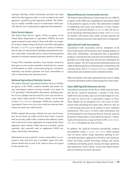<span id="page-24-0"></span>meetings detailing similar information provided and upon which the chief appraiser relies, is to be included in the chief appraiser's qualified ag land appraisal workfile. The follow ing are readily available sources of information which pro vide data for use in making these appraisal determinations.

#### *Farm Service Agency*

agents assigned to each county in Texas with offices in a major-the state. [Local FSA agents](http://offices.sc.egov.usda.gov/locator/app?state=tx&agency=fsa) typically are a source of informa-- tion on types of crops produced, planting and production prac The federal Farm Service Agency (FSA), an agency of the United States Department of Agriculture (USDA), has local ity of these counties along with Farm Loan offices throughout tices, crop yields, commodity prices, and government payment amounts or assistance program payments specific to the area.

County FSA committee members, local farmers elected by their peers to serve on the committee, should also be a source of information on yields, conservation programs, incentives, indemnity and disaster payments for local commodities as well as shared lease and cash lease terms.

#### *National Agricultural Statistics Service*

The federal National Agricultural Statistics Service (NASS), an agency of the USDA, conducts monthly and annual sur veys and prepares reports covering virtually every aspect of U.S. agriculture. Downloadable information, including num ber of acres planted and harvested for each crop and the average county yields specific to Texas counties, can be found - Agriculture Census every five years which has relevant infor on their [Texas Statistics](https://www.nass.usda.gov/Statistics_by_State/Texas/index.php) homepage. NASS also conducts the mation on ranch sizes and livestock.

NASS computes the average yield per acre, per crop. Its num-- operation, they generally need to supplement NASS esti bers do not break out yields received from richer or poorer land, nor do they reflect other variations that influence yields, such as the level of water application on irrigated lands. Since appraisers must estimate yields based on a prudent, typical mates with further information.

- Information on prices paid for various commodities on a re - gional or state-wide basis also is available. Again, this infor mation should only be used if the values it shows are typical for the specific area.

#### *Natural Resources Conservation Service*

The federal Natural Resources Conservation Service (NRCS), an agency of the USDA, has comprehensive information related to the productive capacity of soils. This information is helpful in establishing land classes and subclasses. In most counties, the NRCS can provide detailed [soil surveys](http://websoilsurvey.nrcs.usda.gov/app/) that will also assist in classifying individual parcels of land. [NRCS personnel](http://www.nrcs.usda.gov/wps/portal/nrcs/detail/soils/contactus/?cid=nrcs142p2_053943) are familiar with typical crops, yields, carrying capacities for livestock, production practices and typical lease arrangements.

#### *Agricultural Credit Associations*

Agricultural Credit Associations (ACAs), institutions of the Farm Credit System (FCS) that have direct lending authority to make short-, intermediate-, and long-term loans to agricultural producers, rural homeowners and some farm-related businesses, generally serve fairly large areas, but may have information for specific counties. The ACA may provide information about crop yields, production practices and leasing rates or shared lease and cash lease terms. The [FCS Institution Directory](https://www.fca.gov/info/directory.html) contains infor mation about each institution and its chartered territory.

Other local lenders who make agricultural loans may be willing to furnish information useful in determining net to land values.

#### *Texas A&M AgriLife Extension Service*

- Agricultural economists for the Texas A&M AgriLife Exten A&M University System, each year develop budgets for vari-These budgets are not designed to be a sole source of inforAgriLife Extension has a large network of 250 [county Exten](http://counties.agrilife.org/)sion Service (AgriLife Extension), a member of The Texas ous crops for each of the 12 agricultural regions in Texas. mation when calculating net to land values. However, they are a valid starting point and can be tailored to local conditions and practices. The [budgets,](http://agecoext.tamu.edu/resources/crop-livestock-budgets/budgets-by-extension-district/) as well as other information, may be downloaded by each Extension District from the AgriLife Extension's Department of Agricultural Economics' website. [sion offices](http://counties.agrilife.org/) throughout the state of Texas.

In addition, the AgriLife Extension periodically conducts and publishes online a [custom rate survey](http://agecoext.tamu.edu/resources/custom-rate-survey/) which includes rates on tractor rentals, tillage operations, planting or rowcrop field operations, application of fertilizer and chemicals, cotton harvesting, peanut harvesting, hauling and drying, combining and hauling grains, haying and silage operations, land preparation, brush control, various land improvements, and miscellaneous livestock operations.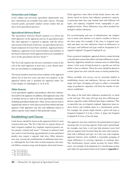#### <span id="page-25-0"></span>*Universities and Colleges*

Local college and university agriculture departments may have information not available from other sources. Through research grants, personnel conduct various studies that ad dress local agricultural practices.

#### *Agricultural Advisory Board*

The Agricultural Advisory Board's purpose is to advise the chief appraiser on the appraisal and use of agricultural land. The chief appraiser is required to appoint, with the advice and consent of the board of directors, an agricultural advisory board composed of at least three members. Appraisal district employees, appraisal review board members and members of the board of directors of the appraisal district are ineligible to serve on the agricultural advisory board.<sup>142</sup>

call of the chief appraiser at least once a year. Board mem-The Tax Code requires the advisory committee to meet at the bers are not entitled to compensation.<sup>143</sup>

The board members must have been residents of the appraisal district for at least five years and must own property in the appraisal district that is qualified for appraisal under Tax Code Chapter 23, Subchapters C, D, E or H.

#### *Other Sources*

Local agricultural suppliers and producers often have information useful to the appraiser. In addition, chief appraisers may wish to develop surveys to send to the local agricultural community, including agricultural landowners. These surveys may be used as original data and/or to verify data received from federal and state agencies. Chief appraisers may also seek additional sources to address specific issues related to their particular county.

#### **Establishing Land Classes**

- land: irrigated cropland, dry cropland, improved pasture, na uses may warrant the establishment of additional land classes. Although the Tax Code refers to land categories, this man-Land classes should be based on the appraisal district's most common land uses. The Tax Code lists six typical classes of tive pasture, orchard and waste.<sup>144</sup> Unusual or intensive land uses such as truck farming, egg production or mass-produced poultry may require a separate land class. Other intensive ual follows common usage and designates them land classes.

Chief appraisers must often divide broad classes into sub classes based on factors that influence productive capacity. A particular land class may include land with different soil types, soil capacity, irrigation levels, topography or geo graphical factors. These differences may affect productivity enough to define subclasses.

For record-keeping and ease of identification, the simplest way to name each subclass is to attach a number or letter to the class name. For example, if the class is irrigated crop land and there are four subclasses based on differences in soil types, each different soil type could be designated as Ir rigated Cropland I, Irrigated Cropland II, etc.

- a classification system that reflects all minor differences in pro From a practical standpoint, appraisal districts cannot develop ductivity. Appraisers should use common sense in subdividing classes. A few acres of land devoted to a specific use will not define a class or subclass. These few acres should be placed in a more typical use-class with the same or similar productivity.

range of productive capacities will limit the number of sub-Where available, soil surveys can be extremely helpful in establishing classes and subclasses. Surveys can reveal the major soil types. Grouping soil types to reflect a reasonable classes established.

as the soil type. The same soil type may have differing prois especially true on irrigated cropland. Appraisers must an-The slope of the land often influences productivity as much ductive capacities under different land slope conditions. This alyze factors and combine them in a classification system. For example, the system might classify a given soil type as Irrigated Cropland I if it has a Class A slope, but Irrigated Cropland II if it has a Class B slope.

and can support more livestock than the same native pasture-The classification system cannot account for minor differ-The appraiser may base subclasses for pastureland on typical stocking rates or carrying capacity. Some native pastureland, for example, may have a soil type that produces more feed land with a different soil type. As is the case with cropland, appraisal districts must establish a reasonable grouping of major differences in carrying capacities or stocking rates. ences. An example of development of a classification system and values for agricultural land can be found in **Appendix C**.

<sup>&</sup>lt;sup>142</sup> Tex. Tax Code §6.12

<sup>143</sup> Tex. Tax Code §6.12

<sup>144</sup> Tex. Tax Code §23.51(3)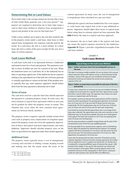# <span id="page-26-0"></span>**Determining Net to Land Values**

Net to land value is the average annual net income that a class of land would likely generate over a five-year period.<sup>145</sup> Appraisers are required to determine net to land value using a cash or share lease method or whatever lease arrangement is typical and prudent in the area for that land class.<sup>146</sup>

Under a lease method, net to land is the rent that would be due to the property owner under a cash lease, share lease or other typical lease arrangement, less expenses typically paid by the owner. In a cash lease, the rent is a fixed amount. In a share lease, the rent is a share of the gross receipts for the year, less a share of certain expenses.

## **Cash Lease Method**

A cash lease (cash rent) is an agreement between a landowner and tenant to lease for a fixed cash payment. This payment is usu ally in terms of dollars per acre for a period of one year. When the landowner leases on a cash basis, he or she ordinarily has no labor or operating capital costs. If the landowner has no expenses relating to the agricultural use of the land, the cash lease payment is virtually equivalent to a return on the land. If the prudent own er typically does pay some expenses, appraisers should deduct them from the lease payment to determine net to land.

#### *Terms of Lease*

The cash lease used for a specific land class should represent the payment to a prudent property owner. In some cases, the most common or typical lease agreement within an area may not be prudent for either the property owner or tenant. This situation may occur when the most common lease agreements are between family members.

- costs such as property taxes; depreciation on irrigation equip ment if the property owner also owns the equipment; deprecia-The property owner's expenses typically include certain fixed tion of fences and typical structural improvements; and water depletion. Appraisers should calculate property taxes on the basis of agricultural use appraisal rather than market appraisal.

#### *Additional Costs*

The property owner typically incurs a cost of management, covering such activities as finding a tenant, keeping records and making sure that the tenant meets the terms of the

contract agreement. In many cases, the cost of management is insignificant when calculated on a per-acre basis.

Although the typical cash lease landlord has few or no expens es, some leases may require him or her to pay additional ex penses. Appraisers should adjust these leases to typical terms before using them to estimate typical net lease payments. **Ex hibit 4** shows the steps in a typical cash lease approach.

In summary, the net to land value is the typical cash lease rate minus the typical expenses incurred by the landowner. **Appendix D**, Figure 1 provides a hypothetical example of the cash lease method.

#### EXHIBIT 4 **Cash Lease Method**

#### **Typical Steps in the Cash Lease Method**

#### **Step 1: Gather cash lease rates from knowledgeable persons in the area.**

This data is not always readily available. Do not use leases of an unusual nature; long-term leases with options to buy; or leases between family members. Leases of this type are not considered normal arm's length transactions and may not indicate the actual income-producing capacity of the soil.

#### **Step 2: Gather as many leases as possible for each year of the fiveyear period.**

In most cases, at least four to six leases per year are needed to develop a reliable net to land value for a specific land class. Typical leases usually fall within a narrow dollar range. The appraiser must choose one value to serve as a typical lease rate for the year.

For example, assume you discover four grazing leases and four hunting leases for native pastureland. The grazing lease payments are \$4.50 per acre, \$4.75 per acre, \$4.75 per acre and \$5.00 per acre for each year, respectively. The four hunting lease rates are \$3.50 per acre, \$3.50 per acre, \$3.50 per acre and \$3.25 per acre for each year, respectively.

You should not assume that the typical lease rate is an average of the lease rates collected. The typical lease rate is the most common or most likely lease rate. In the previous example, \$8.25 per acre would appear to be typical. This lease rate is based on a \$4.75 per acre grazing lease and a \$3.50 per acre hunting lease.

Use the same procedure to establish a typical lease rate for each of the remaining four years of the five-year qualifying period.

If a lease provides for an unusual owner expense, such as maintaining fences, adjust the payment by subtracting that expense. For example, suppose that fence maintenance in one lease costs the owner 40 cents per acre per year. The nominal lease payment is \$4.75 per acre. After adjustment, the payment is \$4.35 per acre.

Lease rates for grazing land are often a function of livestock carrying capacity. Appraisers measure livestock carrying capacity by the number of acres required to carry or support one animal unit. An animal unit is a standard for comparing different types of livestock that equals 1,000 pounds of live weight. A cow and its calf constitute one animal unit, as do six sheep or seven goats. When carrying capacity varies in the jurisdiction because of soils, topography or other factors, subclasses under the native pasture class should reflect the differences.

<sup>145</sup> Tex. Tax Code §23.51(4)

<sup>146</sup> Tex. Tax Code §23.51(4)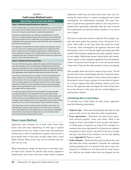#### <span id="page-27-0"></span>EXHIBIT 4 **Cash Lease Method (cont.)**

#### **Typical Steps in the Cash Lease Method**

#### **Step 3: Determine typical landowner expenses.**

In the example above, assume that the landowner has a cost of 50 cents per acre per year for depreciation of fences and 47 to 52 cents per acre per year for property taxes (based on agricultural appraisal).

Calculate the depreciation cost of fences by dividing the cost of the fences on a typical operation by their life expectancy, then dividing by the typical number of acres. Half of the cost of property line fences is attributed to the typical parcel; the other half of the cost is attributed to the land across the fences.

The appraiser should determine typical expenses according to actual practice in the area. Isolated unusual expenses in a single lease (like fence maintenance) are handled by adjusting the individual lease. If fence maintenance appears to be a typical expense, do not adjust the individual lease rates. Instead, include the fence expense as typical and subtract it from the typical lease rate.

#### **Step 4: Calculate the net to land value.**

For each of the five base years, subtract the expenses from the typical lease rate. The remainder is the net to land value. Average the five net to land values for each of the five years to obtain the overall net to land value for the land class for the five-year period (Appendix D, Figure 2). Divide this value by the capitalization rate to obtain the agricultural use value for the class.

Sound net to land values for one subclass can often be adjusted to fit other subclasses. For example, land with a carrying capacity of one animal unit per 20 acres can support twice as many animals as land with a carrying capacity of one animal unit per 40 acres. If the annual payment is \$3.00 per acre for the better land, one would reasonably expect the annual payment to be \$1.50, or half as much, for land that can support half as many animals.

In many areas agricultural land is also leased for hunting and other recreational purposes. The calculation of net to land value should include income from hunting leases in areas where native pasture and timber land are commercially leased for hunting or where a prudent manager would supplement his or her agricultural income with hunting lease income (e.g., where native pasture is also leased for hunting).

Like other lease income, hunting income should be net income. You should deduct typical owner's expenses from total income. However, items like property taxes and depreciation or any expenses attributable to both leases should only be deducted once. Do not subtract them from both hunting and agricultural income.

# **Share Lease Method**

Appraisers must estimate net to land values from share leases and cash leases depending on what type is typical and prudent in the area. Under a share lease, the landowner usually pays a share of production expenses and receives a prearranged share of the gross receipts rather than a fixed dollar amount. Share leases may vary by location and usu ally vary by crop.

When choosing the sample of share leases to develop a typical share lease amount for specific land classes, appraisers should select only leases with terms under which a prudent

landowner would lease the land; lease terms may vary. Se lecting the typical lease is a matter of judgment and careful investigation, not mathematical averaging. The most com mon or typical lease agreement within an area may not be a prudent lease agreement, especially when the most common lease agreements are between family members or are not at arm's length.

The terms of each lease must be analyzed. For example, sup pose one lease grants the property owner 40 percent of in come, while others in the same land class grant the owner 33 percent. After investigation, the appraiser discovers that the property owner receiving the higher percentage provides tenants with irrigation equipment that other property owners do not supply. Subtracting annual depreciation and mainte nance expense on the irrigation equipment from the property owner's 40 percent share brings his or her net income down to the same 33 percent the other property owners are making.

This example shows the need to analyze lease terms. The 40 percent return only seemed higher than the 33 percent return. Returns may also seem higher or lower when a lease requires the property owner to pay a greater or lesser share of expenses or to pay expenses that other property owners in the area do not. The appraiser must investigate the terms of the leases he or she chooses to rely upon and use careful judgment in making those choices.

#### *Calculating Net to Land Values*

To calculate net to land values for share leases, appraisers need the following information:

- **Typical crops** Determine the principal and typical crops grown in the area for the land class under consideration.
- • **Lease agreements** Determine the typical lease agree - property owner's percentage of gross income and expens ment between property owner and tenant. What is the es? What types of expenses are typical? For example, in a common share lease agreement for dryland grain sorghum, the property owner receives one-third of the gross receipts and pays one-third of the fertilizer, harvest and hauling costs (**Appendix D**, Figures 3 and 4).
- **Yield estimates** Determine the typical yield for the crops and land class being considered. Calculate the estimated yield per planted acre. If a portion of the area's crop is de stroyed by a hailstorm or not harvested for some reason, the yield per acre should reflect the acres planted, not the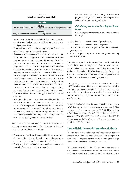# EXHIBIT 5 **Methods to Convert Yield**

<span id="page-28-0"></span>

| Methods'                                                                                        |  |  |  |  |  |
|-------------------------------------------------------------------------------------------------|--|--|--|--|--|
| Method 1<br>Harvested acres/Planted acres X Yield per harvested acre $=$ Yield per planted acre |  |  |  |  |  |
| Method 2<br>Total yield for all acres/Planted acres $=$ Yield per planted acre                  |  |  |  |  |  |

acres harvested. As shown in **Exhibit 5**, appraisers can use one of two methods to convert yield per harvested acre to yield per planted acre.

- **Price estimates** Determine the typical price farmers re ceive for the crops under consideration.
- being considered are typically enrolled in government sup - property owner received from the programs should be in For ARC, typical information would be the county benchmark Olympic average, Olympic bench mark price, benchmark revenue, the guarantee revenue, the actual yield, na-• **Government programs** – Determine whether the crops port programs, such as agriculture risk coverage (ARC) or price loss coverage (PLC). If they are, then any income the cluded in the calculation of net to land value. If government support programs are typical, more details will be needed. tional average price and the actual revenue. [NOTE: Do not use income from Conservation Reserve Program (CRP) payments. That program is discussed later in this manual.]
- **Cost estimates** Determine the typical variable and fixed expenses.
- **Additional income** Determine any additional income farmers typically receive and share with the property owner. For example, this would include income received from grazing cattle on wheat fields and any other income incidental to producing crops or raising livestock. In areas where grazing land is commonly set aside to rejuvenate the cover, adjust grazing income to reflect that fact.

After collecting and reviewing the above information, the next step is to choose a method for determining net to land value. The two available methods are:

- **Five-year average lease income** Use five-year averages of crop yields, prices, additional income and expenses to determine typical net to land values for each class.
- **Five yearly leases** Calculate the annual net to land value for each of the five years, then average them.

Because leasing practices and government farm programs change, using the method of separate cal culations for each year is preferable.

#### *Calculating Net Income for a Typical Share Lease*

Calculating net to land value for a share lease requires four steps:

- 1. Calculate the landowner's share of gross income.
- 2. Calculate the landowner's share of expenses.
- 3. Subtract the landowner's expenses from the landowner's gross income.
- 4. Repeat the preceding steps for the four years remaining in the base period.

The following provides the assumptions used in **Exhibit 6** which shows how to complete the four steps for calculating net to land value for a share lease. Using the example of dryland grain sorghum, **Exhibit 6** assumes that the property owner receives one-third of gross receipts and pays one-third of the fertilizer, harvest and hauling expenses.

The typical yield for one year in the five-year period was 2,165 pounds per acre. The typical price received on the yield was \$8.33 per hundredweight (cwt). The typical property owner shared the following costs with the tenant: \$15 per acre for fertilizer, \$10 per acre for harvesting and \$0.25 per cwt for hauling.

a formula payment rate of \$30.36. Since the benchmark revthe payment rate is \$20.40 per acre. Property taxes were ap-In this hypothetical area, farmers typically participate in ARC. During the year, the guarantee revenue was \$175.44 per acre and the actual revenue was \$145.08. This results in enue was \$204.00 and 10 percent of this is less than \$30.36, proximately \$1.75 per acre.

# **Unavailable Leases-Alternative Methods**

In some cases, neither share nor cash leases are available for comparison within the immediate area. For example, fish farms and exotic game ranches are rare; finding five to eight leases within the entire state may be difficult.

If leases are unavailable, the chief appraiser must use alter native methods to determine the amount a reasonable lessee in the area would pay to lease the land on either a cash or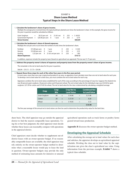#### EXHIBIT 6 **Share Lease Method Typical Steps in the Share Lease Method**

<span id="page-29-0"></span>

| Grain Sorghum<br>Government Payment =<br><b>Gross Income</b> | \$8.33 per cwt $X$<br>$=$<br>$$20.40$ per acre X                                                                                                                                                                                                                                                                                                                                                                                      | 21.65 cwt<br>1 acre       | X.<br>X            | .333<br>.333<br>$=$                       | $=$ \$ 60.05<br>6.79<br>\$66.84   |                                      |  |
|--------------------------------------------------------------|---------------------------------------------------------------------------------------------------------------------------------------------------------------------------------------------------------------------------------------------------------------------------------------------------------------------------------------------------------------------------------------------------------------------------------------|---------------------------|--------------------|-------------------------------------------|-----------------------------------|--------------------------------------|--|
|                                                              | 2. Calculate the landowner's share of shared expenses.<br>Multiply the cost per unit or acre times the number of units times the landowner's share.                                                                                                                                                                                                                                                                                   |                           |                    |                                           |                                   |                                      |  |
| Fertilizer<br>Harvest<br>Hauling<br><b>Share Expenses</b>    | \$15.00 per acre<br>X<br>1 acre<br>\$10.00 per acre<br>X<br>1 acre<br>\$.25 per cwt                                                                                                                                                                                                                                                                                                                                                   | X 21.65 cwt per acre X    | X<br>$\mathsf{X}$  | .333<br>$=$<br>.333<br>$=$<br>.333<br>$=$ | \$5.00<br>3.33<br>1.80<br>\$10.13 |                                      |  |
|                                                              | In addition, expenses include the property taxes (based on agricultural use appraisal). The tax was \$1.75 per acre.                                                                                                                                                                                                                                                                                                                  |                           |                    |                                           |                                   |                                      |  |
|                                                              | 3. Subtract the property owner's shares of expenses and property taxes from the property owner's share of gross income.                                                                                                                                                                                                                                                                                                               |                           |                    |                                           |                                   |                                      |  |
|                                                              | The remainder is the net to land value for the year in question.                                                                                                                                                                                                                                                                                                                                                                      |                           |                    |                                           |                                   |                                      |  |
| $$66.84 - $10.13 - $1.75 = $54.96$                           |                                                                                                                                                                                                                                                                                                                                                                                                                                       |                           |                    |                                           |                                   |                                      |  |
|                                                              | 4. Repeat these three steps for each of the other four years in the five-year period.<br>In most cases, more than one crop is typical and prudent in an area, so appraisers must calculate more than one net to land value for each year.<br>To develop a net to land value for a land class, you must combine the net to land values for each crop.                                                                                  |                           |                    |                                           |                                   |                                      |  |
|                                                              | Appraisers combine the net to land values established for each of the crops according to the percentage of crop mix. Suppose the dryland mix<br>was 40 percent grain sorghum, 30 percent cotton and 30 percent wheat. The net to land value for the individual crops was \$54.96 for grain<br>sorghum, \$27.59 for cotton and \$19.05 for wheat. The net to land value for the class is determined by calculating a weighted average. |                           |                    |                                           |                                   |                                      |  |
|                                                              | Crop                                                                                                                                                                                                                                                                                                                                                                                                                                  | <b>Crop</b><br><b>Mix</b> |                    | <b>Crop Net to</b><br><b>Land Value</b>   |                                   | <b>Combined Net</b><br>to Land Value |  |
|                                                              | Grain Sorghum                                                                                                                                                                                                                                                                                                                                                                                                                         | .40                       | $\mathsf{x}$       | \$54.96                                   | $=$                               | \$21.98                              |  |
|                                                              | Cotton                                                                                                                                                                                                                                                                                                                                                                                                                                | .30                       | $\pmb{\mathsf{X}}$ | \$27.59                                   | $=$                               | 8.28                                 |  |
|                                                              | Wheat                                                                                                                                                                                                                                                                                                                                                                                                                                 | .30                       | $\mathsf{x}$       | \$19.05                                   | $=$                               | 5.72                                 |  |

district to find the nearest comparable lease operations. Usshare basis. The chief appraiser may go outside the appraisal ing his or her best judgment, the chief appraiser must decide whether these leases can reasonably compare with operations in the appraisal district.

district leases with an owner-operator budget. If no reason-Chief appraisers must decide whether to supplement out-ofably comparable leases are available, the chief appraiser may rely entirely on the owner-operator budget method to deter mine what a reasonable lessee would pay to lease the land in question. Owner-operator budgets may provide the only method of estimating lease amounts for intensive or unusual agricultural operations such as truck farms or poultry farms geared toward mass production.

**Appendix B** discusses the owner-operator budget method.

# **Developing the Appraisal Schedule**

 $\sum_{k=1}^{7}$  schedule. Dividing the class net to land value by the capi-After calculating the average net to land values for each class and subclass, the appraiser develops an agricultural appraisal talization rate gives the class's agricultural use value. Using information from the previous example, **Exhibit 7** shows a typical class schedule.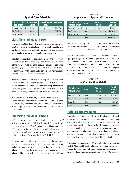# EXHIBIT 7 **Typical Class Schedule**

<span id="page-30-0"></span>

| <b>Capitalization</b><br><b>Land Class</b> | <b>Value</b> | Net-to-land $\vert$ Capitalization<br>Rate | Appraisal |
|--------------------------------------------|--------------|--------------------------------------------|-----------|
| Irrigated Cropland I                       | \$42.00      | .10                                        | \$420.00  |
| Dry Cropland I                             | \$35.98      | .10                                        | \$359.80  |
| Native Pasture I                           | \$4.90       | .10                                        | \$49.00   |

# **Classifying Individual Parcels**

The major problem facing the appraiser is determining the number of acres in each land class for each individual farm or ranch. This problem is especially difficult for appraisal dis tricts that have not developed land ownership maps.

information provide the most accurate means of determin-Detailed soil surveys contain maps on soils and topography characteristics. Ownership maps incorporating soil survey ing acreage per land class on an individual parcel. Tracing boundary lines with a planimeter gives a relatively accurate reading of acreage within the land classes.

Appraisal districts without ownership maps must develop a pro cedure for obtaining acreage breakdowns. The NRCS has infor mation on individual farms whose owners participate in govern mental programs. In addition, the NRCS developed conserva tion plans for many producers and can provide such information.

In many cases, it is necessary to obtain the assistance of the landowner in determining the acreage breakdown. The chief appraiser may consider requesting additional information from an applicant or asking for the breakdown of acres in each land class.

# **Appraising Individual Parcels**

If Farmer A owns a section of qualifying land (640 acres) of which 160 acres are classified as Irrigated Cropland I, 300 acres are classified as Dry Cropland I and 180 acres are clas sified as Native Pasture, the total agricultural value of the land would be calculated by applying the appraisal schedule to the breakdown of acres as shown in **Exhibit 8**.

The appraiser must estimate the market value of the land based on generally accepted market appraisal techniques. The ap praiser may appraise the total parcel or have a market value schedule that follows the same classes as the special appraisal schedule. The choice will depend on local market conditions

## EXHIBIT 8 **Application of Appraisal Schedule**

| <b>Number Land</b><br><b>Classification</b> | <b>Acres</b> |                           | Ag. Use<br><b>Value</b> |     | <b>Total Ag.</b><br><b>Use Value</b> |
|---------------------------------------------|--------------|---------------------------|-------------------------|-----|--------------------------------------|
| Irrigated Cropland I                        | 160          | $\boldsymbol{\mathsf{x}}$ | \$420.00                | $=$ | \$67,200                             |
| Dry Cropland I                              | 300          | $\mathbf{x}$              | 359.80                  | $=$ | 107,940                              |
| Native Pasture                              | 180          | X                         | 49.00                   | $=$ | 8,820                                |
| Total                                       | 640          |                           |                         |     | \$183,960                            |

and on the feasibility of a schedule approach. Often a market value schedule considers the size of the tract and its location, rather than its land classification or agricultural use.

Assuming a market schedule based on use classifications is appropriate, appraisers should apply the appropriate market value schedule to the number of acres in each land class. **Ex hibit 9** shows the calculation of market value assuming the market value schedule reflects \$2,000 per acre for Irrigated Cropland I, \$1,800 per acre for Dry Cropland I and \$1,600 per acre for Native Pasture.

#### EXHIBIT 9 **Market Value Schedule**

| <b>Number Land</b><br><b>Classification</b> | Acres |                           | <b>Market</b><br><b>Value</b> |     | <b>Total</b><br><b>Market</b><br><b>Value</b> |
|---------------------------------------------|-------|---------------------------|-------------------------------|-----|-----------------------------------------------|
| Irrigated Cropland I                        | 160   | $\boldsymbol{\mathsf{x}}$ | \$2,000                       | $=$ | \$320,000                                     |
| Dry Cropland I                              | 300   | $\boldsymbol{\mathsf{x}}$ | 1,800                         | $=$ | 540,000                                       |
| Native Pasture                              | 180   | X                         | 1,600                         | $=$ | 288,000                                       |
| Total                                       | 640   |                           |                               |     | \$1,148,000                                   |

# **Federal Farm Programs**

The federal government aids the agricultural industry through direct grants, low-interest loans, commodity subsidies and a variety of other measures. In some cases, participation in these programs affects the agricultural productivity value of farm and ranch land. This portion of the manual summarizes a few current federal programs that are available to producers and gives information about whether and how to adjust net to land calculations to account for federal financial aid.

The main programs are the Conservation Reserve Program (CRP), ARC and PLC. The CRP is a 10-15-year contract pro viding the landowner with yearly payments in exchange for removing land from agricultural production. ARC provides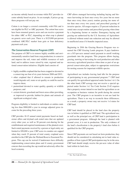<span id="page-31-0"></span>an income subsidy based on revenue while PLC provides in come subsidy based on price. As an example, if prices go up, these programs will not pay out.

Cotton is no longer a covered commodity with FSA and is not eligible for PLC or ARC payments. The cotton base acres have been renamed generic acres and can receive a payment for either ARC or PLC, depending on what crop is planted on generic acres each year. There is a \$125,000-per-person combined ARC/PLC market loan gain or loan deficiency payment each year.

#### *The Conservation Reserve Program (CRP)*

- The purpose of CRP is to remove highly erodible and envi - land; and to address issues raised by state, regional and na ronmentally sensitive land from crop production; to conserve and improve the soil, water and wildlife resources of such tional conservation initiatives. Eligible land consists of:

- highly erodible cropland that has been cropped or devoted to a conserving use four of six years between 2008 and 2013;
- other cropland that if allowed to remain in production would degrade soil, water or air quality or could be used to improve them;
- pastureland devoted to water quality, quantity or wildlife purposes; and
- certain historic grassland and forest areas either providing, or improved to provide, habitat for plants and animals of significant ecological value.

- Program eligibility is limited to individuals or entities mak ing less than \$900,000 a year in average adjusted gross income for the preceding three years.

- CRP provides 10-15 annual rental payments based on land - enrolled in the CRP plus the Wetland Reserve Easement Pro owner offers and dryland cash rental rates that are updated every other year, as well as 50 percent cost-sharing for the establishment and required maintenance of the planted cover. Such rental payments received by a person or legal entity are limited to \$50,000 a year. CRP acres in counties are capped when they reach 25 percent of total county cropland acres gram. This cap can be waived if landowners have difficulty implementing conservation plans and if county government concurs that exceeding the cap would not adversely affect the local economy.

CRP allows managed harvesting including haying and bio mass harvesting (at least once every five years but no more than once every three years); routine grazing (no more of ten than once every two years); and prescribed grazing of invasive species. All usages require a 25 percent reduction in rental rates except routine and prescribed grazing when done by a beginning farmer or rancher. Emergency haying and grazing use authorized by the U.S. Secretary of Agriculture is allowed without rental rate reduction and may be allowed in unaffected areas if it benefits impacted areas.

Beginning in 2016 the Grazing Reserve Program was re named the CRP Grazing Lands program. It pays landown ers a \$15-per-acre annual rental payment to enroll working grasslands into the program. This program allows haying, grazing, mowing or harvesting for seed production and other necessary agricultural practices when done as part of an ap proved conservation plan, subject to appropriate restrictions for nesting seasons for important wildlife species.

the other hand, CRP acreage may not receive a special ap-Agricultural use includes leaving land idle for the purpose of participating in any governmental program.<sup>147</sup> CRP land can qualify for agricultural appraisal under Section 1-d-1. On praisal under Section 1-d. Tax Code Section 23.42 requires that a property owner intend to use land for agriculture as an occupation or business venture for profit during the current year. The CRP program is an incentive to not use land for agriculture. There is no way to reconcile these differences; as a result, a property owner may not receive 1-d status for CRP land.

CRP land should be placed in the land class the property was in before it qualified as CRP land. The agricultural use, as well as the principal use, of CRP land is participation in a government program. Although the land is planted with ground cover, it is not in production. The only evidence of the land's classification is the property's land class before it qualified for the CRP program.

should not be considered in calculating net to land value re-Since CRP payments are not based on farm production, they gardless of how typical CRP participation may be in the area. CRP land should simply receive the per-acre value of other land within its land class.

 $147$  Tex. Tax Code §23.51(2)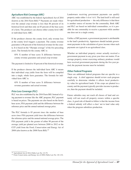#### <span id="page-32-0"></span>*Agriculture Risk Coverage (ARC)*

ARC was established by the federal Agricultural Act of 2014 (known as the 2014 Farm Bill).<sup>148</sup> Payments are made whenever the annual crop revenue is less than 86 percent of its historical level and then only on 85 percent of the base acres of a farm. The producer can choose either county-level ARC or individual farm ARC.

- guarantee is 86 percent of the historical revenue for the coun If the producer chooses the county level, only revenue loss at the county level triggers a payment. The county revenue ty. It is based on the "Olympic average" of the five preceding years. The formula for the county ARC is:

85% X number of base acres X difference between county revenue guarantee and actual crop revenue

The payment is limited to 10 percent of the historical revenue.

into a single, whole farm guarantee. The formula for indi-If the producer chooses the individual farm ARC it means that individual crop yields from the farm will be compiled vidual farm ARC is:

65% X number of base acres X difference between revenue guarantee and actual revenue.

#### *Price Loss Coverage (PLC)*

- PLC was also established by the 2014 Farm Bill. Instead of ty ing payment to revenue like the ARC program, PLC payment is based on prices. The payments are also based on the farm's base acres, FSA payment yield and the difference between the reference price and the annual national average price.

The PLC formula is 85 percent *times* the number of base acres *times* FSA payment yield *times* the difference between the reference price and the annual national average price. The FSA payment yield is the greater of either 90 percent of the average yield per planted acre between 2008 to 2012 or the CCP yield from the Food, Conservation and Energy Act of 2008 (also known as the 2008 Farm Bill).<sup>149</sup>

Landowners receiving government payments can qualify property under either 1-d or 1-d-1. The land itself is still used for agricultural production — the only difference is that there is another source of income for the commodity. Both ARC and PLC are based on individual commodities, so it is pos sible for one commodity to receive a payment while another one does not in a single county.

to the land's productivity. Appraisers should include govern-Unlike a CRP payment, a government payment is attributable ment payments in the calculation of gross income when such payments are typical in an agricultural class.

have received government payments during the five-year pe-Whether an individual property owner actually received a government payment in any given year does not matter. If an average property owner exercising ordinary prudence would riod, the payment income must be included.

#### *Other Federal Programs*

- carefully to determine whether it affects local productiv - county and the payment typically provides income to produc There are additional federal programs that are specific to a single crop. A chief appraiser should review each program ity value for agricultural lands. If the crops are planted in a ers, then the payment should be included.

Future subsidies may not reach all classes of land and certainly will not reach all property owners within a specific class. A good rule of thumb to follow is that the income from a federal subsidy will affect a class' net to land value only when the program subsidizes production.

<sup>148</sup> Agricultural Act of 2014, Public Law No: 113-79.

<sup>&</sup>lt;sup>149</sup> Food, Conservation, and Energy Act of 2008, Public Law No: 110–234.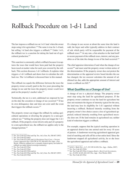# <span id="page-34-0"></span>Rollback Procedure on 1-d-1 Land

The law imposes a rollback tax on 1-d-1 land when the owner stops using it for agriculture.<sup>150</sup> The same is true for 1-d land, but selling 1-d land also triggers a rollback.<sup>151</sup> Under 1-d-1, the rollback tax is a sanction for taking the land out of agri cultural production.152

This sanction is commonly called a rollback because it recap tures the taxes that would have been paid had the property been taxed at market value for each year covered by the roll back. This section discusses 1-d-1 rollbacks. It explains what triggers a 1-d-1 rollback and shows how to calculate the roll back tax. The 1-d rollback is discussed later in this manual.

The rollback tax equals the difference between the taxes the property owner *actually* paid in the five years preceding the change in use and the taxes the property owner *would have* paid on the property's market value.<sup>153</sup>

Technically, the tax is a new, additional tax imposed by law on the date the cessation or change of use occurred.154 It has its own delinquency date and does not exist until the event that triggers the rollback occurs.155

The property owner can trigger the rollback by ending agri cultural operations or diverting the property to a non-agri cultural use.156 Selling the property does not trigger the 1-d-1 rollback. If the property owner diverts only part of a property to a non-agricultural use, the rollback tax applies only to the changed portion.157

If a change in use occurs at about the same time the land is sold, the buyer and seller typically address in their contract of sale which party will be responsible for payment of the rollback taxes.158 At any rate, a lien attaches to the land itself to secure payment of the rollback taxes, interest, and any pen alties as of the date the change in use of the land occurred.159

has changed, the tax assessor calculates the amount of ad-The chief appraiser determines if and when the change of use occurs160 and must send the property owner written notice of the determination. If the property owner does not protest the determination or the appraisal review board decides the use ditional tax due, adds the appropriate amount of interest and issues a rollback tax bill.<sup>161</sup>

## **What Qualifies as a Change of Use?**

- property owner's free choice causes a loss of agricultural ap - praisal; reduced intensity resulting from agricultural neces A change of use is a physical change. The property owner must stop using the land for agricultural purposes. If the property owner continues to use the land for agriculture but does not maintain the degree of intensity typical for the area, the land may lose its eligibility for 1-d-1 appraisal without incurring a rollback. Reduced intensity resulting from the sity does not. If the land remains in agricultural use, neither kind of reduction triggers a rollback.

For example, suppose that the typical ranching operation in an appraisal district has one animal unit for every 10 acres of pasture. A landowner receiving agricultural appraisal gets tired of ranching and sells off his or her entire herd. Since the landowner stopped all agricultural activity, he or she loses the agricultural appraisal and suffers a rollback.

<sup>150</sup> Tex. Tax Code §23.55(a) and Op. Tex. Att'y Gen. No. JM-667 (1987)

<sup>151</sup> Tex. Tax Code §23.46(c)

<sup>152</sup> Tex. Tax Code §23.55(f) and (j); *Resolution Trust Corp. v. Tarrant County Appraisal Dist.* 926 S.W.2d 797, 804-805 (Tex.App.—Fort Worth, 1996)(As rollback tax is a penalty, federal agency not liable for rollback tax under federal sovereign immunity)

<sup>153</sup> Tex. Tax Code §23.55(a)

<sup>154</sup> Tex. Tax Code §23.55(a)

<sup>155</sup> Tex. Tax Code §23.55(b) and (e) <sup>156</sup> Tex. Tax Code §23.55(a) and Op. Tex. Att'y Gen. No. JM-667 (1987)

<sup>157</sup> Tex. Tax Code §23.55(d)

<sup>158</sup> *Sefzik v. Mady Dev., L.P.*, 231 S.W.3d 456 (Tex. App.—Dallas, 2007)

<sup>159</sup> Tex. Tax Code §23.55(b)

<sup>160</sup> Tex. Tax Code §23.55(e); *Compass Bank v. Bent Creek Investments,* 

*Inc.*, 52 S.W. 3d 419, 424-425 (Tex. App.—Fort Worth, 2001)

<sup>161</sup> Tex. Tax Code §23.55(e)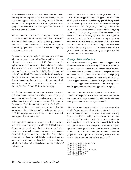<span id="page-35-0"></span>If the rancher reduces the herd so that there is one animal unit for every 50 acres of pasture, he or she loses the eligibility for agricultural appraisal without incurring a rollback. Because the land remains in agricultural use, rollback penalties do not apply. The same result occurs when agriculture ceases to be the primary use of the land.

Special situations such as freezes, droughts or severe fires can create an agricultural necessity that extends the normal time that the land remains out of agricultural production. In such cases, the land remains eligible for agricultural apprais al until the property owner clearly indicates intent to give up agriculture permanently.

For example, a drought might deplete water and feed sup-- typical rancher restocks his or her herd and resumes produc - drought damages the land, requires farmers to suspend ag plies, requiring ranchers to sell off herds and leave the land idle until native pasture is restored. If, after one year, the tion, those ranchers who keep their land out of agricultural use more than one year lose the eligibility for 1-d-1 appraisal and suffer a rollback. The same general principles apply if a ricultural operations for a period exceeding the normal soil rotation period, or if freezes destroy citrus groves. In cases of drought, Tax Code Section 23.522 may also apply.

itself. The property owner would continue to receive agricul-If agricultural necessity forces a property owner to postpone agricultural operations on part of a larger tract, the property owner can retain agricultural appraisal on the entire tract without incurring a rollback on any portion of the property. For example, fire might destroy 200 acres of a 2,000 acre range, forcing the property owner to postpone agricultural operations on those 200 acres until the native pasture restores tural appraisal on the entire tract.

when a change of use triggers a rollback. Rollback is a se-Chief appraisers must exercise great care in determining rious economic penalty that should not be imposed when circumstances beyond a property owner's control cause an abnormally long but temporary suspension of agriculture. Appraisers must keep in mind that change-of-use issues are often unclear and require a delicate balance between fair ap plication of the law and good decisions based on the facts of each situation.

Some actions are not considered a change of use. Filing a waiver of special appraisal does not trigger a rollback.<sup>162</sup> The chief appraiser may not consider any period during which land is owned by the state in determining whether a change of use has occurred.163 A property owner may claim the land as part of his or her residence homestead without triggering a rollback.<sup>164</sup> If the property owner builds a residence homestead on land that formerly qualified for 1-d-1 appraisal, however, he or she avoids rollback only as long as he or she continues to use the home as a residence. Selling the home may trigger a rollback on the land making up the homestead. In effect, the property owner must occupy the house for five years to avoid a rollback tax accruing for the years the land was not taxed at market value.

#### *Change of Use Notification*

- the land has been diverted to a non-agricultural use, the chief ap - praiser must send the property owner written notice of the deter - mination as soon as possible. The notice must explain the prop On determining either that agricultural use has stopped or that erty owner's right to protest the determination.<sup>165</sup> The property owner may protest the change-of-use decision by filing a protest with the appraisal review board within 30 days after the notice is mailed.166 The appraisal review board must hear a timely protest even if appraisal records have been approved for the year.

If the owner does not file a timely protest or if the final determination of the protest is that the rollback taxes are due, the tax assessor shall prepare and deliver a bill for the additional taxes plus interest as soon as is practicable.<sup>167</sup>

- land appraised under 1-d-1, along with a self-addressed, post If the land is owned by an individual 65 years of age or older, the chief appraiser must deliver written notice to the property owner stating that he or she believes a change in land use may have occurred before making a determination that the land use changed. The notice must include a form on which the owner may indicate that he or she remains entitled to have the age prepaid envelope with instructions for returning the form to the chief appraiser. The chief appraiser must consider the property owner's response in determining whether the land remains eligible for appraisal as 1-d-1 property.168

- <sup>165</sup> Tex. Tax Code §§23.46(c) and 23.55(e)
- <sup>166</sup> Tex. Tax Code §41.44(a)(4)

<sup>162</sup> Tex. Tax Code §§23.20(g) and 23.55

<sup>163</sup> Tex. Tax Code §23.55(a)

<sup>164</sup> Tex. Tax Code §23.55(i)

<sup>167</sup> Tex. Tax Code §23.55(e)

<sup>168</sup> Tex. Tax Code §23.551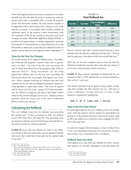If the chief appraiser does not receive a response on or before the 60th day after the date the notice is mailed, the chief ap praiser must make a reasonable effort to locate the property owner and determine whether the land remains eligible to be appraised before determining that a change in use of the land has occurred. A reasonable effort includes sending an additional notice to the property owner immediately after the expiration of the 60-day period by first-class mail in an envelope on which "RETURN SERVICE REQUESTED" is printed in all capital letters; or another appropriate statement directing the U.S. Postal Service to return the notice if it is not deliverable as addressed; or providing the additional notice in another manner that the chief appraiser deems appropriate.<sup>169</sup>

#### *Taxes for the Year Use Changes*

Tax Code Section 23.55 imposes rollback taxes - the difference between the property's market value and its agricul tural use value – for each of the five years preceding the year in which agricultural use of the property ends. In *Bexar Appraisal District v. Sivage Investments, Ltd.*, the owner agreed that rollback taxes for the five years preceding the end of agricultural use were proper. The appeal arose, however, "from a dispute involving ad valorem taxes that were imposed for the year the use changed for property that previ ously qualified as open-space lands." The court of appeals held in *Sivage* that Tax Code "section 23.55 does not autho rize the district to reappraise the land at the higher market value for the year the change in use occurs." Should you have questions about the *Sivage* case or the issue it addressed, please consult your attorney.170

#### **Calculating the Rollback**

are based on calendar year use from January through Decem-The 1-d-1 rollback covers the five calendar years preceding the current year. $171$  If the use changes in 2016, the rollback covers 2015, 2014, 2013, 2012 and 2011. The preceding years ber and not on the tax collection periods.

**Exhibit 10** shows that the rollback tax itself is the difference between the taxes paid under special appraisal and the total taxes that would have been paid on the market value of the land.172

| EXHIBIT 10         |  |
|--------------------|--|
| Total Rollback Tax |  |

| <b>Tax Year</b> | <b>Tax Paid</b> | <b>Tax on Market</b><br><b>Value</b> | <b>Difference</b> |
|-----------------|-----------------|--------------------------------------|-------------------|
| 2015            | \$50            | \$500                                | \$450             |
| 2014            | 50              | 520                                  | 470               |
| 2013            | 50              | 500                                  | 450               |
| 2012            | 50              | 480                                  | 430               |
| 2011            | 50              | 420                                  | 370               |
| <b>Total</b>    |                 |                                      | \$2,170           |

The tax assessor must add 7 percent annual interest to these amounts from the date they would have become due.173 The due date for each year is the date tax bills were mailed that year.<sup>174</sup>

Since the tax assessor computes interest from the date the difference would have become due to the date the change of use occurs, some proration will be necessary.

**Exhibit 11** shows interest calculated assuming that the use changed on Nov. 1, 2016 and that the tax assessor mailed tax bills on Oct. 1 each year.

The interest proration may be figured using number of days only. For example, the 2012 interest runs for 1,492 days (4 years =  $1,460$  days + 32 days from Oct. 1 to Nov. 1). The interest is computed by multiplying:

#### **\$430 X .07 X (1,492 ÷ 365) = \$123.04**

#### *Gaps in the Five-Year Period*

It could happen that the five-year rollback period will include years when the property did not qualify for agricultural use appraisal. If the property had been taxed on its market value in 2012, the rollback tax would have been computed for 2011, 2013, 2014 and 2015.

It could also happen that the property owner switched from 1-d to 1-d-1 designation during the five-year period. Calcula tion in these cases is discussed with 1-d rollbacks.

#### *Rollback Taxes Due Date*

The rollback tax is due when the rollback tax bill is mailed. The rollback tax becomes delinquent if not paid before the

<sup>&</sup>lt;sup>169</sup> Tex. Tax Code §23.551

<sup>170</sup> *Bexar Appraisal District v. Sivage Investments, Ltd., et al. (Sivage)*, 2014 Tex. App. LEXIS 12472 (Tex. App.-San Antonio, November 19, 2014) (memorandum opinion)

<sup>171</sup> Tex. Tax Code §23.55(a)

<sup>172</sup> Tex. Tax Code §23.55(a)

<sup>173</sup> Tex. Tax Code §23.55(a)

<sup>174</sup> Tex. Tax Code §31.02(a)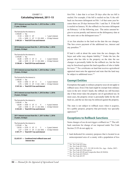#### EXHIBIT 11 **Calculating Interest, 2011-15**

**2015 interest accrues from Oct. 1, 2015 to Nov. 1, 2016 (1 year, 32 days)**

The formula for the interest is:  $$450.00 = Tax$  $31.50 = $450 \text{ X} .07 = 1 \text{ years}$  interest  $2.76 = $450 \text{ X} .07 \text{ X} (32 \div 365) = 32 \text{ days}$  interest **\$ 484.26 = Total 2015 tax and interest**

#### **2014 interest accrues from Oct. 1, 2014 to Nov. 1, 2016 (2 years, 32 days)**

The formula for the interest is:  $$470.00 = Tax$ 65.80 =  $$470$  X .07 X 2 = 2 years' interest 2.88 =  $$470$  X .07 X (32÷365) = 32 days' interest **\$ 538.68 = Total 2014 tax and interest**

#### **2013 interest accrues from Oct. 1, 2013 to Nov. 1, 2016 (3 years, 32 days)**

The formula for the interest is:  $$450.00 = Tax$ 94.50 =  $$450 \t X .07 \t X 3 = 3 \text{ years}^\prime$  interest 2.76 =  $$450$  X .07 X (32 ÷ 365) = 32 days' interest **\$ 547.26 = Total 2013 tax and interest**

#### **2012 interest accrues from Oct. 1, 2012 to Nov. 1, 2016 (4 years, 32 days)**

The formula for the interest is:  $$430.00 = Tax$ 120.40 = \$430 X .07 X 4 = 4 years' interest 2.64 =  $$430$  X .07 X (32÷365) = 32 days' interest **\$ 553.04 = Total 2012 tax and interest**

**2011 interest accrues from Oct. 1, 2011 to Nov. 1, 2016 (5 years, 32 days)**

The formula for the interest is:  $$370.00 = Tax$  $129.50 = $370 \text{ X} .07 \text{ X} 5 = 5 \text{ years' interest}$ 2.27 = \$370 X .07 X (32÷365) = 32 days' interest **\$ 501.77 = Total 2011 tax and interest**

**\$2,625.01 = Combined total rollback taxes and interest due**

mailed. For example, if the bill is mailed on Jan. 9, the roll-- back tax becomes delinquent on Feb. 1 of that same year be - on February 1 of the following year. The entire amount be first Feb. 1 date that is at least 20 days after the tax bill is cause there are 20 days between Feb. 1 and Jan. 9. If the bill is mailed on January 30, the rollback tax becomes delinquent gins to accrue penalty and interest on the delinquency date at the same rate as the delinquent taxes.<sup>175</sup>

A tax lien attaches to the land on the date the use changes. The lien covers payment of the additional tax, interest and any penalties.176

If land is sold at about the same time the use changes, the buyer and seller may dispute liability.177 Under the law, the person who has title to the property on the date the use changes is personally liable for the rollback tax, but the lien may be foreclosed against the land regardless of who is liable for taxes.178 Tax certificates on land that receives agricultural appraisal must note the appraisal and state that the land may be subject to additional taxes.<sup>179</sup>

# **Exempt Entities**

most cases, the property owner is personally liable for the roll-Exemptions that apply to ordinary property taxes do not apply to rollback taxes. Even if the land might be exempt from ordinary taxes in the new owner's hands, the rollback tax still becomes due if that owner takes the property out of agricultural use. In back tax, and the tax lien may be enforced against the property.

The state is not subject to rollback taxes when it acquires, for a public purpose, property that previously was specially appraised.180

#### **Exceptions to Rollback Sanctions**

Some changes of use do not trigger a rollback tax.<sup>181</sup> The rollback sanctions for change of use imposed under Tax Code Section 23.55 do not apply to:

• land dedicated for cemetery purposes that is located in an unincorporated area of a county with a population of less

<sup>175</sup> Tex. Tax Code §23.55(e)

<sup>176</sup> Tex. Tax Code §23.55(b)

<sup>177</sup> *Sefzik v. Mady Dev., L.P.*, 231 S.W.3d 456 (Tex. App.—Dallas, 2007)

<sup>178</sup> Tex. Tax Code §23.55(b) and (e)

<sup>179</sup> Tex. Tax Code §31.08 and Comptroller Rule §9.3040(b)

<sup>180</sup> Tex. Tax Code §23.55(f)(3)

<sup>181</sup> Tex. Tax Code §23.55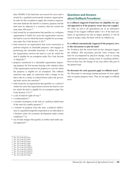than 100,000, if the land does not exceed five acres and is owned by a qualified not-for-profit cemetery organization. In order for this exception to apply, the cemetery organiza tion must dedicate the land for a cemetery purpose and the land must be adjacent to a cemetery that has existed for more than 100 years;<sup>182</sup>

- the land to a use for which the land is eligible for an exemp-• land owned by an organization that qualifies as a religious organization if within five years the organization converts tion under Tax Code Section 11.20:<sup>183</sup>
- land owned by an organization that exists exclusively to perform religious or charitable purposes, and engages in performing the charitable functions, if within five years the organization converts the land to a use for which the land is eligible for an exemption under Tax Code Section 11.18(d)(19);184
- • property transferred to a charitable organization improv - that is due to a county or school district unless the govern ing property for low-income housing with volunteer labor if the organization converts the property to a use for which the property is eligible for an exemption. The rollback sanctions may apply in connection with a change in use ing body waives the sanction;<sup>185</sup>
- land owned by an organization that qualifies as a school if within five years the organization converts the land to a use for which the land is eligible for an exemption under Tax Code Section 11.21;186
- a sale of land for right-of-way;<sup>187</sup>
- a condemnation;<sup>188</sup>
- a transfer of property to the state or a political subdivision of the state for a public purpose;<sup>189</sup>
- • a transfer of property from the state, a political subdivi sion or a qualified nonprofit corporation to an individual or a business entity for economic development under certain conditions;190 or
- • use of land changes that qualify as timber land under spe cial appraisal.<sup>191</sup>

- <sup>184</sup> Tex. Tax Code §23.55(o)
- <sup>185</sup> Tex. Tax Code §23.55(p) <sup>186</sup> Tex. Tax Code §23.55(q)
- <sup>187</sup> Tex. Tax Code §23.55(f)(1)
- <sup>188</sup> Tex. Tax Code §23.55(f)(2)
- <sup>189</sup> Tex. Tax Code §23.55(f)(3)
- <sup>190</sup> Tex. Tax Code §23.55(f)(4)

# **Questions and Answers about Rollback Procedures**

**Is a rollback triggered if land loses its eligibility for spe cial appraisal or if the property owner does not reapply?** - change of use triggers rollback under 1-d-1. If the land con No. Only an end to all agricultural use or an affirmative tinues in agricultural use but no longer qualifies, it will be taxed at market value, but there will be no rollback tax.

#### **- Is a rollback automatically triggered if the property own er files documents to plat the land?**

No. Evidence that the actual land use has changed triggers the rollback. Plat documents provide some evidence but must be accompanied by physical change, such as ceasing agricultural operations, cutting roads or installing utilities. Even in that case, the change of use may affect only part of the platted land.

#### **Do discounts for early payment apply to rollback taxes?**

No. Discounts to encourage prompt payment of taxes apply only to regular property taxes. They do not apply to rollback taxes.

<sup>&</sup>lt;sup>182</sup> Tex. Tax Code §23.55(j)

<sup>183</sup> Tex. Tax Code §23.55(l)

<sup>191</sup> Tex. Tax Code §23.55(g)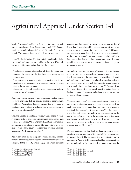# Agricultural Appraisal Under Section 1-d

Much of the agricultural land in Texas qualifies for an agricul tural appraisal under Texas Constitution Article VIII, Section 1-d-1, but agricultural appraisal is available under Section 1-d as well. This section discusses 1-d agricultural appraisal.

Under Tax Code Section 23.42(a), an individual is eligible for 1-d agricultural appraisal on land he or she owns if the fol lowing conditions are met on Jan. 1 of the tax year:

- The land has been devoted exclusively to or developed continuously for agriculture for the three years preceding the current year;
- The individual is using and intends to use the land for agriculture as an occupation or a business venture for profit during the current year; and
- • Agriculture is the individual's primary occupation and pri mary source of income.<sup>192</sup>

Agriculture means the use of land to produce plant or animal products, including fish or poultry products, under natural conditions. Agriculture does not include the processing of plant or animal products after harvesting or the production of timber or forest products.<sup>193</sup>

The land must be individually owned.<sup>194</sup> Land does not quali-- land secures a home equity loan described by Texas Constitu fy under 1-d if it is owned by a corporation, partnership, trust or other association. On or after Jan. 1, 2008, an individual is not entitled to have land designated for agricultural use if the tion Article XVI, Section 50(a)(6).<sup>195</sup>

- Agriculture must be the property owner's primary occupa tion and primary source of income. Primary means "chief" or "largest." If the property owner engages in several different occupations, then agriculture must take a greater portion of his or her time and provide a greater portion of his or her gross income than any of the other occupations.196 This does not necessarily mean that agriculture must take up a majority of the property owner's time and provide a majority of his or her income, but that agriculture should take more time and provide more gross income than any other single occupation or business venture.

- than any other single occupation or business venture. In mak ing this comparison, the chief appraiser considers only agriland sales, interest income, social security, rentals from in-Agriculture must provide more of the person's gross income cultural income and income produced from other activities or business ventures in which the property owner works or gives continuing supervision or attention.197 Proceeds from herited commercial property and oil and gas income are not to be considered income.

- To determine a person's primary occupation and source of in each occupation for no more than five consecutive years imdetermines whether agriculture is his or her primary occupacome, average the time spent and gross income earned from mediately before Jan. 1 of the current year.<sup>198</sup> If the property owner has not been in agriculture as an occupation for the entire year before Jan. 1, only the property owner's time spent and income earned since starting the agricultural occupation tion and source of income.<sup>199</sup>

- For example, suppose that land has been in continuous ag - appraisal in April of 2016. Since the land has been in continu ricultural use for four years. On June 1, 2015, someone new to farming buys it. The purchaser files an application for 1-d ous agricultural use for more than four years, it may qualify.

<sup>192</sup> Tex. Tax Code §23.42(a)(1), (2) and (3)

 $193$  Tex. Tax Code §23.42(d)(1)

 $194$  Tex. Const. art. VIII §1-d(a)

<sup>195</sup> Tex. Tax Code §23.42(a-1)

<sup>196</sup> Tex. Tax Code §23.42(c)

<sup>197</sup> Tex. Tax Code §23.42(c) and (d)(2)

<sup>198</sup> Tex. Tax Code §23.42(c)

<sup>199</sup> Tex. Tax Code §23.42(c)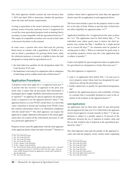The chief appraiser should examine the time between June 1, 2015 and April 2016 to determine whether the purchaser meets the time and income requirements.

As long as agriculture is the owner's primary occupation and primary source of income, land may receive 1-d appraisal if it is used for a non-agricultural purpose (such as hunting) that is secondary to and compatible with the agricultural land use.<sup>200</sup> The impact of compatible secondary uses on net to land value is discussed elsewhere in this manual.

In some cases, a person who owns land used for growing florist items in counties with a population of 35,000 or less, and on which a greenhouse for growing florist items solely for wholesale purposes is located, is eligible to have the land designated as being held for agricultural use if:

- the land otherwise qualifies for the designation under Tax Code Section 23.42; and
- the landowner is not using it in conjunction with or contiguous to land being used to conduct retail sales of florist items.<sup>201</sup>

# **Application Procedures**

- unchanged and to supply eligibility information not previous - applicant to supply additional information if the initial appli A property owner must apply for a 1-d appraisal each year.202 A person who has received 1-d appraisal in the prior year needs only to report that all previously filed information is ly reported.203 In applying for special appraisal, the property owner is required to use the appraisal district's form.204 The appraisal district is to use PTAD's model form, or a form that varies somewhat in format and wording from PTAD's form but contains information which is in substantial compliance with the model form.<sup>205</sup> The chief appraiser can require the cation does not contain all the information necessary to rule on a particular application.206

Property owners must file applications with the chief appraiser in the appraisal district where the land is located.207 Farmers or

- <sup>202</sup> Tex. Tax Code §23.43(a)
- <sup>203</sup> Tex. Tax Code §23.43(d)
- <sup>204</sup> 34 Tex. Admin. Code §9.402(a)
- <sup>205</sup> 34 Tex. Admin. Code §9.402(a)

ranchers whose land is appraised by more than one appraisal district must file an application in each appraisal district.

The form must include a space for the property owner to state his or her date of birth. Failure to provide date of birth does not affect eligibility for appraisal under 1-d.208

Application deadlines for 1-d appraisal are the same as those for 1-d-1. The application must be filed before May 1.209 In individual cases where good cause is shown, the chief ap praiser may extend the May 1 deadline by a single period not to exceed 60 days.210 An extension must be granted in writing prior to May 1. When an extension for good cause is not granted, property owners may file a late application that is subject to penalty. $211$ 

Land is not eligible for special appraisal unless an application for agricultural use designation is timely filed each year.<sup>212</sup>

The chief appraiser is required to:

- every property owner whose land was designated for agri-• send a 1-d application form before Feb. 1 of each year to cultural use during the preceding year;
- briefly explain how to qualify for agricultural designation; and
- in a manner that is reasonably designed to come to the at-• publicize the application process and availability of forms tention of all residents in the appraisal district.<sup>213</sup>

#### *Late Applications*

review board approves records (usually in July).<sup>214</sup> A late ap-- the tax that would be due if imposed at the agricultural pro An application may be filed after April 30 and still permit special appraisal for that year if it is filed before the appraisal plication is subject to a penalty equal to 10 percent of the difference between the tax if imposed at market value and ductivity value.<sup>215</sup>

The chief appraiser must note the penalty in the appraisal records and send the property owner written notice explaining

- <sup>210</sup> Tex. Tax Code §23.43(b)
- <sup>211</sup> Tex. Tax Code §23.431
- <sup>212</sup> Tex. Tax Code §23.43(c)
- <sup>213</sup> Tex. Tax Code §23.43(e) and (f)
- <sup>214</sup> Tex. Tax Code §§23.431(a) and 41.12

<sup>200</sup> Tex. Tax Code §23.42(b)

<sup>201</sup> Tex. Tax Code §23.425

<sup>206</sup> Tex. Tax Code §23.44(a) and (b); and *Cordillera Ranch, Ltd. v. Kendall County Appraisal District*, 136 S.W.3d 249, 254 (Tex. App.—San An tonio, 2004) (burden of proof on applicant to clearly show entitled to special appraisal)

<sup>207</sup> Tex. Tax Code §23.43(a)

<sup>208</sup> Tex. Tax Code §23.43(d)

<sup>209</sup> Tex. Tax Code §23.43(b)

<sup>215</sup> Tex. Tax Code §23.431(b)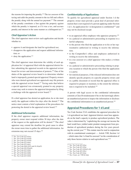the reasons for imposing the penalty.216 The tax assessor of the taxing unit adds the penalty amount to the tax bill and collects the penalty along with the annual tax payment.<sup>217</sup> The amount of the penalty constitutes a lien against the property against which the penalty is imposed, as if it was a tax, and accrues penalty and interest in the same manner as a delinquent tax.218

#### *Chief Appraiser's Action*

The chief appraiser must review each application and decide whether to:

- approve it and designate the land for agricultural use;
- disapprove the application and request additional informa tion; or
- deny the application.<sup>219</sup>

The chief appraiser must determine the validity of each application for 1-d appraisal filed with the appraisal district be fore submitting the appraisal records to the appraisal review board for review and determination of protests.220 One of the duties of the appraisal review board is to determine whether land is improperly granted special appraisal. Property owners who were denied agricultural use appraisals may file protests with the appraisal review board.<sup>221</sup> Taxing units that believe a special appraisal was erroneously granted to any property owner may seek to remove the appraisal designation by filing a challenge with the appraisal review board.222

If a chief appraiser has denied an application, he or she must notify the applicant within five days after the denial.223 The notice must contain a brief explanation of the procedures for protesting the denial to the appraisal review board.<sup>224</sup>

#### *Additional Information*

If the chief appraiser requests additional information, the property owner must respond within 30 days after the date of the request or the application will be denied.<sup>225</sup> The chief appraiser may extend the deadline for good cause to allow the owner more time to gather the additional information. An extension may not exceed 15 days.<sup>226</sup>

- <sup>222</sup> Tex. Tax Code §41.03(a)(4)
- <sup>223</sup> Tex. Tax Code §23.44(d) <sup>224</sup> Tex. Tax Code §23.44(d)
- 

#### *Confidentiality of Applications*

To qualify for agricultural appraisal under Section 1-d the property owner must provide a great deal of personal infor mation that is not required of a person applying under Section 1-d-1. An application for 1-d designation is confidential<sup>227</sup> and may not be disclosed except:

- $\bullet$  to an appraisal office employee who appraises property; $^{228}$
- in a judicial or administrative proceeding in response to a lawful subpoena;
- to the person who filed the application or to his or her rep resentative authorized in writing to receive the informa tion;
- to the Comptroller's office and employees authorized in writing to receive the information;
- to a tax assessor or a chief appraiser who makes a written request;
- • in a judicial or administrative proceeding relating to prop erty taxation to which the person who filed the application is a party;
- for statistical purposes, if the released information does not identify specific property or a specific property owner; and
- required to prepare or maintain, to the extent the informa-• in a public document or record that the appraisal office is tion is required to be included. $229$

A person with legal access to the confidential information commits a Class B misdemeanor if he or she knowingly allows an unauthorized person to inspect the information or discloses the confidential information to an unauthorized person.<sup>230</sup>

#### **Appraisal Procedures for 1-d Land**

- 1-d agricultural use land. Appraisal districts must base apprais - land would have yielded under prudent management from pro duction of agricultural products during the five years preced-Tax Code Section 23.41 establishes the appraisal procedure for als on the land's capacity to produce agricultural products. The value is determined by "capitalizing the average net income the ing the current year."231 This statute must be read in conjunction with its constitutional counterpart — Article VIII, Section 1-d – which states that 1-d land be assessed "on the consideration of only those factors relative to such agricultural use."232

- <sup>228</sup> Tex. Tax Code §23.45(a)
- <sup>229</sup> Tex. Tax Code §23.45(b)(1)-(6)
- <sup>230</sup> Tex. Tax Code §23.45(c) <sup>231</sup> Tex. Tax Code §23.41(a)
- <sup>232</sup> Tex. Const. art. VIII §1-d(a)

<sup>216</sup> Tex. Tax Code §23.431(c)

<sup>217</sup> Tex. Tax Code §23.431(d)

<sup>218</sup> Tex. Tax Code §23.431(d)

<sup>219</sup> Tex. Tax Code §23.44(a)

<sup>220</sup> Tex. Tax Code §23.44(c)

<sup>&</sup>lt;sup>221</sup> Tex. Tax Code §§41.01(5) and 41.41(a)(5)

<sup>225</sup> Tex. Tax Code §23.44(b)

<sup>226</sup> Tex. Tax Code §23.44(b)

 $227$  Tex. Tax Code §23.45(a)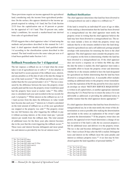These provisions require an income approach for agricultural land, considering only the income from agricultural produc tion. On the surface, this appears identical to the income ap proach required in valuing 1-d-1 land, but Tax Code Section 23.53 fixes the capitalization rate at 10 percent or greater for the appraisal of 1-d-1 land. That 10 percent rate, under today's conditions, far exceeds a market-based rate derived from sales of agricultural land.

PTAD suggests that a chief appraiser value 1-d land using the methods and procedures described in this manual for 1-d-1 land. A chief appraiser should classify land qualified under 1-d according to the classification system described in this manual. The land would receive the same value per acre as if it had been qualified under Section 1-d-1.

## **Rollback Procedures for 1-d Appraisal**

The law imposes a rollback tax on 1-d land when the owner takes it out of agricultural use or sells it.233 A lien attaches to the land itself to secure payment of the rollback taxes, interest, and any penalties as of the date of sale or the date the change in use of the land occurred.<sup>234</sup> The rollback period is three years (rather than the five-year period under 1-d-1).<sup>235</sup> The tax is measured by the difference between the taxes the property owner actually paid and the taxes the property owner would have paid had the property been taxed at market value.<sup>236</sup> This difference is calculated each year and recorded in the tax records for each 1-d property.237 While interest on the rollback tax on 1-d-1 land accrues from the dates the differences in value would have become due each year,<sup>238</sup> interest on 1-d land is calculated on the total amount of rollback tax as of the year agricultural use stopped or the property was sold.<sup>239</sup> The property owner has one full business day after triggering the rollback to pay it without accruing interest, or the owner must pay 1 percent interest per month from the rollback date. The total amount of additional taxes for the three years plus interest becomes due in the year that the event triggering the rollback occurs.<sup>240</sup> These taxes and interest become delinquent and incur penal ties and interest as provided by law for ad valorem taxes.<sup>241</sup>

- <sup>234</sup> Tex. Tax Code §23.46(d)
- <sup>235</sup> Tex. Tax Code §§23.46(c) and 23.55(a)
- <sup>236</sup> Tex. Tax Code §23.46(b) and (c)
- <sup>237</sup> Tex. Tax Code §23.46(b)
- <sup>238</sup> Tex. Tax Code §23.55(a)
- <sup>239</sup> Tex. Tax Code §23.46(c) <sup>240</sup> Tex. Tax Code §23.46(c)
- <sup>241</sup> Tex. Tax Code §23.46(c)

*Rollback Notification*

The chief appraiser determines that land has been diverted to a nonagricultural use and is subject to a rollback tax.242

If the land is owned by an individual 65 years of age or older, before making a determination that the land has been diverted to a nonagricultural use the chief appraiser must notify the property owner in writing that the chief appraiser believes the land may have been diverted to a nonagricultural use. The no tice must include a form on which the property owner may indicate that he or she remains entitled to have the land desig nated for agricultural use and a self-addressed, postage prepaid envelope with instructions for returning the form to the chief appraiser. The chief appraiser must consider the property own er's response on the form in determining whether the land has been diverted to a nonagricultural use. If the chief appraiser does not receive a response on or before the 60th day after the date the notice is mailed, the chief appraiser must make a reasonable effort to locate the property owner and determine whether he or she remains entitled to have the land designated for agricultural use before determining that the land has been diverted to a nonagricultural use. A reasonable effort includes sending an additional notice to the property owner immediate ly after the expiration of the 60-day period by first-class mail in an envelope on which "RETURN SERVICE REQUESTED" is written in all capital letters, or another appropriate statement directing the U.S. Postal Service to return the notice if it is not deliverable as addressed; or providing the additional notice in another manner that the chief appraiser deems appropriate.<sup>243</sup>

- nonagricultural use, he or she must notify the owner of this de interest as ordinary property taxes.<sup>245</sup> A tax lien may be fore-If a chief appraiser determines that land has been diverted to a termination as soon as possible after making the determination and include in the notice an explanation of the owner's right to protest the determination.<sup>244</sup> If the property owner does not protest, the appraisal review board determines a change of use has occurred or if the land is sold, the tax assessor prepares a bill for additional taxes and delivers it to the property owner. The tax is due and becomes delinquent if not paid before the Feb. 1 that is at least 20 days after the bill is mailed. Delinquent taxes and interest on the rollback incur the same penalty and closed against the land regardless of personal liability.246

- <sup>242</sup> Tex. Tax Code §23.46(c)
- <sup>243</sup> Tex. Tax Code §23.46(f)
- <sup>244</sup> Tex. Tax Code §23.46(c)
- <sup>245</sup> Tex. Tax Code §23.46(c)
- <sup>246</sup> Tex. Tax Code §23.46(d)

<sup>233</sup> Tex. Tax Code §23.46(c)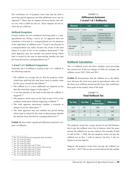Tax certificates on 1-d property must state that the land is receiving special appraisal and that additional taxes may be imposed.<sup>247</sup> There may be disputes between buyers and sellers over who is liable for the tax. These disputes do not in volve the tax collector.

#### *Rollback Exceptions*

Certain actions are not considered diverting land to a nonagricultural use. Filing a waiver of 1-d appraisal does not constitute a diversion to a nonagricultural use for purposes of the imposition of rollback taxes.<sup>248</sup> Land is not diverted to a nonagricultural use solely because the owner of the land claims it as part of his or her residence homestead.<sup>249</sup> The chief appraiser may not consider any period during which land is owned by the state in determining whether the land has been diverted to a nonagricultural use.<sup>250</sup>

#### *1-d and 1-d-1 Rollback Comparison*

Generally, the 1-d rollback is similar to the 1-d-1 rollback in the following respects:

- The rollback tax recoups the tax that the property owner would have paid had the land been taxed at market value for the years covered by the rollback.<sup>251</sup>
- The rollback tax is a new, additional tax imposed on the date the event that triggers it takes place.<sup>252</sup>
- A tax lien attaches to the land on the date the rollback is triggered.253
- The property owner may use the land as part of his or her residence homestead without triggering a rollback.254
- The chief appraiser determines whether a cessation or change of use has taken place.<sup>255</sup>
- The chief appraiser may not consider any period during which land is owned by the state in determining whether the land has been diverted to a nonagricultural use.256

**Exhibit 12** shows three significant differences between 1-d-1 and 1-d rollbacks.

<sup>247</sup> Tex. Tax Code §31.08 and Comptroller Rule §9.3040(b)

<sup>249</sup> Tex. Tax Code §23.46(e)

- <sup>251</sup> Tex. Tax Code §§23.46(c) and 23.55(a)
- <sup>252</sup> Tex. Tax Code §§23.46(c) and (d) and 23.55(a) and (b)
- <sup>253</sup> Tex. Tax Code §§23.46(d) and 23.55(b)
- <sup>254</sup> Tex. Tax Code §§23.46(e) and 23.55(i)

<sup>256</sup> Tex. Tax Code §§23.46(c) and 23.55(a)

#### EXHIBIT 12 **Differences between 1-d and 1-d-1 Rollbacks**

| <b>Element</b>                | 1-d                                                           | $1-d-1$                                                                                      |  |
|-------------------------------|---------------------------------------------------------------|----------------------------------------------------------------------------------------------|--|
| Rollback period <sup>1</sup>  | 3 years                                                       | 5 years                                                                                      |  |
| Interest<br>cal <sup>2</sup>  | 1 percent per month<br>(or fraction of a<br>month) until paid | 7 percent per year<br>from the dates on<br>which the differences<br>would have become<br>due |  |
| Sale triggers<br>rollback $3$ | Yes                                                           | No                                                                                           |  |

 $1$  Tex. Tax Code §§23.46(c) and 23.55(a)

<sup>2</sup> Tex. Tax Code §§23.46(c) and 23.55(a)

<sup>3</sup> Tex. Tax Code §§23.46(c) and 23.55(a)

# **Rollback Calculation**

The 1-d rollback covers the three calendar years preceding the current year. If the use changes in 2016, for example, the rollback covers 2015, 2014 and 2013.

**Exhibit 13** demonstrates that the rollback tax is the differ ence between the total taxes paid on agricultural value over the three-year rollback period and the taxes that would have been paid on the market value of the land.

#### EXHIBIT 13 **Total Rollback Tax**

| <b>Tax Year</b> | <b>Tax Paid</b> | Tax on<br><b>Market Value</b> | <b>Difference</b> |
|-----------------|-----------------|-------------------------------|-------------------|
| 2015            | \$50            | \$500                         | \$450             |
| 2014            | 50              | 520                           | 470               |
| 2013<br>50      |                 | 500                           | 450               |
| <b>Total</b>    |                 |                               | \$1,370           |

The property owner has a grace period of one full business day to pay the rollback taxes free of interest; after the grace period, the rollback tax accrues interest. For example, if land is sold on Nov. 1, 2016, the new property owner can pay the rollback tax on Nov. 2 with no interest. On Nov. 3, the tax begins to accrue interest.

Suppose the property owner does not pay the rollback tax until Jan. 1, 2017. The tax has accrued interest for the months

<sup>248</sup> Tex. Tax Code §23.20(g)

<sup>250</sup> Tex. Tax Code §23.46(c)

<sup>255</sup> Tex. Tax Code §§23.46(c) and 23.55(e)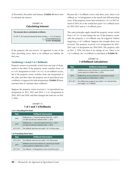of November, December and January. **Exhibit 14** shows how to calculate the interest.

#### EXHIBIT 14 **Calculating Interest**

**The amount due is calculated as follows:**

\$1,370 X .03 (1 percent interest for three months) =  $$41.10$  interest + 1,370.00 additional tax **\$1,411.10 total due**

If the property did not receive 1-d appraisal in one of the three preceding years, there is no rollback tax liability for that year.

#### *Combining 1-d and 1-d-1 Rollbacks*

Property owners occasionally switch from one type of desig-- a rollback is triggered for both designations. **Exhibit 15** dem nation to the other. If the property owner switches from 1-d to 1-d-1 designation or from 1-d-1 to 1-d, no rollback occurs, but if the property owner switches from one designation to the other and then takes the property out of agricultural use, onstrates how to calculate these rollbacks.

Suppose the property owner received a 1-d agricultural use designation in 2011, 2012 and 2013; a 1-d-1 designation in 2014, 2015 and 2016; and then changed the land use on Nov. 1, 2016.

#### EXHIBIT 15 **1-d-1 and 1-d Rollbacks**

**1-d-1: Preceding Five Years**

| Year      | <b>Rollback Information</b>                                                                            |
|-----------|--------------------------------------------------------------------------------------------------------|
| 2015      | Rollback tax $+7$ percent interest from Oct. 1, 2015<br>(or date tax bill was mailed) to Nov. 1, 2016  |
| 2014      | Rollback $tax + 7$ percent interest from Oct. 1, 2014<br>(or date tax bill was mailed) to Nov. 1, 2016 |
| 2013-2011 | No rollback; land was not under 1-d-1 in these years.                                                  |

#### **1-d: Preceding Three Years**

| Year      | <b>Rollback Information</b>                                                                     |
|-----------|-------------------------------------------------------------------------------------------------|
| 2015-2014 | No rollback; land was not under 1-d in these years.                                             |
| 2013      | Rollback; tax accrues interest at 1 percent per month<br>unless paid on or before Nov. 2, 2016. |
| 2012-2011 | No rollback; 1-d designation covers only three years.                                           |

years. If the property owner had switched to 1-d-1 in 2013 in-Because the 1-d rollback covers only three years, there is no rollback on 1-d designation in the fourth and fifth preceding stead of 2014, he or she would have paid 1-d-1 rollback taxes for 2015-2013 and no 1-d rollback taxes.

The same principles apply should the property owner switch from 1-d-1 to 1-d and change the use. If the property owner sells the property, a 1-d rollback may be triggered without triggering a 1-d-1 rollback. Suppose the example above was reversed. The property received 1-d-1 designation for 2011- 2013 and 1-d designation for 2014-2016. The property sells on Nov. 1, 2016, but there is no change of use. There is no 1-d-1 rollback; the 1-d rollback is calculated in **Exhibit 16**.

## EXHIBIT 16 **1-d Rollback Calculations**

| Year      | <b>Rollback Calculation</b>                                                                    |
|-----------|------------------------------------------------------------------------------------------------|
| 2015      | Rollback tax accrues interest at 1 percent per month<br>unless paid on or before Nov. 2, 2016. |
| 2014      | Rollback tax accrues interest at 1 percent per month<br>unless paid on or before Nov. 2, 2016. |
| 2013-2011 | No rollback tax; property was under 1-d-1 and sale does<br>not trigger 1-d-1 rollback.         |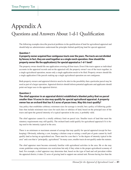# Appendix A Questions and Answers About 1-d-1 Qualification

The following examples describe practical problems in the qualification of land for agricultural appraisal and should help tax administrators understand the principles behind qualifying land for special appraisal.

#### **Question 1**

#### **A property owner acquired four contiguous tracts over the years. The tracts are not divided by fences; in fact, they are used together as a single ranch operation. How should the property owner file the application(s) for special appraisal as 1-d-1 land?**

The property owner should file one application covering all four tracts. Even if the tracts appear as individual accounts in the appraisal records and on the appraisal roll, the property owner's use of the tracts together, in a single agricultural operation, means only a single application needs to be filed. Property owners should file a single application if the parcels making up a single agricultural operation are not contiguous.

Both property owners and appraisal districts need to be alert to the possibility that a particular parcel may be used as part of a larger operation. Appraisal districts should inform potential applicants and applicants should point out larger uses to the appraisal district.

#### **Question 2**

## **The chief appraiser in an appraisal district established a blanket policy that no parcel smaller than 10 acres in size may qualify for special agricultural appraisal. A property owner has an orchard that has 9.5 acres of pecan trees. May this tract qualify?**

Any policy that establishes arbitrary minimum sizes for acreage is invalid, but a policy of following guide lines that include minimum tract sizes for each class or subclass of land, based on the principal uses of the tracts and upon the general intensity of a typical operation in the area, is probably valid.

- statutory requirements may still qualify. The orchard land could qualify for agricultural appraisal if it is be The chief appraiser cannot fix a totally arbitrary limit on parcel size. Smaller tracts of land that meet the ing used to the intensity typical in the area.

There is no minimum or maximum amount of acreage that may qualify for special appraisal (except for beekeeping). Obviously, tethering a cow, keeping a chicken coop or raising a small pen of goats cannot by itself qualify land as having an agricultural use. There must be a use that is "to the degree of intensity typical in the area" and a use that is "principally...agricultural." In many cases, smaller tracts do not qualify under the statutes.

The chief appraiser must become extremely familiar with agricultural activities in the area. He or she may create guidelines using minimum size restrictions but only if they relate to the proper agricultural economy of land. For example, a chief appraiser may determine that, based on the type of land and soil prevalent within the appraisal district, it takes 22 acres of grazing land to support one animal unit. Persons having less than the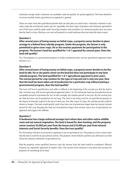minimum acreage under continuous use probably could not qualify for special appraisal. This land should be reviewed carefully before agricultural use appraisal is granted.

There are many bona fide agricultural pursuits that can take place on small tracts: vineyards, orchards or spe cialty crops like strawberries, herbs and row vegetables. For these types of products, the minimum agricultural size of the tracts could be quite small. Growing tomatoes and cucumbers in a backyard garden does not mean that the land is a farm. Having a cow and calf penned in a small enclosure does not make the land a ranch.

### **Question 3**

**After several years of losing money on failed crops, a property owner decides to place acreage in a federal farm subsidy program. Under the program, the farmer is only permitted to grow cover crops. He or she receives payments for participation in the program. The farmer's land has qualified for 1-d-1 appraisal for several years. Does the land still qualify?**

Yes. Participation in a government program to reduce production does not bar agricultural appraisal under Section 1-d-1.

#### **Question 4**

**After several years of losing money on failed crops, a property owner decides to let the land lie idle. He or she plants clover on the land but does not participate in any farm subsidy program. The land qualified for 1-d-1 agricultural appraisal in prior years. The normal period for crop rotation for the type of crop and soil is only one year. Now that the land has been taken out of production for a particular crop without joining a governmental program, does the land qualify?**

The tract will lose its qualification and suffer a rollback at the beginning of the second year that the land is idle. A farmer may still receive agricultural appraisal under 1-d-1 for taking the land out of production for an acceptable period to rejuvenate the soil. In this example, the rotation period is one year. By the second year, the land has been out of production for too long. The land is not being used for an agricultural purpose to the degree of intensity typical in the area in that year. For other types of crops, the rotation period could be shorter or longer. The land would qualify until it has been out of production longer than the normal rotation period for that crop. Keeping the land out of production longer than normal causes loss of agricultural use appraisal and triggers the rollback.

#### **Question 5**

## **A landowner has a large unfenced acreage tract where deer and other native wildlife roam and eat natural vegetation. The land is leased for deer hunting, and the property owner receives \$5,000 per year from the leases and \$10,000 per year from mineral interests and Social Security benefits. Does the tract qualify?**

No. Permitting wild deer to eat natural vegetation is not an agricultural use. The property owner cannot show that the land is used for an agricultural activity. The property owner failed to perform any affirmative act that meets the statutory definition of agricultural use.

Had the property owner qualified, however, only the income from the land would be considered. Mineral interests are separately appraised at market value. The income from minerals is not taken into account for purposes of calculating net to land.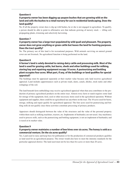# **A property owner has been digging up yaupon bushes that are growing wild on the land and sells the bushes to a retail nursery for use in residential landscaping. Does the land qualify?**

No. If all the property owner does is dig up wild bushes, he or she is not engaged in agriculture. To qualify, a person should be able to point to affirmative acts that indicate growing of nursery stock — tilling soil, propagating plants, trimming and selectively harvesting.

# **Question 7**

## **A property owner has a large tract populated by wild quail and pheasant. The property owner does not grow anything or graze cattle but leases the land for hunting purposes. Does the tract qualify?**

No. The primary use of this land is for recreational purposes. Wild animals surviving on natural ground cover are not livestock. No agricultural function is being performed on the land.

#### **Question 8**

**A farmer's land is solely devoted to raising dairy cattle and processing milk. Most of the land is used for grazing cattle, but barns, sheds and other buildings used for milking, storing hay and repairing equipment occupy 10 acres. A pasteurizing and bottling plant occupies four acres. What part, if any, of the buildings or land qualifies for special appraisal?**

The buildings must be appraised separately at their market value because only land receives agricultural appraisal. Land includes appurtenances such as private roads, dams, canals, ditches, stock tanks and other reshapings of the soil.

The land beneath farm outbuildings may receive agricultural appraisal when that area contributes to the pro duction of primary agricultural products on the entire tract. Almost every farm or ranch requires some land for storage of the equipment, feed, seed or other necessary items used in the agricultural operation. Without equipment and supplies, there could be no agricultural use anywhere on the tract. The 10 acres used for barns, storage, milking and repair qualify for agricultural appraisal. The four acres used for pasteurizing and bot tling milk do not qualify since those activities constitute processing of primary products.

Appraisers should distinguish between the value of the structures and the value of the personal property within them such as milking machines, tractors, etc. Implements of husbandry are not taxed. Any machinery used to process milk, such as the pasteurizing and bottling equipment, is not an implement of husbandry and is taxed at its market value.

# **Question 9**

## **A property owner maintains a number of bee hives over six acres. The honey is sold as a commercial venture. Do the six acres qualify?**

Yes. Land used to raise and keep bees for pollination or for the production of commercial products qualifies as land used for an agricultural purpose. The owner would also have to meet the intensity standards for the particular appraisal district. The land used must not be less than five acres or more than 20 acres.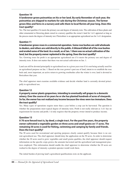# **A landowner grows poinsettias on his or her land. By early November of each year, the poinsettias are shipped to markets for sale during the Christmas season. The farmer grows lilies and ferns in a nursery and sells them to local florists all year long. Does this tract qualify?**

Yes. The tract qualifies if it meets the primary use and degree of intensity tests. The cultivation of these plants and other ornamental or flowering plants raised in a nursery qualifies the owner's land for 1-d-1 appraisal as long as the process meets the degree of intensity test. Floriculture is an appropriate agricultural use for 1-d-1 designation.

# **Question 11**

# **A landowner grows roses in a commercial operation. Some rose bushes are sold wholesale to dealers, and others are sold directly to the public. A blizzard killed all of the rose bushes and eroded some of the land. As a result, as of Jan. 1 there was no actual cultivation of the land, but the property owner replanted in the spring. Does the tract qualify?**

Yes. Growing roses for profit is an appropriate agricultural use if it meets the primary use and degree of intensity tests. It does not matter that there was not actual cultivation on Jan. 1.

Land can still be devoted principally to agricultural use in a given year even if it is not being actually used for an agricultural purpose on Jan. 1. Based on the rose grower's past use of land, intent to re-establish the rose beds and, most important, an active return to growing rosebushes after the winter is over, land is devoted to floriculture that year.

The chief appraiser must examine available evidence and decide whether land is currently devoted princi pally to agricultural use.

# **Question 12**

### **A property owner plants grapevines, intending to eventually sell grapes to a domestic winery. Over the course of six years he or she has planted hundreds of acres of vineyards. So far, the owner has not realized any income because the vines were too immature. Does the tract qualify?**

Yes. Many types of operations require more than a year before a crop can be harvested. The question is whether the preparations meet typical degree of intensity tests. Profit is not really relevant as 1-d-1 has no requirement for income and profit; 1-d only requires that the property owner intend to produce income.

# **Question 13**

## **A 70-acre fenced tract is, by deed, a single tract. For the past five years, the property owner cultivated a vegetable garden on three acres and small grains on 17 acres. The remaining 50 acres is used for fishing, swimming and camping by family and friends. Does the tract qualify?**

The 50 acres used for recreational and sporting purposes clearly cannot qualify because there is no cur rent agricultural use. The chief appraiser should deny the application on the 50 acres. In order to determine whether the 20 acres used to grow vegetables and small grains qualifies, the chief appraiser should request information on the specific crops grown, the amounts harvested and the agricultural and management prac tices employed. This information should enable the chief appraiser to determine whether the 20 acres are worked to the degree of intensity a prudent operator would work them.

The initial burden of proving land's agricultural qualifications rests on the applicant.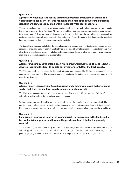# **A property owner uses land for the commercial breeding and raising of catfish. The operation includes a series of large fish tanks (man-made ponds) where the different sized fish are kept. Does any or all of this tract qualify for special appraisal?**

Yes. All of the land used primarily for fish production qualifies for agricultural appraisal, assuming it meets the degree of intensity test. The Texas Attorney General has ruled that fish farming qualifies as an agricul tural use of land.<sup>257</sup> However, the mere harvesting of fish or shellfish from the natural environment, such as capturing shellfish from saltwater tidelands, does not qualify. The difference is that there must be an actual land-based operation that encloses or domesticates the fish.

- other kind of structure or fixture — a hatching house, pumping station or other structure — is an improve The tanks themselves are included in the special appraisal as appurtenances to the land. The ponds are only reshapings of the soil and not improvements affixed to the soil. Their value is included in the land value. Any ment and is appraised separately at market value.

## **Question 15 A farmer owns many acres of land upon which grow Christmas trees. The entire tract is devoted to raising the trees to be sold each year for profit. Does the tract qualify?**

Yes. The tract qualifies if it meets the degree of intensity requirements. The Christmas trees qualify as an appropriate agricultural use. The trees are ornamental plants and the statute permits special appraisal of land used for horticulture.

#### **Question 16**

## **A farmer grows many acres of Saint Augustine and other lawn grasses that are cut and sold as sod. Does the sod farm qualify for agricultural appraisal?**

Yes, if the tract meets the degree of intensity requirement. Growing sod falls within the definition of an agricultural use as horticulture, i.e., growing ornamental plants.

Sod production may not fit readily into typical classifications like cropland or native pastureland. The economics of sod production, such as the irrigation systems, higher maintenance and labor effort and typically higher per-acre income, may require the chief appraiser to develop a separate class more specific to sod farms.

#### **Question 17**

## **Land is used for growing peaches in a commercial-scale operation. Is the land eligible for productivity appraisal, and how are the peaches or trees listed in the property records?**

Yes, the land may receive productivity appraisal. The trees are part of the land and are included in the agricultural appraisal as appurtenances to land. The peaches are part of the land until harvest when they become personal property. Remember that farm products are exempt when in the hands of the producer.

<sup>&</sup>lt;sup>257</sup> Op. Tex. Att'y Gen. No. JM-87 (1983)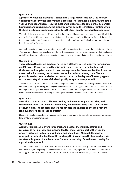**A property owner has a large tract containing a large herd of axis deer. The deer are enclosed by a security fence more than six feet tall. At scheduled times throughout the year, young deer are harvested. The meat and hides are sold to commercial dealers for human use and consumption. The property owner permits recreational hunting when the herd size becomes unmanageable. Does the tract qualify for special use appraisal?**

Yes. All of the land associated with the grazing, breeding and harvesting of the axis deer qualifies if it is used to the degree of intensity that is typical of area agricultural operations. The size of the herd, the security fencing and the fact that the ranch is a commercial operation indicate that the land is used to the degree of intensity typical in the area.

Although recreational hunting is permitted to control herd size, the primary use of the ranch is agricultural. The year-round harvesting schedules and the herd management and harvesting procedures that emphasize desirable agricultural products over recreational products are some proof that the primary use is agricultural.

## **Question 19**

**Thoroughbred horses are bred and raised on a 500-acre tract of land. The horses graze on 450 acres; 40 acres are used to raise grain to feed the horses; and a stable where the horses and supplies related to them are kept occupies five acres. Another five acres are set aside for training the horses to race and includes a running track. The land is primarily used to breed and raise horses and is used to the degree of intensity typical for the area. May all or part of the land qualify for special use appraisal?**

The 490 acres upon which the horses are bred and grazed and where feed for them is grown qualifies. This land is used directly for raising, breeding and supporting horses — all agricultural uses. The five acres of land holding the stables qualifies because this area is used to support the raising of horses. The five acres of land where the horses are trained for racing does not qualify because it is not an agricultural use of land.

# **Question 20**

# **A small tract is used to board horses used by their owners for pleasure riding and show competition. The land has a riding ring, and the remaining land is available for pleasure riding. The property owner does not graze the horses on the land. May the land qualify for a special use appraisal?**

None of the land qualifies for 1-d-1 appraisal. The use of this land is for recreational purposes, not agricul tural or "farm or ranch" purposes.

# **Question 21**

**A rancher grazes cattle over a large tract and devotes the majority of time and resources to raising cattle and growing feed for them. During part of the year, the property is leased for hunting wild game and game birds. Although the rancher principally devotes the land to cattle ranching, the income from the hunting leases is substantially greater than the income from cattle ranching. Does the tract qualify for agricultural appraisal?**

Yes, the land qualifies. For 1-d-1, determining the primary use of land usually does not have much to do with measuring or comparing income derived from each use. The property owner's intent and commitment of energy and resources over a period of time are more accurate indicators of the primary use of the land.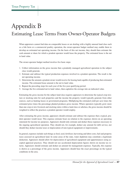# Appendix B Estimating Lease Terms From Owner-Operator Budgets

When appraisers cannot find data on comparable leases or are dealing with a highly unusual land class such as a fish farm or a commercial poultry operation, the owner-operator budget method may enable them to develop an estimated net operating income. On the basis of this net income, they should then estimate the cash amount or share for which a prudent operator would lease the property. The estimated lease is the net to land value.

The owner-operator budget method involves five basic steps:

- 1. Collect information on the gross income that a prudently managed agricultural operation in the subject class would generate.
- 2. Estimate and subtract the typical production expenses involved in a prudent operation. The result is the net operating income.
- 3. Determine the amount a prudent owner would receive for leasing land capable of producing that estimated income. The estimated lease amount is the net to land value.
- 4. Repeat the preceding steps for each year of the five-year qualifying period.
- 5. Average the five estimated net to land values, then capitalize the average into an indicated value.

Estimating the gross income for the subject land class requires appraisers to determine the typical crop mix ture or stocking ratio for such properties and the income the property would typically generate from other sources, such as hunting leases or government programs. Multiplying the estimated yield per acre times the estimated price times the percentage planted produces gross income. Where operators typically grow more than one crop or mix livestock and stocking ratios within a land class or subclass, the gross income should be weighted to reflect the practices a prudent operator would employ.

After estimating the gross income, appraisers should estimate and subtract the expenses that a typical, prudent operator would incur. This expense estimate bears no relation to the expenses shown on an operating statement for income tax purposes. Appraisers should only estimate and deduct those expenses necessary to the ongoing agricultural operation. They should not, for example, deduct any amount for debt service, nor should they deduct income taxes or depreciation of non-typical equipment or improvements.

In general, expenses include such things as feed, seed, fertilizer, harvesting and labor costs, fuel and property taxes assessed on agricultural land. In some areas of the state, water depletion may constitute a legitimate deduction. Appraisers should allow for depreciation of agricultural equipment and appurtenances using accepted appraisal practices. They should not use accelerated depreciation figures shown on income tax re turns. Appraisers should estimate and deduct an amount for management expenses. Typically, this expense is shown as a percentage of the gross income. Appraisers should base the exact percentage on the typical conditions in the area.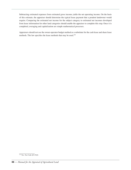Subtracting estimated expenses from estimated gross income yields the net operating income. On the basis of this estimate, the appraiser should determine the typical lease payment that a prudent landowner would require. Comparing the estimated net income for the subject category to estimated net incomes developed from lease information for other land categories should enable the appraiser to complete this step. Once it is completed, averaging and capitalization are simple mathematical processes.

Appraisers should not use the owner-operator budget method as a substitute for the cash lease and share lease methods. The law specifies the lease methods that may be used.<sup>258</sup>

<sup>&</sup>lt;sup>258</sup> Tex. Tax Code §23.51(4)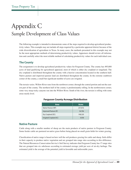# Appendix C Sample Development of Class Values

The following example is intended to demonstrate some of the steps required to develop agricultural produc tivity values. This example may not include all steps required by a particular appraisal district because of the wide diversification of agriculture in Texas. In many cases, the methods presented in this example may not be the most appropriate methods of determining productivity values. Appraisers should review all information and carefully select the most reliable method of calculating productivity values for each individual case.

# **The County**

The assignment is to develop agricultural productivity values for Ferguson County. The county has 495,800 acres of land qualifying for agricultural appraisal, most of which is either dry cropland or rangeland. The dry cropland is distributed throughout the county with a heavier concentration located in the southern half. Native pasture and improved pasture land are distributed throughout the county. In the extreme southwest corner of the county, a small but significant number of acres are irrigated.

The terrain varies. Willow River runs from the northwest corner, through the central portion and out the eastern part of the county. The northern half of the county is predominantly rolling. In the northwestern corner, some very steep rocky canyons run into the Willow River. South of the river, the terrain is rolling with some areas nearly level.

| Area                    | <b>Acres</b> |
|-------------------------|--------------|
| Native Pasture (NP)     | 257,816      |
| Improved Pasture (IP)   | 34,706       |
| Dry Cropland (DC)       | 198,320      |
| Irrigated Cropland (IC) | 4,958        |

#### **Ferguson County Acreage Distribution**

# **Native Pasture**

Cattle along with a smaller number of sheep are the main products of native pasture in Ferguson County. Some feeder cattle are pastured on native grass before being placed on small grain fields for winter grazing.

Classification of native range is based on how well the soil produces grazing for cattle and sheep. Soils differ in their capacity to produce native vegetation and are grouped into range sites according to this difference. The Natural Resources Conservation Service's Soil Survey indicates that Ferguson County has 17 range sites that are grouped into six subclasses according to estimated average yield per acre of air-dry herbage. The estimated yield is the average of the potential yield in favorable and unfavorable years.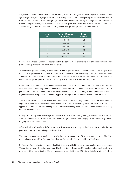Appendix D, Figure 5 shows the soil classification process. Soils are grouped according to their potential average herbage yield per acre per year. Each subclass is assigned an index number placing it in numerical relation to the most common land subclass. Soils grouped into the bottomland and deep upland range sites are classified in the best or highest native pasture subclass. Subclass 3 is assigned an index of 100 because it is the most common. The following chart shows the land subclass, potential average herbage yield and index number:

| <b>Land</b><br><b>Class</b> | <b>Potential Average</b><br><b>Yield (lbs.)</b> | <b>Index</b><br><b>Number</b> |  |  |
|-----------------------------|-------------------------------------------------|-------------------------------|--|--|
| 1                           | 4400-4600                                       | 150                           |  |  |
| $\mathfrak{D}$              | 3400-3700                                       | 120                           |  |  |
| ξ                           | 2800-3100                                       | 100                           |  |  |
| 4                           | 2250-2500                                       | 80                            |  |  |
| 5                           | 1900-2000                                       | 65                            |  |  |
| 6                           | 900-1300                                        | 40                            |  |  |

Because Land Class Number 1 is approximately 50 percent more productive than the most common class (Land Class 3), it receives an index number of 150.

To determine grazing income, 10 cash leases of native pasture were collected. These leases ranged from \$4.00 acre to \$8.00 acre. Two of the 10 leases are of land which is predominately Land Class 3 (NP3). Lease 1 contains 105 acres of NP3 and five acres of NP1; it leased for \$605 or \$5.50 acre. Lease 2 is a 212-acre tract that leased for \$1,166 or \$5.50 acre. It is made up of 198 acres of NP3 and 14 acres of NP4.

Based upon the 10 leases, it is estimated that NP3 would lease for \$5.50 acre. The \$5.50 acre is adjusted by each land class productivity index to determine a lease rate for each land class. Based on the index of 150 percent, NP1 is assigned a lease rate of \$8.25 (\$5.50 acre X 1.50 = \$8.25 acre). All other land classes are as signed lease rates using the same method. **Appendix D**, Figure 6 illustrates estimated prices per acre.

The analysis shows that the estimated lease rates were reasonably comparable to the actual lease rates in eight of the 10 leases. In two cases, the estimated lease rates were not comparable. Based on these results, it appears that the schedule developed by the appraiser is reasonably accurate and should be used as the leasing rates for each land class.

In Ferguson County, landowners typically lease native pasture for hunting. The typical lease rate is \$2.00 per acre for all land classes. At this lease rate, the hunters provide their own lodging. If the landowner provides lodging, the lease rates increase.

After reviewing all available information, it is determined that the typical landowner incurs only the expenses of property taxes and depreciation on fences.

The depreciation of fences is calculated by dividing the estimated cost of fences on a typical tract of land by the number of acres within the tract, then dividing the result by the expected life of the fence.

In Ferguson County, the typical tract of land is 640 acres, divided into two or more smaller tracts or pastures. The typical amount of fencing on a tract this size is four miles of outside fencing and approximately two miles of inside or cross fencing. The appraiser determines that it costs \$3,000 a mile to have a fence built in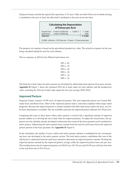Ferguson County and that the typical life expectancy is 25 years. Only one-half of the cost of outside fencing is attributed to the tract of land, the other half is attributed to the tract across the fence.

| <b>Calculating the Depreciation</b><br>of Fences per Acre |                                                    |  |  |              |  |
|-----------------------------------------------------------|----------------------------------------------------|--|--|--------------|--|
| Outside Fence                                             | 4 miles X \$3,000/mile = $12,000 \div 2 = 5,6,000$ |  |  |              |  |
| Inside Fence                                              | 2 miles X \$3,000/mile                             |  |  | 6,000        |  |
| <b>Total Cost</b>                                         |                                                    |  |  | $=$ \$12,000 |  |

The property tax expense is based on the agricultural productivity value. The actual tax expense for the year being calculated should be used for each subclass.

The tax expenses in 2014 for the different land classes are:

| $NP1 = .65$ |  |
|-------------|--|
| $NP2 = .53$ |  |
| $NP3 = .45$ |  |
| $NP4 = .38$ |  |
| $NP5 = .32$ |  |
| $NP6 = .22$ |  |

The final net to land values for native pasture are developed by subtracting total expenses from gross income. **Appendix D**, Figure 7 shows the estimated 2014 net to land values for each subclass and the productivity value, assuming the 2014 net to land value equals the five-year average (2010-2014).

# **Improved Pasture**

Ferguson County contains 34,706 acres of improved pasture. The most important grasses are Coastal Ber muda Grass and Klein Grass. Most of the improved pasture land is converted cropland within larger ranch properties. Because the improved pasture is usually included with other land classes under one lease, very lit tle lease information is available. The one available cash lease for improved pasture indicates \$12.50 per acre.

- pasture enables us to develop the net to land value for improved pasture. To adjust the mixed leases, the ap Comparing this lease to three leases where native pasture is mixed with a significant amount of improved praiser uses the schedule already developed to determine how much of the lease payment can be attributed to native pasture. Subtracting the native pasture lease amount from the total for each lease leaves the improved pasture portion of the lease payment. See **Appendix D**, Figure 8.

In the calculation, the number of acres within each native pasture subclass is multiplied by the correspond ing lease rate developed in the native pasture section. The total native pasture contribution (the sum of the subclasses) is subtracted from the total lease amount to determine an improved pasture amount. Dividing the improved pasture amount by the improved pasture acreage yields the improved pasture lease rate per acre. The resulting lease rates for improved pasture are \$10.03 acre, \$12.26 acre and \$11.90 acre, all lower but close to the cash lease rate of \$12.50 acre.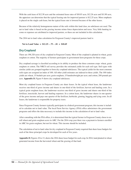With the cash lease of \$12.50 acre and the estimated lease rates of \$10.03 acre, \$12.26 acre and \$11.90 acre, the appraiser can determine that the typical leasing rate for improved pasture is \$12.25 acre. More emphasis is placed on the single cash lease, but the typical lease rate is lowered because of the other leases.

Because of the relatively homogeneous nature of the soils within this land class, no subclasses are used. The net to land value is based on the grazing income minus fence depreciation and taxes. Very little hunting in come or expenses are attributed to improved pasture, so these are not included in this calculation.

The 2014 net to land value calculation for Ferguson County's improved pasture land is:

**Net to Land Value = \$12.25 – .75 – .81 = \$10.69**

# **Dry Cropland**

There are 198,320 acres of dry cropland in Ferguson County. Most of the cropland is planted in wheat, grain sorghum or cotton. The majority of farmers participate in government farm programs for these crops.

Dry cropland acreage is classified according to its ability to produce the three common crops: wheat, grain sorghum or cotton. The NRCS soil survey provides the estimated yields for each soil type. Soil types with similar yields are grouped together to form dry cropland subclasses. The typical yields for the most common soils types are assigned an index of 100. All other yield estimates are indexed to these yields. The 100-index yields are wheat, 15 bushels per acre; grain sorghum, 15 hundredweight per acre; and cotton, 200 pounds per acre. **Appendix D**, Figure 9 shows dry cropland subclasses.

Most dry cropland leases in Ferguson County are share leases. In the typical wheat lease, the landowner receives one-third of gross income and shares in one-third of the fertilizer, harvest and hauling costs. In a typical grain sorghum lease, the landowner receives one-third of gross income and shares one-third of the fertilizer, insecticide, harvest and hauling expenses. In a cotton lease, the landowner shares in one-quarter of the gross income and pays one-quarter of the fertilizer, herbicide, ginning, bagging and tying costs. In all leases, the landowner is responsible for property taxes.

- Since Ferguson County farmers typically participate in a federal government program, this income is includ ed to calculate net to land value. The local Farm Service Agency (FSA) office administers the government programs and offers the data necessary to include this income in the calculation of net to land value.

After consulting with the FSA office, it is determined that the typical farmer in Ferguson County chose to enroll wheat and grain sorghum acres in ARC. For the 2014 crop year there was a payment to farmers enrolled in ARC for grain sorghum, but not for wheat. This income should be included.

The calculation of net to land value for dry cropland in Ferguson County required that share lease budgets for each of the three principal crops be developed for each of five years.

**Appendix D**, Figures 10 to 13, shows the 2014 share lease budget for each crop. In 2014, land planted in wheat generated income from the harvested wheat and the grazing of that land.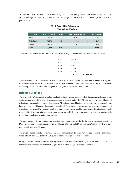To develop a final 2014 net to land value for dry cropland, each crop's net to land value is weighted by its crop-mixture percentage. Crop mixture is the percentage that each individual crop comprises of the total planted acres.

#### **2014 Crop Mix Calculation of Net to Land Value**

| Crop          | <b>Acres Planted</b> Crop Mix |      |                  | <b>Net to Land Value</b> |     | <b>Contribution</b> |
|---------------|-------------------------------|------|------------------|--------------------------|-----|---------------------|
| Wheat         | 78,800                        | .43  | X                | \$18.13                  | $=$ | \$7.80              |
| Grain Sorghum | 59,700                        | .32  | $\boldsymbol{X}$ | 5.16                     | $=$ | 1.65                |
| Cotton        | 45,800                        | .25  | X                | 10.42                    | $=$ | 2.61                |
| <b>Total</b>  | 184,300                       | 1.00 |                  |                          |     | \$12.06             |

The net to land values for the years 2010-2014 were averaged to determine the final net to land value.

| \$16.01 |  |                            |
|---------|--|----------------------------|
| \$18.76 |  |                            |
| \$20.85 |  |                            |
| \$11.53 |  |                            |
| \$12.06 |  |                            |
|         |  |                            |
|         |  | $\$79.21 \div 5 = \$15.84$ |

The calculated net to land value of \$15.84 is our base net to land value. To develop the schedule of agricultural values, the base net to land value is adjusted by the subclass index; then the adjusted net to land value is divided by the capitalization rate. **Appendix D**, Figure 14 shows the calculations.

# **Irrigated Cropland**

There are only 4,958 acres of irrigated cropland within Ferguson County. All of this acreage is located in the southwest corner of the county. This area consists of approximately 16,000 total acres of irrigated land and extends into the counties to the west and south. All of the irrigated land in Ferguson County is farmed by the landowner except 480 acres, which is cash leased for \$40 per acre. In the neighboring counties, both cash and share leases are used. Only a small number of share leases were available. Variations within the leases made it difficult to determine a typical share lease for any crop. Cash lease information provides the most reliable indication for calculating net to land values.

The cash leases collected in adjoining counties show lease rates similar to the one in Ferguson County. In Deere County, three leases indicate rates of \$40 acre, \$45 acre and \$50 acre. In Case County, two leases have rates of \$35 acre and \$45 acre.

- The irrigated cropland class is divided into three subclasses in the same way the dry cropland class was di vided into subclasses. **Appendix D**, Figure 15 shows irrigated cropland subclasses.

Using the method illustrated in the native pasture section, the leases are analyzed to determine a net to land value for each subclass. **Appendix D**, Figure 16 shows the analysis of irrigated cropland.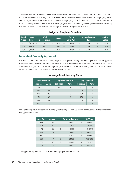The analysis of the cash leases shows that the schedule of \$52 acre for IC1, \$40 acre for IC2 and \$32 acre for IC3 is fairly accurate. The only costs attributed to the landowner under these leases are the property taxes and the depreciation on the water wells. The estimated property tax is \$3.30 for IC1, \$2.50 for IC2 and \$2.20 for IC3. The depreciation on the wells is \$5.00 per year. Below is the irrigated cropland schedule assuming the 2014 net to land value equaled the average of the five base years (2010-2014).

| Land<br><b>Class</b> | <b>Lease</b><br>Rate |                          | Well<br><b>Depreciation</b> |                          | <b>Taxes</b> |     | Net to<br><b>Land Value</b> |        | <b>Capitalization</b><br>Rate |     | Ag Use<br><b>Value</b> |
|----------------------|----------------------|--------------------------|-----------------------------|--------------------------|--------------|-----|-----------------------------|--------|-------------------------------|-----|------------------------|
| IC1                  | \$52.00              | $\overline{\phantom{0}}$ | 5.00                        | $\overline{\phantom{a}}$ | 3.30         | $=$ | 43.70                       | $\div$ | .1000                         | $=$ | \$437.00               |
| IC2                  | \$40.00              | $\overline{\phantom{0}}$ | 5.00                        | $-$                      | 2.50         | $=$ | 32.50                       | ÷      | .1000                         | $=$ | \$325.00               |
| IC3                  | \$32.00              | $\overline{\phantom{0}}$ | 5.00                        | $\overline{\phantom{m}}$ | 2.20         | $=$ | 24.80                       | $\div$ | .1000                         | $=$ | \$248.00               |

# **Irrigated Cropland Schedule**

# **Individual Property Appraisal**

Mr. John Ford's farm and ranch is fairly typical of Ferguson County. Mr. Ford's place is located approxi mately 6.4 miles southeast of the city of Massie in the J. White survey. Mr. Ford owns 780 acres, of which 429 acres are native pasture, 51 acres are improved pasture and 300 acres are dry cropland. Each of these classes of land is classified according to the classification schedules.

| <b>Native Pasture</b> |              |                          | <b>Improved Pasture</b> | <b>Dry Cropland</b> |              |  |
|-----------------------|--------------|--------------------------|-------------------------|---------------------|--------------|--|
| <b>Subclass</b>       | <b>Acres</b> | <b>Subclass</b>          | <b>Acres</b>            | <b>Subclass</b>     | <b>Acres</b> |  |
| NP <sub>1</sub>       | $\Omega$     | IP1                      | 51                      | DC <sub>1</sub>     | 90           |  |
| NP <sub>2</sub>       | 135          |                          | $\mathbf{0}$            | DC <sub>2</sub>     | 175          |  |
| NP <sub>3</sub>       | 158          | $\overline{\phantom{0}}$ | $\Omega$                | DC <sub>3</sub>     | 35           |  |
| NP4                   | 103          |                          | $\mathbf{0}$            | DC4                 | $\mathbf{0}$ |  |
| NP <sub>5</sub>       | 33           | $\overline{\phantom{0}}$ | $\Omega$                | DC <sub>5</sub>     | $\mathbf{0}$ |  |
| NP <sub>6</sub>       | $\Omega$     |                          | <sup>0</sup>            |                     | 0            |  |

#### **Acreage Breakdown by Class**

- Mr. Ford's property was appraised by simply multiplying the acreage within each subclass by the correspond ing agricultural value.

| <b>Land Class</b> | <b>Acreage</b> |              | <b>Ag Value Per Acre</b> |     | <b>Ag Value</b> |
|-------------------|----------------|--------------|--------------------------|-----|-----------------|
| NP <sub>2</sub>   | 135            | X            | \$73.20                  | $=$ | \$9,882.00      |
| NP <sub>3</sub>   | 158            | $\chi$       | 63.00                    | $=$ | 9,954.00        |
| NP4               | 103            | X            | 52.70                    | $=$ | 5,428.10        |
| NP <sub>5</sub>   | 33             | $\mathsf{x}$ | 45.10                    | $=$ | 1,488.30        |
| IP <sub>1</sub>   | 51             | X            | 106.90                   | $=$ | 5,451.90        |
| DC <sub>1</sub>   | 90             | $\mathsf{x}$ | 213.80                   | $=$ | 19,242.00       |
| DC <sub>2</sub>   | 175            | X            | 190.10                   | $=$ | 33,267.50       |
| DC <sub>3</sub>   | 35             | $\chi$       | 158.40                   | $=$ | 5,544.00        |

The appraised agricultural value of Mr. Ford's property is \$90,257.80.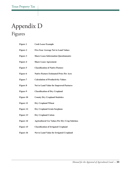# Appendix D Figures

| <b>Figure 1</b>  | <b>Cash Lease Example</b>                            |
|------------------|------------------------------------------------------|
| <b>Figure 2</b>  | <b>Five-Year Average Net to Land Values</b>          |
| <b>Figure 3</b>  | <b>Share Lease Information Questionnaire</b>         |
| <b>Figure 4</b>  | <b>Share Lease Agreement</b>                         |
| <b>Figure 5</b>  | <b>Classification of Native Pasture</b>              |
| Figure 6         | <b>Native Pasture Estimated Price Per Acre</b>       |
| Figure 7         | <b>Calculation of Productivity Values</b>            |
| <b>Figure 8</b>  | <b>Net to Land Value for Improved Pastures</b>       |
| <b>Figure 9</b>  | <b>Classification of Dry Cropland</b>                |
| <b>Figure 10</b> | <b>County Dry Cropland Statistics</b>                |
| <b>Figure 11</b> | <b>Dry Cropland Wheat</b>                            |
| <b>Figure 12</b> | <b>Dry Cropland Grain Sorghum</b>                    |
| <b>Figure 13</b> | <b>Dry Cropland Cotton</b>                           |
| <b>Figure 14</b> | <b>Agricultural Use Values Per Dry Crop Subclass</b> |
| <b>Figure 15</b> | <b>Classification of Irrigated Cropland</b>          |
| <b>Figure 16</b> | <b>Net to Land Value for Irrigated Cropland</b>      |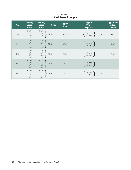| <b>Year</b> | <b>Grazing</b><br><b>Lease</b><br><b>Rates</b> | <b>Hunting</b><br><b>Lease</b><br><b>Rates</b> | <b>Yields</b> | <b>Typical</b><br>Rate | <b>Typical</b><br><b>Owner</b><br><b>Expenses</b>                                              | $=$      | <b>Typical Net</b><br>to Land<br><b>Value</b> |
|-------------|------------------------------------------------|------------------------------------------------|---------------|------------------------|------------------------------------------------------------------------------------------------|----------|-----------------------------------------------|
| 2010        | \$5.00<br>4.75<br>4.50<br>4.25                 | \$3.00<br>$3.00$<br>$3.00$<br>2.75             | Yields        | \$7.50                 | $\left\{\right.$ .50 fence $\left.\right\}$                                                    | $=$      | \$6.53                                        |
| 2011        | \$5.00<br>4.75<br>4.75<br>4.50                 | \$3.00<br>$3.00$<br>$3.25$<br>2.50             | Yields        | \$7.75                 | $\left\{\begin{array}{c} .50 \text{ fence} \\ .48 \text{ taxes} \end{array}\right\}$           | $\equiv$ | \$6.77                                        |
| 2012        | \$5.00<br>4.75<br>4.75<br>4.50                 | \$3.00<br>3.00<br>3.25<br>2.50                 | Yields        | \$7.75                 | $\left\{\n\begin{array}{c}\n.50 \text{ fence} \\ .48 \text{ taxes}\n\end{array}\n\right\}$     | $\equiv$ | \$6.77                                        |
| 2013        | \$5.00<br>5.00<br>4.75<br>5.00                 | \$3.25<br>3.50<br>3.25<br>3.00                 | Yields        | \$8.25                 | $\left\{\n \begin{array}{c}\n .50 \text{ fence} \\  .52 \text{ taxes}\n \end{array}\n\right\}$ | $=$      | \$7.23                                        |
| 2014        | \$5.00<br>4.75<br>4.75<br>4.50                 | \$3.00<br>3.50<br>3.50<br>3.50                 | Yields        | \$8.25                 | $50$ fence $\}$                                                                                | $\equiv$ | \$7.23                                        |

FIGURE 1 **Cash Lease Example**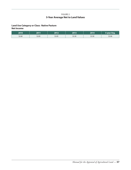### FIGURE 2 **5-Year Average Net to Land Values**

### **Land Use Category or Class: Native Pasture Net Income**

| 2010   | 2011   | ר וחר  | 2013   | 2014   | '5-year Avg. |
|--------|--------|--------|--------|--------|--------------|
| \$2.60 | \$2.85 | \$3.05 | \$3.30 | \$3.50 | \$3.06       |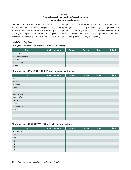#### FIGURE 3 **Share Lease Information Questionnaire (completed by property owner)**

**INSTRUCTIONS.** Appraisal records indicate that you own agricultural land leased on a share basis. On the chart below, please indicate the share payment that you receive and the expenses you pay on each crop. Please specify any crops you receive income from that are not listed on the form. If you own agricultural land of a type for which you have not received a form (e.g. irrigated cropland, native pasture, timber), please contact the appraisal district immediately. Your prompt attention to this request will enable the appraisal district to appraise agricultural property more accurately and equitably.

#### **Land Class: Dry Crop**

**Fill in your share of INCOME from each crop (use fractions)**

| Crop                  | <b>Grain Sorghum</b> | <b>Wheat</b> | <b>Cotton</b> | (Other) | (Other) |
|-----------------------|----------------------|--------------|---------------|---------|---------|
| 1) Grain/Lint         |                      |              |               |         |         |
| 2) Government Payment |                      |              |               |         |         |
| 3) Grazing            |                      |              |               |         |         |
| 4) Cotton Seed        |                      |              |               |         |         |
| 5) Other              |                      |              |               |         |         |

#### **Fill in your share of VARIABLE EXPENSES from each crop (use fractions)**

| Crop                    | <b>Grain Sorghum</b> | <b>Wheat</b> | <b>Cotton</b> | (Other) | (Other) |
|-------------------------|----------------------|--------------|---------------|---------|---------|
| Seed                    |                      |              |               |         |         |
| Fertilizer              |                      |              |               |         |         |
| Insecticide             |                      |              |               |         |         |
| Herbicide               |                      |              |               |         |         |
| Fungicide               |                      |              |               |         |         |
| Crop Insurance          |                      |              |               |         |         |
| <b>Irrigation Water</b> |                      |              |               |         |         |
| Harvest                 |                      |              |               |         |         |
| 1) Haul                 |                      |              |               |         |         |
| 2) Gin, bag, tie        |                      |              |               |         |         |
| Other                   |                      |              |               |         |         |
| 1)                      |                      |              |               |         |         |
| 2)                      |                      |              |               |         |         |
| 3)                      |                      |              |               |         |         |

**Fill in your share of FIXED EXPENSES from each crop (use fractions)**

| <b>Crop</b>     | <b>Grain Sorghum</b> | <b>Wheat</b> | <b>Cotton</b> | (Other) | (Other) |
|-----------------|----------------------|--------------|---------------|---------|---------|
| Real Estate Tax |                      |              |               |         |         |
| Wells           |                      |              |               |         |         |
| Other           |                      |              |               |         |         |
| 1)              |                      |              |               |         |         |
| 2)              |                      |              |               |         |         |
| 3)              |                      |              |               |         |         |
| 4)              |                      |              |               |         |         |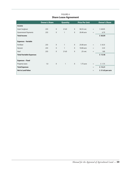|                                | <b>Owner's Share</b> |              | <b>Quantity</b> |              | <b>Price Per Unit</b> |                                     | <b>Owner's Share</b> |
|--------------------------------|----------------------|--------------|-----------------|--------------|-----------------------|-------------------------------------|----------------------|
| Income                         |                      |              |                 |              |                       |                                     |                      |
| Grain Sorghum                  | .333                 | $\mathsf{X}$ | 21.65           | $\mathsf{X}$ | \$8.33 cwt.           | $\hspace*{0.4em} = \hspace*{0.4em}$ | \$60.05              |
| <b>Government Payments</b>     | .333                 | X            | $\mathbf{1}$    | X            | 20.40 acre            | $=$                                 | 6.79                 |
| <b>Total Income</b>            |                      |              |                 |              |                       |                                     | \$66.84              |
| <b>Expenses - Variable</b>     |                      |              |                 |              |                       |                                     |                      |
| Fertilizer                     | .333                 | X            | $\mathbf{1}$    | X            | 25.00 acre            | $=$                                 | \$8.33               |
| <b>Harvest</b>                 | .333                 | X            | $\mathbf{1}$    | $\mathsf{X}$ | 10.00 acre            | $=$                                 | 3.33                 |
| Haul                           | .333                 | X            | 21.65           | $\mathsf{X}$ | .25 cwt.              | $=$                                 | 1.80                 |
| <b>Total Variable Expenses</b> |                      |              |                 |              |                       |                                     | \$13.46              |
| <b>Expenses - Fixed</b>        |                      |              |                 |              |                       |                                     |                      |
| Property taxes                 | 1.0                  | $\mathsf{X}$ | $\mathbf{1}$    | $\chi$       | 1.75 acre             | $\quad = \quad$                     | \$1.75               |
| <b>Total Expenses</b>          |                      |              |                 |              |                       | $=$                                 | \$15.21              |
| <b>Net to Land Value</b>       |                      |              |                 |              |                       | $=$                                 | \$51.63 per acre     |

## FIGURE 4 **Share Lease Agreement**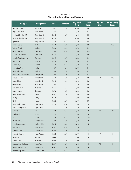| <b>Soil Type</b>          | <b>Range Site</b>    | <b>Acres</b> | <b>Percent</b> | Avg. Herb<br><b>Yield</b> | <b>Yield</b><br><b>Index</b> | <b>Ag Use</b><br><b>Class</b>      | <b>Productivity</b><br><b>Index</b> |
|---------------------------|----------------------|--------------|----------------|---------------------------|------------------------------|------------------------------------|-------------------------------------|
| Frio Clay Loam            | Bottomland           | 3,403        | 1.3            | 4,600                     | 153                          | $\overline{1}$                     | 150                                 |
| Ligon Clay Loam           | Bottomland           | 2,784        | 1.1            | 4,600                     | 153                          |                                    |                                     |
| Denton Silty Clay 0-1     | Deep Upland          | 3,867        | 1.5            | 4,400                     | 147                          |                                    |                                     |
| Denton Silty Clay1-3      | Deep Upland          | 4,290        | 1.7            | 4,400                     | 147                          |                                    |                                     |
| Spur Soils                | Deep Upland          | 1,125        | 0.4            | 4,400                     | 147                          |                                    |                                     |
| Tobaso Clay 0-1           | Redland              | 1,870        | 0.7            | 3,700                     | 123                          | $\ensuremath{\mathsf{II}}$         | 120                                 |
| Tobaso Clay 1-3           | Redland              | 17,906       | 6.9            | 3,700                     | 123                          |                                    |                                     |
| Olton Clay Loam           | Clay Loam            | 2,100        | 0.8            | 3,600                     | 120                          |                                    |                                     |
| Angelo Clay Loam 0-1      | Clay Loam            | 8,824        | 3.4            | 3,600                     | 120                          |                                    |                                     |
| Angelo Clay Loam 1-3      | Clay Loam            | 12,117       | 4.7            | 3,600                     | 120                          |                                    |                                     |
| Yohola Clay               | Shallow              | 9,059        | 3.6            | 3,500                     | 117                          |                                    |                                     |
| Kavitt Clay 0-1           | Shallow              | 1,579        | 0.6            | 3,500                     | 117                          |                                    |                                     |
| Kavitt Clay 1-2           | Shallow              | 921          | 0.4            | 3,500                     | 117                          |                                    |                                     |
| Pedernales Loam           | Shallow              | 5,000        | 1.9            | 3,500                     | 117                          |                                    |                                     |
| Pedernales Sandy Loam     | Sandy Loam           | 2,500        | 1.0            | 3,400                     | 113                          |                                    |                                     |
| Paducah Loam              | <b>Mixed Land</b>    | 3,126        | 1.2            | 3,100                     | 103                          | $\ensuremath{\mathsf{III}}\xspace$ | 100                                 |
| <b>Randall Clay</b>       | <b>Mixed Land</b>    | 7,592        | 2.9            | 3,100                     | 103                          |                                    |                                     |
| Obaro Loam                | <b>Mixed Land</b>    | 22,408       | 8.7            | 3,100                     | 103                          |                                    |                                     |
| Estacado Loam             | Hardland             | 6,222        | 2.4            | 3,000                     | 100                          |                                    |                                     |
| Zapata Loam               | Hardland             | 3,778        | 1.5            | 3,000                     | 100                          |                                    |                                     |
| <b>Travis Sandy Loam</b>  | Sandy                | 20,445       | 7.9            | 3,000                     | 100                          |                                    |                                     |
| Heatly                    | Sandy                | 9,528        | 3.7            | 3,000                     | 100                          |                                    |                                     |
| Tivoli                    | Sandy                | 10,027       | 3.9            | 3,000                     | 100                          |                                    |                                     |
| Doss Sandy Loam           | <b>Tight Sandy</b>   | 12,328       | 4.8            | 2,800                     | 93                           |                                    |                                     |
| Merata Sandy Loam         | <b>Tight Sandy</b>   | 7,672        | 3.0            | 2,800                     | 93                           |                                    |                                     |
| <b>Brackett</b>           | Adobe                | 985          | 0.4            | 2,500                     | 83                           | ${\sf IV}$                         | 80                                  |
| Kimbrough                 | Stoney               | 3,214        | 1.2            | 2,400                     | 80                           |                                    |                                     |
| Talpa                     | Stoney               | 1,786        | $0.7\,$        | 2,400                     | 80                           |                                    |                                     |
| Ozona Assoc.              | <b>Shallow Hills</b> | 3,000        | 1.2            | 2,400                     | $80\,$                       |                                    |                                     |
| Doss Loam Assoc.          | <b>Shallow Hills</b> | 13,698       | 5.3            | 2,400                     | 80                           |                                    |                                     |
| Cosh-Latom                | <b>Shallow Hills</b> | 16,302       | 6.3            | 2,250                     | 75                           |                                    |                                     |
| <b>Bandera Clay</b>       | <b>Shallow Hills</b> | 10,000       | 3.9            | 2,250                     | 75                           |                                    |                                     |
| Brackett-Tanant           | Steep Adobe          | 6,625        | 2.5            | 2,000                     | 67                           | ${\sf V}$                          | 65                                  |
| <b>Tulia Clay</b>         | Hardland             | 9,444        | 3.7            | 1,900                     | 63                           |                                    |                                     |
| <b>Brooks Clay</b>        | Hardland             | 4,556        | 1.8            | 1,900                     | 63                           |                                    |                                     |
| Segovia Gravelly Loam     | <b>Steep Rocky</b>   | 2,321        | 0.9            | 1,300                     | 43                           | VI                                 | 40                                  |
| Leakey Gravelly Clay      | <b>Steep Rocky</b>   | 4,641        | 1.8            | 1,300                     | 43                           |                                    |                                     |
| <b>Eckert Stony Soils</b> | <b>Stoney Loam</b>   | 773          | 0.3            | 900                       | 30                           |                                    |                                     |

## FIGURE 5 **Classification of Native Pasture**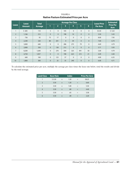|                | <b>Lease</b>  | <b>Total</b><br><b>Acreage</b> |                |                | <b>Acreage Per Class</b> | <b>Lease Price</b> | <b>Estimated</b> |                |                 |                          |
|----------------|---------------|--------------------------------|----------------|----------------|--------------------------|--------------------|------------------|----------------|-----------------|--------------------------|
| <b>Lease</b>   | <b>Amount</b> |                                | 1              | $\overline{2}$ | 3                        | 4                  | 5                | 6              | <b>Per Acre</b> | <b>Price Per</b><br>Acre |
| $\mathbf{I}$   | \$605         | 110                            | 5              | $\mathbf{0}$   | 105                      | $\mathbf{0}$       | $\mathbf{0}$     | $\mathbf{0}$   | \$5.50          | \$5.63                   |
| $\overline{2}$ | 1,166         | 212                            | $\overline{0}$ | $\mathbf{0}$   | 198                      | 14                 | $\mathbf{0}$     | $\mathbf{0}$   | 5.50            | 5.43                     |
| 3              | 736           | 92                             | 75             | 17             | $\Omega$                 | $\mathbf{0}$       | $\mathbf{0}$     | $\mathbf{0}$   | 8.00            | 7.95                     |
| $\overline{4}$ | 2,240         | 320                            | 80             | 201            | $\mathbf{0}$             | 39                 | $\mathbf{0}$     | $\mathbf{0}$   | 7.00            | 6.74                     |
| 5              | 3,000         | 640                            | $\mathbf{0}$   | $\mathbf{0}$   | 286                      | 275                | 79               | $\mathbf{0}$   | 4.69            | 4.79                     |
| 6              | 2,000         | 350                            | $\mathbf{0}$   | 138            | 212                      | $\mathbf{0}$       | $\Omega$         | $\Omega$       | 5.71            | 5.93                     |
| $\overline{7}$ | 8,200         | 1,640                          | $\overline{0}$ | 270            | 504                      | 325                | 491              | 50             | 5.00            | 4.79                     |
| 8              | 4,750         | 1,057                          | $\overline{0}$ | $\mathbf{0}$   | 198                      | 623                | 215              | 21             | 4.49            | 4.40                     |
| 9              | 640           | 160                            | $\overline{0}$ | 123            | 37                       | $\mathbf{0}$       | $\mathbf{0}$     | $\Omega$       | 4.00            | 6.35                     |
| 10             | 1,800         | 300                            | $\overline{0}$ | 25             | 35                       | 240                | $\mathbf{0}$     | $\overline{0}$ | 6.00            | 4.71                     |

FIGURE 6 **Native Pasture Estimated Price per Acre**

To calculate the estimated price per acre, multiply the acreage per class times the lease rate below, total the results and divide by the total acreage.

| <b>Land Class</b> | <b>Base Rate</b> |                           | <b>Index</b> |     | <b>Price Per Acre</b> |
|-------------------|------------------|---------------------------|--------------|-----|-----------------------|
| 1                 | \$5.50           | $\boldsymbol{\mathsf{X}}$ | 1.50         | $=$ | \$8.25                |
| 2                 | 5.50             | $\mathsf{x}$              | 1.20         | $=$ | 6.60                  |
| 3                 | 5.50             | X                         | 1.00         | $=$ | 5.50                  |
| $\overline{4}$    | 5.50             | $\boldsymbol{X}$          | .80          | $=$ | 4.40                  |
| 5                 | 5.50             | X                         | .65          | $=$ | 3.58                  |
| 6                 | 5.50             | $\boldsymbol{\mathsf{X}}$ | .40          | $=$ | 2.20                  |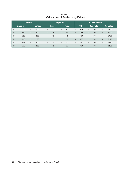# FIGURE 7 **Calculation of Productivity Values**

| <b>Income</b>                    |        |        |              |                          | <b>Expenses</b> |                          |      |            | <b>Capitalization</b> |                 |   |                 |     |         |
|----------------------------------|--------|--------|--------------|--------------------------|-----------------|--------------------------|------|------------|-----------------------|-----------------|---|-----------------|-----|---------|
| <b>Grazing</b><br><b>Hunting</b> |        |        | <b>Fence</b> |                          | <b>Taxes</b>    |                          |      | <b>NTL</b> |                       | <b>Cap Rate</b> |   | <b>Ag Value</b> |     |         |
| NP <sub>1</sub>                  | \$8.25 | $+$    | \$2.00       | $\overline{\phantom{a}}$ | 5.75            | $\overline{\phantom{a}}$ | 5.65 |            |                       | $=$ \$ 8.85     | ÷ | .1000           | $=$ | \$88.50 |
| NP <sub>2</sub>                  | 6.60   | $^{+}$ | 2.00         | $\overline{\phantom{0}}$ | .75             | $\qquad \qquad -$        | .53  |            | $=$                   | 7.32            | ÷ | .1000           | $=$ | 73.20   |
| NP <sub>3</sub>                  | 5.50   | $^{+}$ | 2.00         | $\qquad \qquad -$        | .75             | $\overline{\phantom{a}}$ | .45  |            | $=$                   | 6.30            | ÷ | .1000           | $=$ | 63.00   |
| NP4                              | 4.40   | $+$    | 2.00         | $\qquad \qquad -$        | .75             | $\overline{\phantom{0}}$ | .38  |            | $=$                   | 5.27            | ÷ | .1000           | $=$ | 52.70   |
| NP <sub>5</sub>                  | 3.58   | $^{+}$ | 2.00         | $\qquad \qquad -$        | .75             | $\overline{\phantom{0}}$ | .32  |            | $=$                   | 4.51            | ÷ | .1000           | $=$ | 45.10   |
| NP <sub>6</sub>                  | 2.20   | $^{+}$ | 2.00         | $\overline{\phantom{0}}$ | .75             | $\overline{\phantom{m}}$ | .22  |            | $=$                   | 3.23            | ÷ | .1000           | $=$ | 32.30   |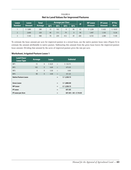| <b>Lease</b>   | <b>Lease</b> | <b>Total</b> |                 |                 | <b>Acreage per Class</b> |                 | IP  | <b>NP Lease</b> | <b>IP Lease</b> | <b>IP Per</b> |
|----------------|--------------|--------------|-----------------|-----------------|--------------------------|-----------------|-----|-----------------|-----------------|---------------|
| <b>Number</b>  | Amount       | Acreage      | NP <sub>1</sub> | NP <sub>2</sub> | <b>NP3</b>               | NP <sub>4</sub> |     | Amount          | Amount          | Acre          |
|                | \$1,880      | 280          | 15              | 102             |                          | 98              | 65  | \$1,228         | \$652           | \$10.03       |
| $\overline{2}$ | 2,600        | 320          | 40              | 111             | 79                       | $\Omega$        | 90  | 1,497           | 1,103           | 12.26         |
| <sub>2</sub>   | 7.105        | 980          | 70              | 259             | 412                      | 39              | 200 | 4,725           | 2,380           | 11.90         |

FIGURE 8 **Net to Land Values for Improved Pastures**

To estimate the lease amount per acre for improved pasture in a mixed lease, use the native pasture lease rates (Figure 6) to estimate the amount attributable to native pasture. Subtracting this amount from the gross lease leaves the improved pasture lease amount. Dividing that amount by the acres of improved pasture gives the rate per acre.

#### **Worksheet, Irrigated Pasture Lease 1**

| <b>Land Class/</b><br><b>Lease Type</b> | <b>Acreage</b> |              | <b>Lease</b> |     | <b>Subtotal</b>           |
|-----------------------------------------|----------------|--------------|--------------|-----|---------------------------|
| NP <sub>1</sub>                         | 15             | X            | \$8.25       | $=$ | \$123.75                  |
| NP <sub>2</sub>                         | 102            | $\mathsf{X}$ | 6.60         | $=$ | 673.20                    |
| NP <sub>3</sub>                         | $\mathbf{0}$   | X            | 5.50         | $=$ | 0.00                      |
| NP4                                     | 98             | $\mathsf{X}$ | 4.40         | $=$ | 431.20                    |
| <b>Native Pasture Lease</b>             |                |              |              | $=$ | \$1,228.15                |
| <b>Gross Lease</b>                      |                |              |              | $=$ | \$1,880.00                |
| <b>NP Lease</b>                         |                |              |              | $=$ | $-5$ 1,228.15             |
| <b>IP Lease</b>                         |                |              |              | $=$ | 651.85                    |
| <b>IP Lease per Acre</b>                |                |              |              | $=$ | $651.85 \div 65 = $10.03$ |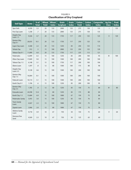| <b>Soil Type</b>                       | <b>Acres</b> | $\frac{9}{6}$ of<br><b>Total</b> | <b>Wheat</b><br><b>Yield</b> | <b>Wheat</b><br><b>Index</b> | <b>Grain</b><br>Sorghum | Grain<br><b>Index</b> | <b>Cotton</b><br><b>Yield</b> | <b>Cotton</b><br><b>Index</b> | <b>Composite</b><br><b>Index</b> | <b>Ag Use</b><br><b>Class</b>      | Prod.<br>Index. |
|----------------------------------------|--------------|----------------------------------|------------------------------|------------------------------|-------------------------|-----------------------|-------------------------------|-------------------------------|----------------------------------|------------------------------------|-----------------|
| Spur Soils                             | 6,550        | 3.3                              | 20                           | 133                          | 2000                    | 133                   | 275                           | 138                           | 135                              | $\overline{1}$                     | 135             |
| Frio Clay Loam                         | 1,338        | .7                               | 20                           | 133                          | 2000                    | 133                   | 275                           | 138                           | 135                              |                                    |                 |
| Angelo Clay<br>Loam $1-3$              | 9,326        | 4.7                              | 20                           | 133                          | 1750                    | 117                   | 250                           | 125                           | 125                              | $\ensuremath{\mathsf{II}}$         | 120             |
| <b>Denton Silty</b><br>$Clay 0-1$      | 20,035       | 10.1                             | 20                           | 133                          | 1750                    | 117                   | 250                           | 125                           | 125                              |                                    |                 |
| Ligon Clay Loam                        | 4,368        | 2.2                              | 20                           | 133                          | 1250                    | 83                    | 250                           | 125                           | 114                              |                                    |                 |
| Yohala Clay                            | 912          | .5                               | 15                           | 100                          | 2000                    | 133                   | 250                           | 125                           | 120                              |                                    |                 |
| Tobasa Clay 0-1                        | 11,899       | 6.0                              | 20                           | 133                          | 1750                    | 117                   | 225                           | 113                           | 121                              |                                    |                 |
| Pedernales                             | 12,899       | 6.5                              | 15                           | 100                          | 1250                    | 83                    | 200                           | 100                           | 95                               | $\ensuremath{\mathsf{III}}\xspace$ | 100             |
| Olton Clay Loam                        | 17,849       | 9.0                              | 15                           | 100                          | 1500                    | 100                   | 200                           | 100                           | 100                              |                                    |                 |
| Tobasa Clay 1-3                        | 6,148        | 3.1                              | 15                           | 100                          | 1750                    | 117                   | 200                           | 100                           | 106                              |                                    |                 |
| Obero Loam                             | 1,597        | 8.5                              | 12                           | 80                           | 1500                    | 100                   | 175                           | 88                            | 90                               |                                    |                 |
| Angelo Clay<br>Loam 3-5                | 9,128        | 4.6                              | 15                           | 100                          | 1500                    | 100                   | 200                           | 100                           | 100                              |                                    |                 |
| <b>Denton Silty</b><br>Clay $1-3$      | 16,064       | 8.1                              | 15                           | 100                          | 1500                    | 100                   | 200                           | 100                           | 100                              |                                    |                 |
| Paducah Loam                           | 10,114       | 5.1                              | 15                           | 100                          | 1500                    | 100                   | 200                           | 100                           | 100                              |                                    |                 |
| Kavitt Clay 0-1                        | 1,196        | $.6\,$                           | 15                           | 100                          | 1250                    | 83                    | 200                           | 100                           | 95                               |                                    |                 |
| <b>Denton Silty</b><br><b>Clay 3-5</b> | 1,785        | $.9$                             | 12                           | 80                           | 1250                    | 83                    | 150                           | 75                            | 80                               | IV                                 | 80              |
| Estacado Loam                          | 24,598       | 12.4                             | 12                           | 80                           | 1250                    | 83                    | 175                           | 88                            | 84                               |                                    |                 |
| Kavitt Clay 1-3                        | 13,684       | 6.9                              | 15                           | 100                          | 1000                    | 67                    | 150                           | 75                            | 80                               |                                    |                 |
| Pedernales Sandy                       | 5,955        | 3.0                              | 15                           | 100                          | 1250                    | 83                    | 150                           | 76                            | 85                               |                                    |                 |
| <b>Travis Sandy</b><br>Loam            | 4,567        | 2.3                              | 15                           | 100                          | 1000                    | 67                    | 150                           | 75                            | 80                               |                                    |                 |
| Zapata Loam                            | 3,966        | 2.0                              | 12                           | 80                           | 1000                    | 67                    | 150                           | 75                            | 74                               |                                    |                 |
| Abilene Sandy<br>Loam                  | 9,718        | 4.9                              | 10                           | 67                           | 750                     | 50                    | 150                           | 75                            | 64                               | $\vee$                             | 64              |
| Demona Fine<br>Sand                    | 4,569        | 2.3                              | 10                           | 67                           | 750                     | 50                    | 125                           | 63                            | 60                               |                                    |                 |

FIGURE 9 **Classification of Dry Cropland**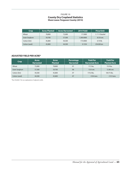#### FIGURE 10 **County Dry Cropland Statistics Share Lease: Ferguson County (2014)**

| <b>Crop</b>   | <b>Acres Planted</b> | <b>Acres Harvested</b> | 2014 Yield | <b>Price/Unit</b> |
|---------------|----------------------|------------------------|------------|-------------------|
| Wheat         | 78,800               | 72,000                 | 17.5000    | \$7.11/bushel     |
| Grain Sorghum | 59,700               | 57,500                 | 1,300.0000 | 8.33/cwt.         |
| Cotton (lint) | 45,800               | 44,500                 | 175,0000   | $0.75$ /lb.       |
| Cotton (seed) | 45,800               | 44,500                 | 0.1354     | 254.00/ton        |

#### **ADJUSTED YIELD PER ACRE\***

| Crop          | <b>Acres</b><br><b>Harvested</b> | <b>Acres</b><br><b>Planted</b> | Percentage<br><b>Harvested</b> | <b>Yield Per</b><br><b>Harvested Acre</b> | <b>Yield Per</b><br><b>Planted Acre</b> |
|---------------|----------------------------------|--------------------------------|--------------------------------|-------------------------------------------|-----------------------------------------|
| Wheat         | 72,000                           | 78,800                         | .91                            | 17.5 bu.                                  | 15.9 bu.                                |
| Grain Sorghum | 57,500                           | 59,700                         | .96                            | 13.0 cwt.                                 | 12.48 cwt.                              |
| Cotton (lint) | 44,500                           | 45,800                         | .97                            | 175.0 lbs.                                | 169.75 lbs.                             |
| Cotton (seed) | 44,500                           | 45,800                         | .97                            | .1354 tons                                | .1313 tons                              |

\*See Exhibit 5 for an explanation of adjusted yields.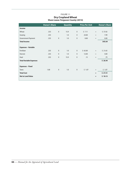#### FIGURE 11 **Dry Cropland Wheat Share Lease: Ferguson County (2014)**

|                                | <b>Owner's Share</b> |              | <b>Quantity</b> |              | <b>Price Per Unit</b> |     | <b>Owner's Share</b> |
|--------------------------------|----------------------|--------------|-----------------|--------------|-----------------------|-----|----------------------|
| <b>Income</b>                  |                      |              |                 |              |                       |     |                      |
| Wheat                          | .333                 | $\mathsf{X}$ | 15.9            | X            | \$7.11                | $=$ | \$37.65              |
| Grazing                        | .333                 |              | 1.0             | $\mathsf{X}$ | 24.00                 | $=$ | 7.99                 |
| Government Payment             | .333                 | X            | 1.0             | X            | 0.00                  | $=$ | 0.00                 |
| <b>Total Income</b>            |                      |              |                 |              |                       |     | \$45.64              |
| <b>Expenses - Variable</b>     |                      |              |                 |              |                       |     |                      |
| Fertilizer                     | .333                 | X            | 1.0             | X            | \$65.00               | $=$ | \$21.65              |
| Harvest                        | .333                 | $\mathsf{X}$ | 1.0             | $\mathsf{X}$ | 12.00                 | $=$ | 4.00                 |
| Haul                           | .333                 | $\mathsf{X}$ | 15.9            | X            | .15                   | $=$ | .79                  |
| <b>Total Variable Expenses</b> |                      |              |                 |              |                       |     | \$26.44              |
| <b>Expenses - Fixed</b>        |                      |              |                 |              |                       |     |                      |
| <b>Taxes</b>                   | 1.00                 | X            | 1.0             | X            | \$1.07                | $=$ | \$1.07               |
| <b>Total Cost</b>              |                      |              |                 |              |                       | $=$ | \$27.51              |
| <b>Net to Land Value</b>       |                      |              |                 |              |                       | $=$ | \$18.13              |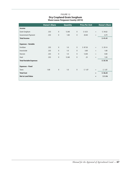## FIGURE 12 **Dry Cropland Grain Sorghum Share Lease: Ferguson County (2014)**

|                                | <b>Owner's Share</b> |              | <b>Quantity</b> |              | <b>Price Per Unit</b> |                                     | <b>Owner's Share</b> |
|--------------------------------|----------------------|--------------|-----------------|--------------|-----------------------|-------------------------------------|----------------------|
| Income                         |                      |              |                 |              |                       |                                     |                      |
| Grain Sorghum                  | .333                 | X            | 12.48           | X            | \$8.33                | $\hspace*{0.4em} = \hspace*{0.4em}$ | \$34.62              |
| Government Payment             | .333                 | $\mathsf{X}$ | 1.00            | $\mathsf{X}$ | 20.40                 | $=$                                 | 6.79                 |
| <b>Total Income</b>            |                      |              |                 |              |                       |                                     | \$41.41              |
| <b>Expenses - Variable</b>     |                      |              |                 |              |                       |                                     |                      |
| Fertilizer                     | .333                 | $\mathsf{X}$ | 1.0             | X            | \$87.50               | $=$                                 | \$29.14              |
| Insecticide                    | .333                 | X            | 1.0             | $\mathsf{X}$ | 3.00                  | $=$                                 | 1.00                 |
| Harvest                        | .333                 | $\mathsf{X}$ | 1.0             | $\mathsf{X}$ | 12.00                 | $=$                                 | 4.00                 |
| Haul                           | .333                 | $\mathsf{X}$ | 12.48           | $\mathsf{X}$ | .25                   | $=$                                 | 1.04                 |
| <b>Total Variable Expenses</b> |                      |              |                 |              |                       |                                     | \$35.18              |
| <b>Expenses - Fixed</b>        |                      |              |                 |              |                       |                                     |                      |
| <b>Taxes</b>                   | 1.00                 | X            | 1.0             | X            | \$1.07                | $=$                                 | \$1.07               |
| <b>Total Cost</b>              |                      |              |                 |              |                       | $=$                                 | \$36.25              |
| <b>Net to Land Value</b>       |                      |              |                 |              |                       | $=$                                 | \$5.16               |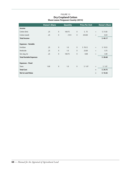## FIGURE 13 **Dry Cropland Cotton Share Lease: Ferguson County (2014)**

|                                | <b>Owner's Share</b> | <b>Quantity</b> |        |              | <b>Price Per Unit</b> |     | <b>Owner's Share</b> |
|--------------------------------|----------------------|-----------------|--------|--------------|-----------------------|-----|----------------------|
| Income                         |                      |                 |        |              |                       |     |                      |
| Cotton (lint)                  | .25                  | $\mathsf{X}$    | 169.75 | $\mathsf{X}$ | \$.75                 | $=$ | \$31.83              |
| Cotton (seed)                  | .25                  | X               | .1313  | X            | 254.00                | $=$ | 8.34                 |
| <b>Total Income</b>            |                      |                 |        |              |                       |     | \$40.17              |
| <b>Expenses - Variable</b>     |                      |                 |        |              |                       |     |                      |
| Fertilizer                     | .25                  | X               | 1.0    | X            | \$78.12               | $=$ | \$19.53              |
| Herbicide                      | .25                  | $\mathsf{X}$    | 1.0    | $\mathsf{X}$ | 23.00                 | $=$ | 5.75                 |
| Gin, bag, tie                  | .25                  | $\mathsf{X}$    | 169.75 | X            | 0.08                  | $=$ | 3.40                 |
| <b>Total Variable Expenses</b> |                      |                 |        |              |                       |     | \$28.68              |
| <b>Expenses - Fixed</b>        |                      |                 |        |              |                       |     |                      |
| <b>Taxes</b>                   | 1.00                 | $\mathsf{X}$    | 1.0    | $\mathsf{X}$ | \$1.07                | $=$ | \$1.07               |
| <b>Total Cost</b>              |                      |                 |        |              |                       | $=$ | \$29.75              |
| <b>Net to Land Value</b>       |                      |                 |        |              |                       | $=$ | \$10.42              |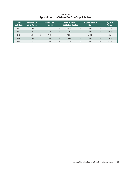|                                                      | FIGURE 14 |  |
|------------------------------------------------------|-----------|--|
| <b>Agricultural Use Values Per Dry Crop Subclass</b> |           |  |

| Land<br><b>Subclass</b> | <b>Base Net to</b><br><b>Land Value</b> |   | <b>Productivity</b><br><b>Index</b> |     | <b>Land Subclass</b><br><b>Net to Land Value</b> |        | <b>Capitalization</b><br>Rate |     | Ag Use<br><b>Value</b> |
|-------------------------|-----------------------------------------|---|-------------------------------------|-----|--------------------------------------------------|--------|-------------------------------|-----|------------------------|
| DC <sub>1</sub>         | \$15.84                                 | X | 1.35                                | $=$ | \$21.38                                          | $\div$ | .1000                         | $=$ | \$213.80               |
| DC <sub>2</sub>         | 15.84                                   | X | 1.20                                | $=$ | 19.01                                            | $\div$ | .1000                         | $=$ | 190.10                 |
| DC <sub>3</sub>         | 15.84                                   | X | 1.00                                | $=$ | 15.84                                            | $\div$ | .1000                         | $=$ | 158.40                 |
| DC <sub>4</sub>         | 15.84                                   | X | .80                                 | $=$ | 12.67                                            | ÷      | .1000                         | $=$ | 126.70                 |
| DC <sub>5</sub>         | 15.84                                   | X | .64                                 | $=$ | 10.14                                            | $\div$ | .1000                         | $=$ | 101.40                 |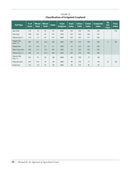| Soil Type                  | $%$ of<br><b>Acres</b> | <b>Wheat</b><br><b>Total</b> | <b>Wheat</b><br><b>Yield</b> | <b>Index</b> | <b>Grain</b><br>Sorghum | Grain<br><b>Index</b> | <b>Cotton</b><br><b>Yield</b> | <b>Cotton</b><br><b>Index</b> | <b>Composite</b><br><b>Index</b> | Ag<br><b>Use</b><br><b>Class</b> | Prod.<br><b>Index</b> |
|----------------------------|------------------------|------------------------------|------------------------------|--------------|-------------------------|-----------------------|-------------------------------|-------------------------------|----------------------------------|----------------------------------|-----------------------|
| Spur Soils                 | 273                    | 5.5                          | 30                           | 133          | 3000                    | 120                   | 450                           | 138                           | 130                              |                                  | 130                   |
| Frio Loam                  | 798                    | 16.1                         | 30                           | 133          | 3250                    | 130                   | 450                           | 138                           | 133                              |                                  |                       |
| Tobasa Clay 0-1            | 154                    | 3.1                          | 30                           | 133          | 3000                    | 120                   | 425                           | 131                           | 128                              |                                  |                       |
| Angelo Clay<br>Loam $1-3$  | 897                    | 18.1                         | 22.5                         | 100          | 2500                    | 100                   | 325                           | 100                           | 100                              | $\mathsf{II}$                    | 100                   |
| Yohala Clay                | 764                    | 15.4                         | 25                           | 111          | 2300                    | 92                    | 325                           | 100                           | 100                              |                                  |                       |
| Olton Clay Loam            | 650                    | 13.1                         | 22.5                         | 100          | 2300                    | 92                    | 325                           | 100                           | 100                              |                                  |                       |
| Tobasa Clay 1-3            | 203                    | 4.1                          | 22.5                         | 100          | 2300                    | 100                   | 350                           | 108                           | 100                              |                                  |                       |
| Denton Silty<br>Clay $1-3$ | 451                    | 9.1                          | 18                           | 80           | 2000                    | 80                    | 250                           | 77                            | 80                               |                                  |                       |
| Paducah Loam               | 625                    | 12.6                         | 18                           | 80           | 2000                    | 80                    | 250                           | 77                            | 80                               | III                              | 80                    |
| <b>Kavitt Clay</b>         | 143                    | 2.9                          | 18                           | 80           | 2000                    | 80                    | 275                           | 85                            | 85                               |                                  |                       |

FIGURE 15 **Classification of Irrigated Cropland**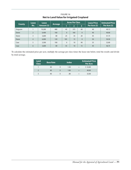FIGURE 16 **Net to Land Value for Irrigated Cropland**

| <b>Lease</b>  |                | <b>Lease</b> |                |              | <b>Acres Per Class</b> |              | <b>Lease Price</b> | <b>Estimated Price</b> |  |
|---------------|----------------|--------------|----------------|--------------|------------------------|--------------|--------------------|------------------------|--|
| <b>County</b> | No.            | Amount (\$)  | <b>Acreage</b> |              | 2                      | 3            | Per Acre (\$)      | Per Acre (\$)          |  |
| Ferguson      |                | 19,200       | 480            | 45           | 375                    | 60           | 40                 | 40.13                  |  |
| Deere         | $\overline{2}$ | 6,400        | 160            | $\mathbf{0}$ | 160                    | $\mathbf{0}$ | 40                 | 40.00                  |  |
| Deere         | 3              | 3,600        | 80             | 25           | 35                     | 20           | 45                 | 41.75                  |  |
| Deere         | $\overline{4}$ | 6,000        | 120            | 105          | 15                     | $\mathbf{0}$ | 50                 | 50.50                  |  |
| Case          | 5              | 3,500        | 100            | $\mathbf{0}$ | 10                     | 90           | 35                 | 32.80                  |  |
| Case          | 6              | 3,600        | 80             | 55           | 10                     | 15           | 45                 | 46.75                  |  |

To calculate the estimated price per acre, multiply the acreage per class times the lease rate below, total the results and divide by total acreage.

| Land<br><b>Class</b>    | <b>Base Rate</b> | <b>Index</b> |     | <b>Estimated Price</b><br><b>Per Acre</b> |
|-------------------------|------------------|--------------|-----|-------------------------------------------|
|                         | 40               | 1.30         | $=$ | \$52.00                                   |
|                         | 40               | 1.00         |     | 40.00                                     |
| $\overline{\mathbf{z}}$ | 40               | .80          |     | 32.00                                     |